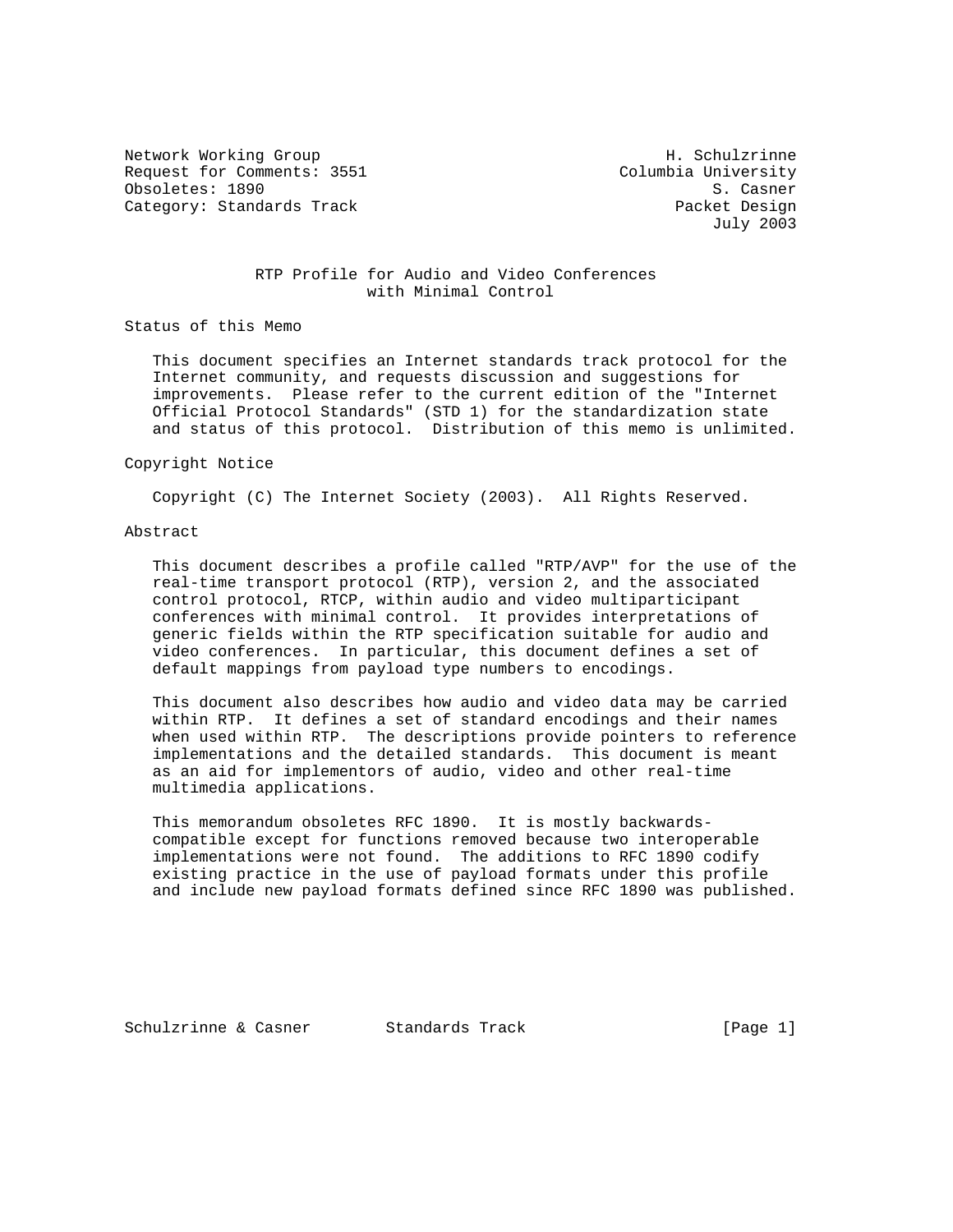Network Working Group Network Morking Group H. Schulzrinne Request for Comments: 3551 Columbia University Obsoletes: 1890 S. Casner Category: Standards Track Packet Design

July 2003

### RTP Profile for Audio and Video Conferences with Minimal Control

Status of this Memo

 This document specifies an Internet standards track protocol for the Internet community, and requests discussion and suggestions for improvements. Please refer to the current edition of the "Internet Official Protocol Standards" (STD 1) for the standardization state and status of this protocol. Distribution of this memo is unlimited.

#### Copyright Notice

Copyright (C) The Internet Society (2003). All Rights Reserved.

### Abstract

 This document describes a profile called "RTP/AVP" for the use of the real-time transport protocol (RTP), version 2, and the associated control protocol, RTCP, within audio and video multiparticipant conferences with minimal control. It provides interpretations of generic fields within the RTP specification suitable for audio and video conferences. In particular, this document defines a set of default mappings from payload type numbers to encodings.

 This document also describes how audio and video data may be carried within RTP. It defines a set of standard encodings and their names when used within RTP. The descriptions provide pointers to reference implementations and the detailed standards. This document is meant as an aid for implementors of audio, video and other real-time multimedia applications.

 This memorandum obsoletes RFC 1890. It is mostly backwards compatible except for functions removed because two interoperable implementations were not found. The additions to RFC 1890 codify existing practice in the use of payload formats under this profile and include new payload formats defined since RFC 1890 was published.

Schulzrinne & Casner Standards Track [Page 1]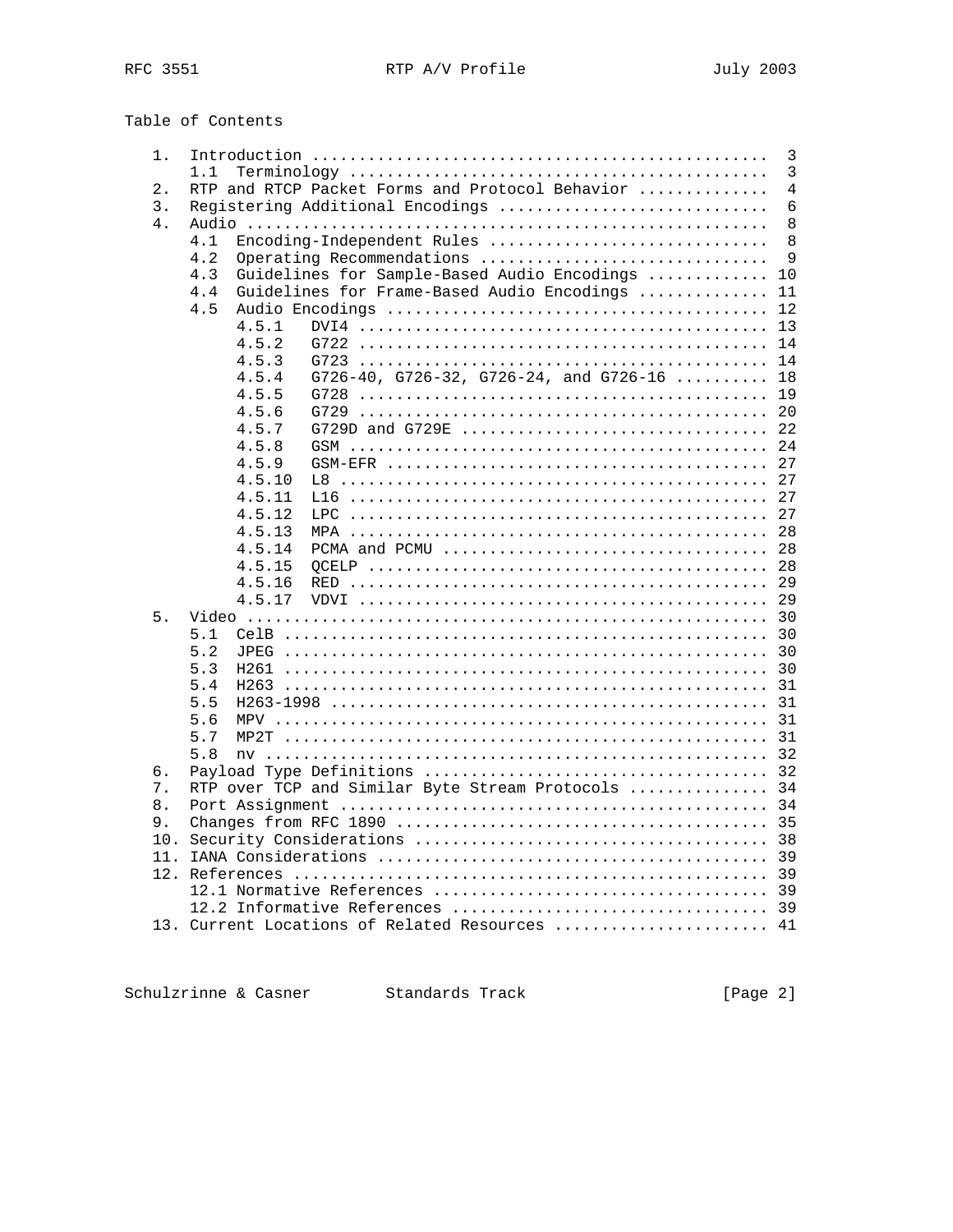Table of Contents

| 1.  |                                                    | 3              |
|-----|----------------------------------------------------|----------------|
|     | 1.1                                                | $\overline{3}$ |
| 2.  | RTP and RTCP Packet Forms and Protocol Behavior    | $\overline{4}$ |
| 3.  | Registering Additional Encodings                   | $\epsilon$     |
| 4.  |                                                    | 8              |
|     | Encoding-Independent Rules<br>4.1                  | 8              |
|     | 4.2<br>Operating Recommendations                   | 9              |
|     | Guidelines for Sample-Based Audio Encodings<br>4.3 | 10             |
|     | Guidelines for Frame-Based Audio Encodings<br>4.4  | 11             |
|     | 4.5                                                | 12             |
|     | 4.5.1                                              | 13             |
|     | 4.5.2                                              | 14             |
|     | 4.5.3                                              | 14             |
|     | G726-40, G726-32, G726-24, and G726-16<br>4.5.4    | 18             |
|     | 4.5.5<br>G728                                      | 19             |
|     | 4.5.6                                              | 20             |
|     | 4.5.7                                              | 22             |
|     | 4.5.8                                              | 24             |
|     | $GSM-EFF$<br>4.5.9                                 | 27             |
|     | 4.5.10<br>L8                                       | 27             |
|     | 4.5.11                                             | 27             |
|     | 4.5.12<br>LPC.                                     | 27             |
|     | 4.5.13                                             | 28             |
|     | 4.5.14                                             | 28             |
|     | 4.5.15                                             | 28             |
|     | 4.5.16                                             | 29             |
|     | 4.5.17                                             | 29             |
| 5.  |                                                    | 30             |
|     | 5.1                                                | 30             |
|     | 5.2                                                | 30             |
|     | 5.3                                                | 30             |
|     | 5.4<br>H263                                        | 31             |
|     | 5.5                                                | 31             |
|     | 5.6                                                |                |
|     | 5.7<br>MP2T                                        | 31<br>31       |
|     | 5.8                                                |                |
|     |                                                    | 32             |
| б.  |                                                    | 32<br>34       |
| 7.  | RTP over TCP and Similar Byte Stream Protocols     |                |
| 8.  |                                                    | 34             |
| 9.  |                                                    | 35             |
| 10. |                                                    | 38             |
| 11. |                                                    | 39             |
| 12. |                                                    | 39             |
|     |                                                    | 39             |
|     |                                                    | 39             |
|     | 13. Current Locations of Related Resources         | 41             |

Schulzrinne & Casner Standards Track (Page 2)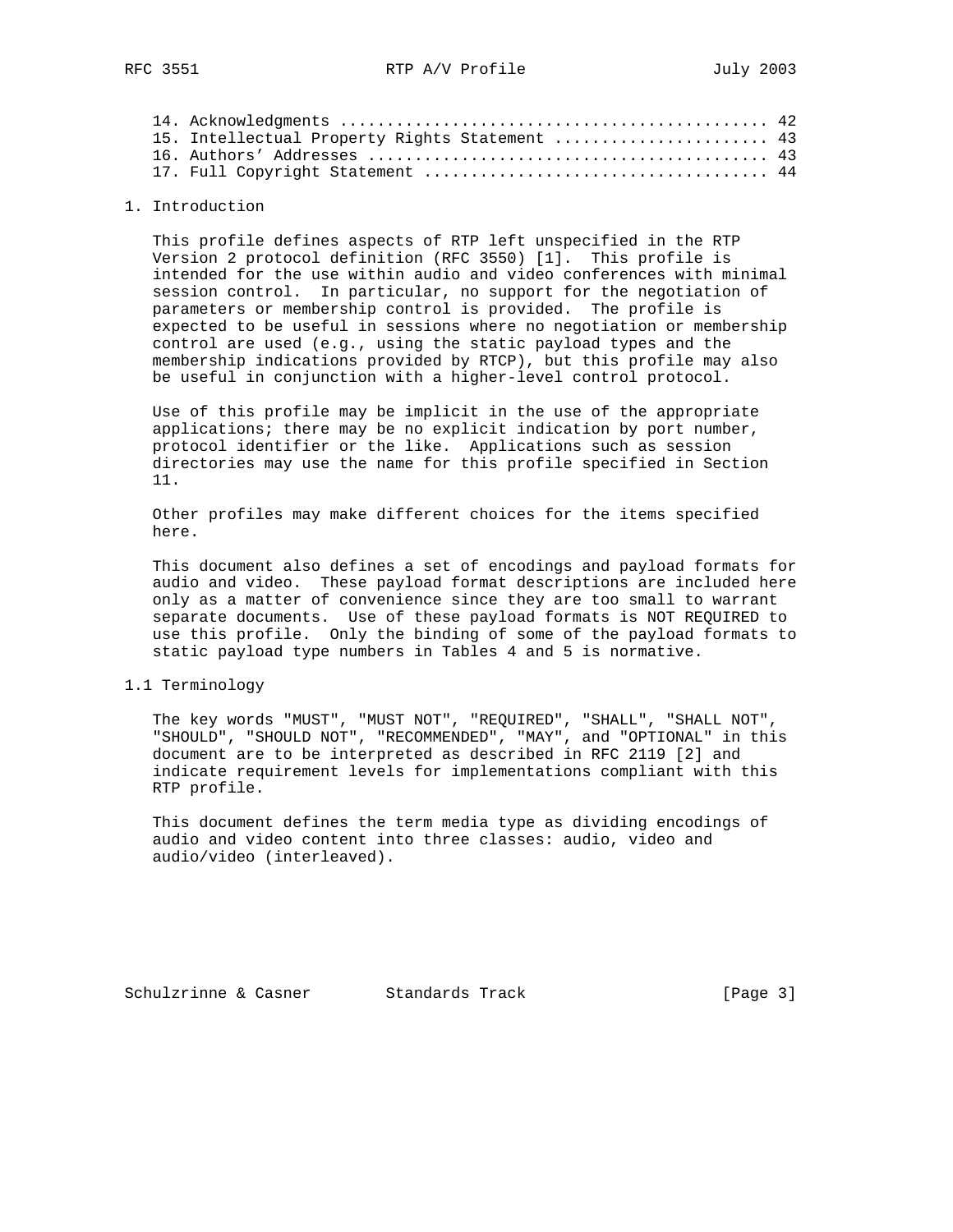| 15. Intellectual Property Rights Statement  43 |  |
|------------------------------------------------|--|
|                                                |  |
|                                                |  |

### 1. Introduction

 This profile defines aspects of RTP left unspecified in the RTP Version 2 protocol definition (RFC 3550) [1]. This profile is intended for the use within audio and video conferences with minimal session control. In particular, no support for the negotiation of parameters or membership control is provided. The profile is expected to be useful in sessions where no negotiation or membership control are used (e.g., using the static payload types and the membership indications provided by RTCP), but this profile may also be useful in conjunction with a higher-level control protocol.

 Use of this profile may be implicit in the use of the appropriate applications; there may be no explicit indication by port number, protocol identifier or the like. Applications such as session directories may use the name for this profile specified in Section 11.

 Other profiles may make different choices for the items specified here.

 This document also defines a set of encodings and payload formats for audio and video. These payload format descriptions are included here only as a matter of convenience since they are too small to warrant separate documents. Use of these payload formats is NOT REQUIRED to use this profile. Only the binding of some of the payload formats to static payload type numbers in Tables 4 and 5 is normative.

### 1.1 Terminology

 The key words "MUST", "MUST NOT", "REQUIRED", "SHALL", "SHALL NOT", "SHOULD", "SHOULD NOT", "RECOMMENDED", "MAY", and "OPTIONAL" in this document are to be interpreted as described in RFC 2119 [2] and indicate requirement levels for implementations compliant with this RTP profile.

 This document defines the term media type as dividing encodings of audio and video content into three classes: audio, video and audio/video (interleaved).

Schulzrinne & Casner Standards Track [Page 3]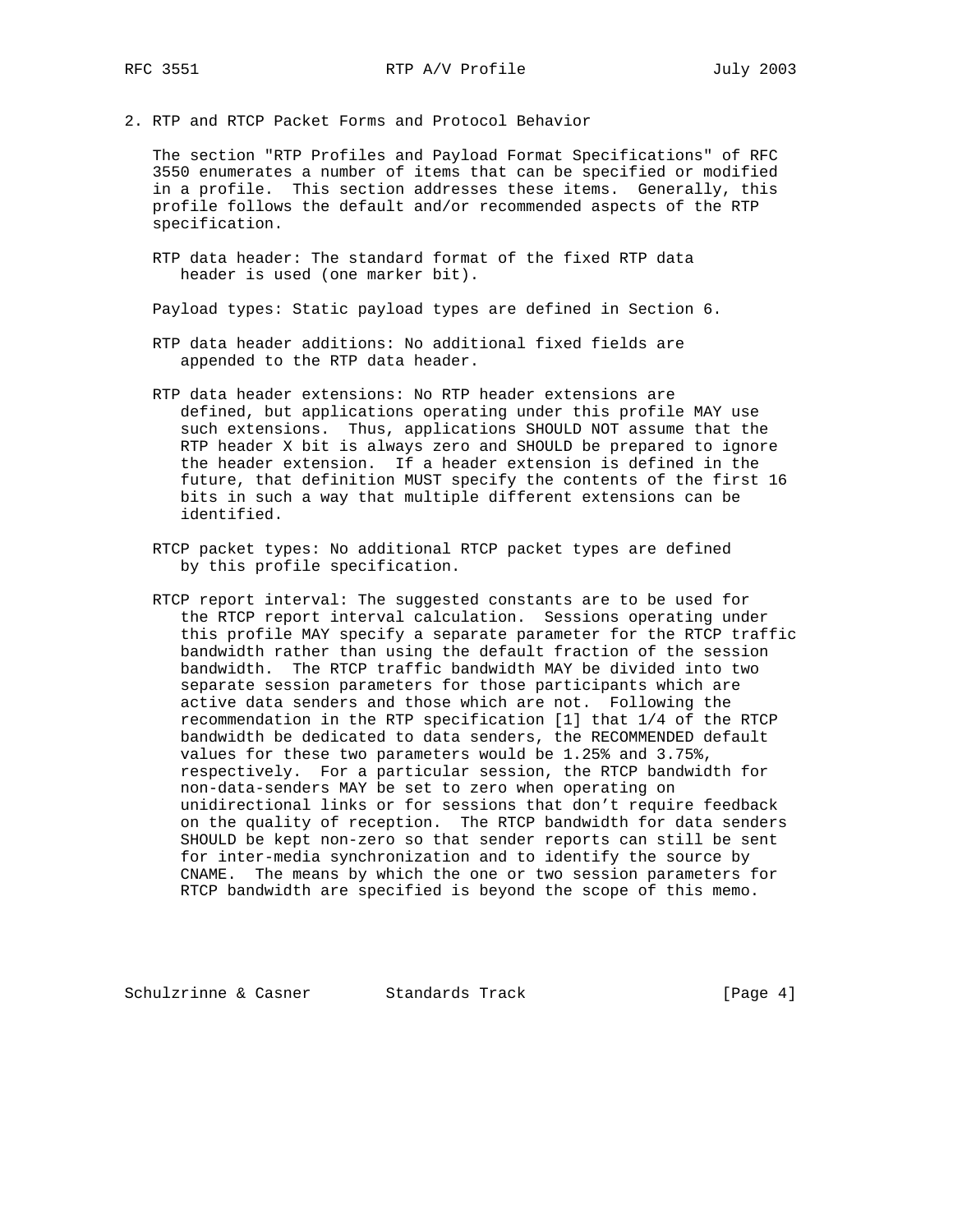2. RTP and RTCP Packet Forms and Protocol Behavior

 The section "RTP Profiles and Payload Format Specifications" of RFC 3550 enumerates a number of items that can be specified or modified in a profile. This section addresses these items. Generally, this profile follows the default and/or recommended aspects of the RTP specification.

 RTP data header: The standard format of the fixed RTP data header is used (one marker bit).

Payload types: Static payload types are defined in Section 6.

- RTP data header additions: No additional fixed fields are appended to the RTP data header.
- RTP data header extensions: No RTP header extensions are defined, but applications operating under this profile MAY use such extensions. Thus, applications SHOULD NOT assume that the RTP header X bit is always zero and SHOULD be prepared to ignore the header extension. If a header extension is defined in the future, that definition MUST specify the contents of the first 16 bits in such a way that multiple different extensions can be identified.
- RTCP packet types: No additional RTCP packet types are defined by this profile specification.
- RTCP report interval: The suggested constants are to be used for the RTCP report interval calculation. Sessions operating under this profile MAY specify a separate parameter for the RTCP traffic bandwidth rather than using the default fraction of the session bandwidth. The RTCP traffic bandwidth MAY be divided into two separate session parameters for those participants which are active data senders and those which are not. Following the recommendation in the RTP specification [1] that 1/4 of the RTCP bandwidth be dedicated to data senders, the RECOMMENDED default values for these two parameters would be 1.25% and 3.75%, respectively. For a particular session, the RTCP bandwidth for non-data-senders MAY be set to zero when operating on unidirectional links or for sessions that don't require feedback on the quality of reception. The RTCP bandwidth for data senders SHOULD be kept non-zero so that sender reports can still be sent for inter-media synchronization and to identify the source by CNAME. The means by which the one or two session parameters for RTCP bandwidth are specified is beyond the scope of this memo.

Schulzrinne & Casner Standards Track [Page 4]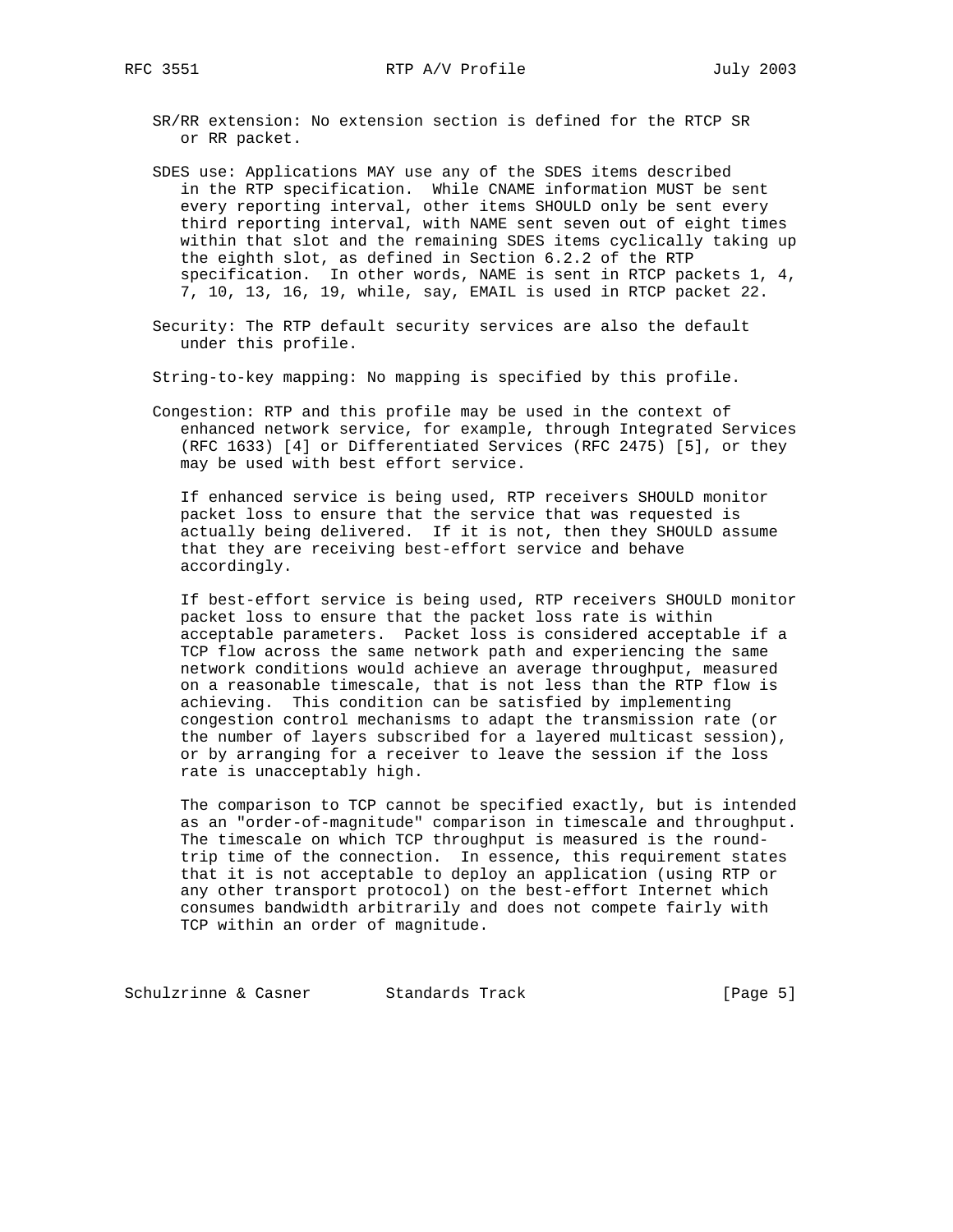- SR/RR extension: No extension section is defined for the RTCP SR or RR packet.
- SDES use: Applications MAY use any of the SDES items described in the RTP specification. While CNAME information MUST be sent every reporting interval, other items SHOULD only be sent every third reporting interval, with NAME sent seven out of eight times within that slot and the remaining SDES items cyclically taking up the eighth slot, as defined in Section 6.2.2 of the RTP specification. In other words, NAME is sent in RTCP packets 1, 4, 7, 10, 13, 16, 19, while, say, EMAIL is used in RTCP packet 22.
- Security: The RTP default security services are also the default under this profile.
- String-to-key mapping: No mapping is specified by this profile.
- Congestion: RTP and this profile may be used in the context of enhanced network service, for example, through Integrated Services (RFC 1633) [4] or Differentiated Services (RFC 2475) [5], or they may be used with best effort service.

 If enhanced service is being used, RTP receivers SHOULD monitor packet loss to ensure that the service that was requested is actually being delivered. If it is not, then they SHOULD assume that they are receiving best-effort service and behave accordingly.

 If best-effort service is being used, RTP receivers SHOULD monitor packet loss to ensure that the packet loss rate is within acceptable parameters. Packet loss is considered acceptable if a TCP flow across the same network path and experiencing the same network conditions would achieve an average throughput, measured on a reasonable timescale, that is not less than the RTP flow is achieving. This condition can be satisfied by implementing congestion control mechanisms to adapt the transmission rate (or the number of layers subscribed for a layered multicast session), or by arranging for a receiver to leave the session if the loss rate is unacceptably high.

 The comparison to TCP cannot be specified exactly, but is intended as an "order-of-magnitude" comparison in timescale and throughput. The timescale on which TCP throughput is measured is the round trip time of the connection. In essence, this requirement states that it is not acceptable to deploy an application (using RTP or any other transport protocol) on the best-effort Internet which consumes bandwidth arbitrarily and does not compete fairly with TCP within an order of magnitude.

Schulzrinne & Casner Standards Track (Page 5)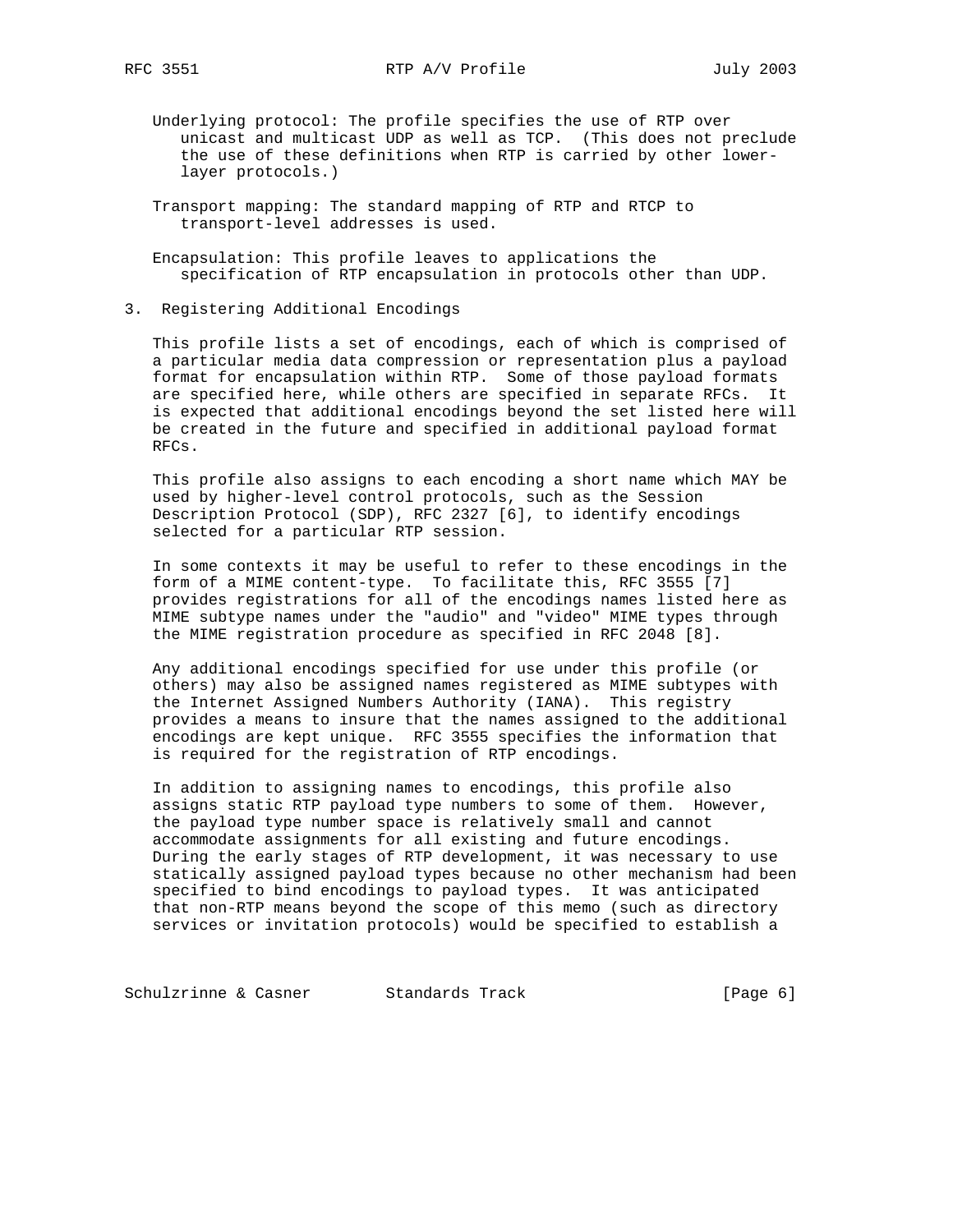- Underlying protocol: The profile specifies the use of RTP over unicast and multicast UDP as well as TCP. (This does not preclude the use of these definitions when RTP is carried by other lower layer protocols.)
- Transport mapping: The standard mapping of RTP and RTCP to transport-level addresses is used.
- Encapsulation: This profile leaves to applications the specification of RTP encapsulation in protocols other than UDP.
- 3. Registering Additional Encodings

 This profile lists a set of encodings, each of which is comprised of a particular media data compression or representation plus a payload format for encapsulation within RTP. Some of those payload formats are specified here, while others are specified in separate RFCs. It is expected that additional encodings beyond the set listed here will be created in the future and specified in additional payload format RFCs.

 This profile also assigns to each encoding a short name which MAY be used by higher-level control protocols, such as the Session Description Protocol (SDP), RFC 2327 [6], to identify encodings selected for a particular RTP session.

 In some contexts it may be useful to refer to these encodings in the form of a MIME content-type. To facilitate this, RFC 3555 [7] provides registrations for all of the encodings names listed here as MIME subtype names under the "audio" and "video" MIME types through the MIME registration procedure as specified in RFC 2048 [8].

 Any additional encodings specified for use under this profile (or others) may also be assigned names registered as MIME subtypes with the Internet Assigned Numbers Authority (IANA). This registry provides a means to insure that the names assigned to the additional encodings are kept unique. RFC 3555 specifies the information that is required for the registration of RTP encodings.

 In addition to assigning names to encodings, this profile also assigns static RTP payload type numbers to some of them. However, the payload type number space is relatively small and cannot accommodate assignments for all existing and future encodings. During the early stages of RTP development, it was necessary to use statically assigned payload types because no other mechanism had been specified to bind encodings to payload types. It was anticipated that non-RTP means beyond the scope of this memo (such as directory services or invitation protocols) would be specified to establish a

Schulzrinne & Casner Standards Track (Page 6)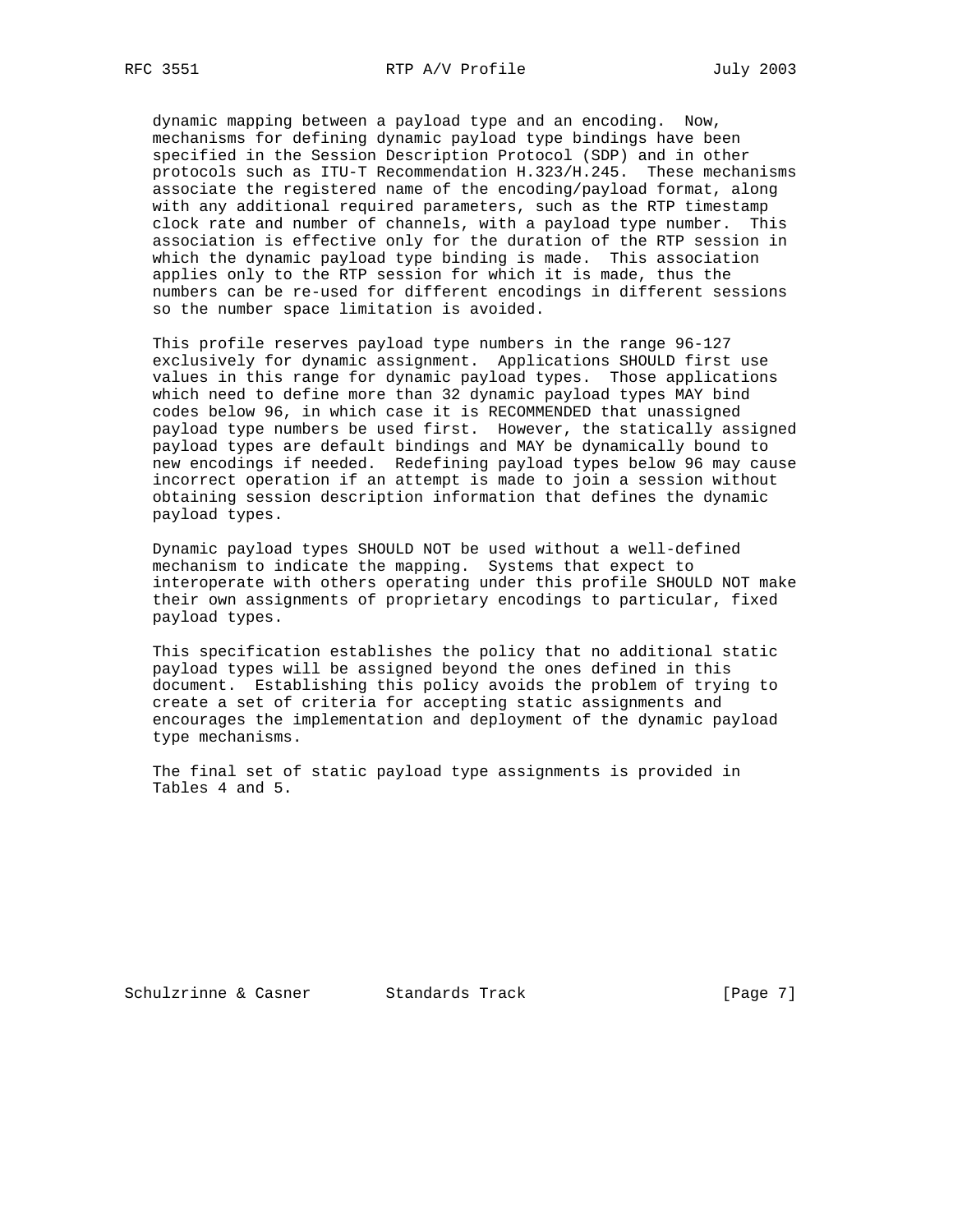dynamic mapping between a payload type and an encoding. Now, mechanisms for defining dynamic payload type bindings have been specified in the Session Description Protocol (SDP) and in other protocols such as ITU-T Recommendation H.323/H.245. These mechanisms associate the registered name of the encoding/payload format, along with any additional required parameters, such as the RTP timestamp clock rate and number of channels, with a payload type number. This association is effective only for the duration of the RTP session in which the dynamic payload type binding is made. This association applies only to the RTP session for which it is made, thus the numbers can be re-used for different encodings in different sessions so the number space limitation is avoided.

 This profile reserves payload type numbers in the range 96-127 exclusively for dynamic assignment. Applications SHOULD first use values in this range for dynamic payload types. Those applications which need to define more than 32 dynamic payload types MAY bind codes below 96, in which case it is RECOMMENDED that unassigned payload type numbers be used first. However, the statically assigned payload types are default bindings and MAY be dynamically bound to new encodings if needed. Redefining payload types below 96 may cause incorrect operation if an attempt is made to join a session without obtaining session description information that defines the dynamic payload types.

 Dynamic payload types SHOULD NOT be used without a well-defined mechanism to indicate the mapping. Systems that expect to interoperate with others operating under this profile SHOULD NOT make their own assignments of proprietary encodings to particular, fixed payload types.

 This specification establishes the policy that no additional static payload types will be assigned beyond the ones defined in this document. Establishing this policy avoids the problem of trying to create a set of criteria for accepting static assignments and encourages the implementation and deployment of the dynamic payload type mechanisms.

 The final set of static payload type assignments is provided in Tables 4 and 5.

Schulzrinne & Casner Standards Track [Page 7]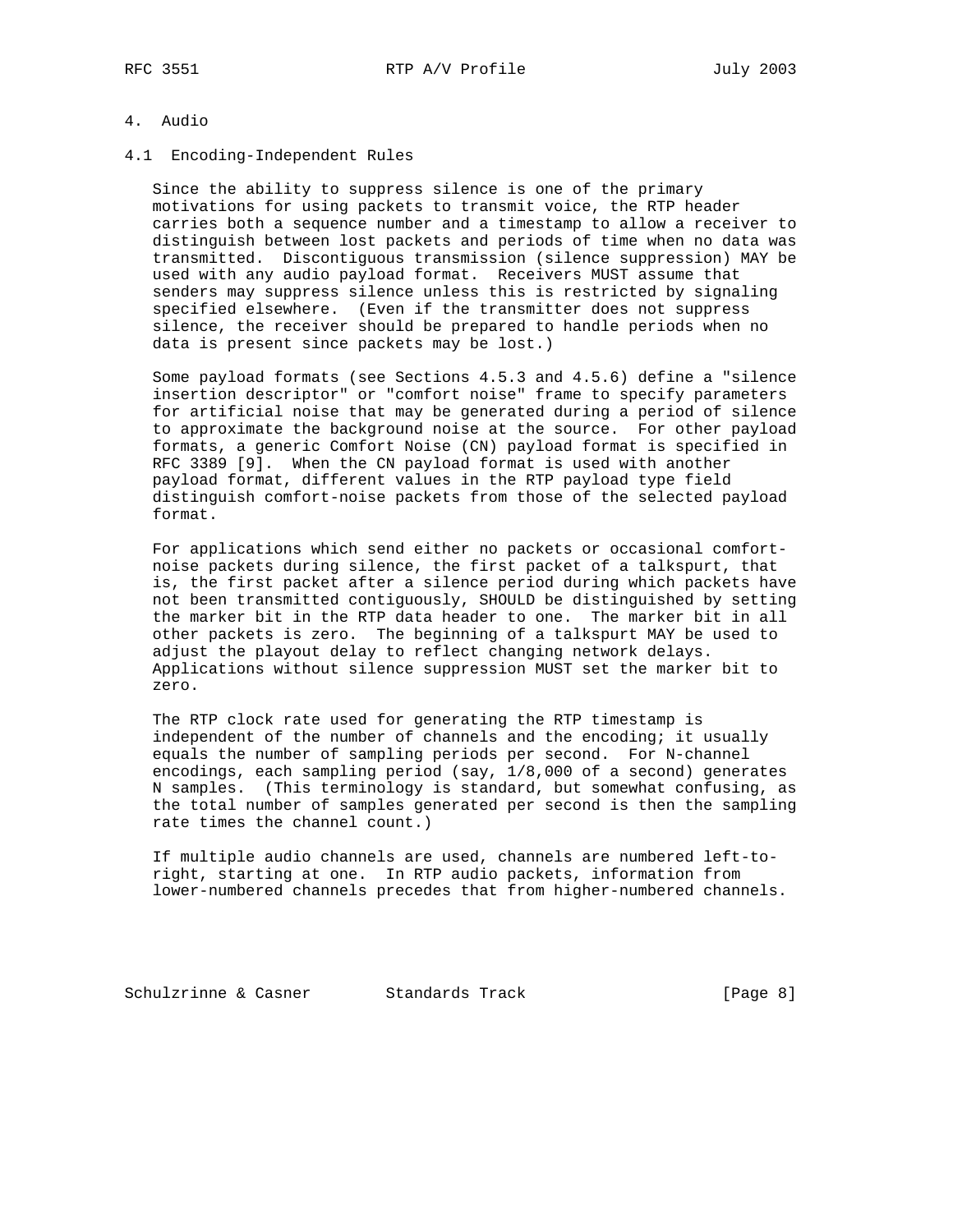## 4. Audio

### 4.1 Encoding-Independent Rules

 Since the ability to suppress silence is one of the primary motivations for using packets to transmit voice, the RTP header carries both a sequence number and a timestamp to allow a receiver to distinguish between lost packets and periods of time when no data was transmitted. Discontiguous transmission (silence suppression) MAY be used with any audio payload format. Receivers MUST assume that senders may suppress silence unless this is restricted by signaling specified elsewhere. (Even if the transmitter does not suppress silence, the receiver should be prepared to handle periods when no data is present since packets may be lost.)

 Some payload formats (see Sections 4.5.3 and 4.5.6) define a "silence insertion descriptor" or "comfort noise" frame to specify parameters for artificial noise that may be generated during a period of silence to approximate the background noise at the source. For other payload formats, a generic Comfort Noise (CN) payload format is specified in RFC 3389 [9]. When the CN payload format is used with another payload format, different values in the RTP payload type field distinguish comfort-noise packets from those of the selected payload format.

 For applications which send either no packets or occasional comfort noise packets during silence, the first packet of a talkspurt, that is, the first packet after a silence period during which packets have not been transmitted contiguously, SHOULD be distinguished by setting the marker bit in the RTP data header to one. The marker bit in all other packets is zero. The beginning of a talkspurt MAY be used to adjust the playout delay to reflect changing network delays. Applications without silence suppression MUST set the marker bit to zero.

 The RTP clock rate used for generating the RTP timestamp is independent of the number of channels and the encoding; it usually equals the number of sampling periods per second. For N-channel encodings, each sampling period (say, 1/8,000 of a second) generates N samples. (This terminology is standard, but somewhat confusing, as the total number of samples generated per second is then the sampling rate times the channel count.)

 If multiple audio channels are used, channels are numbered left-to right, starting at one. In RTP audio packets, information from lower-numbered channels precedes that from higher-numbered channels.

Schulzrinne & Casner Standards Track [Page 8]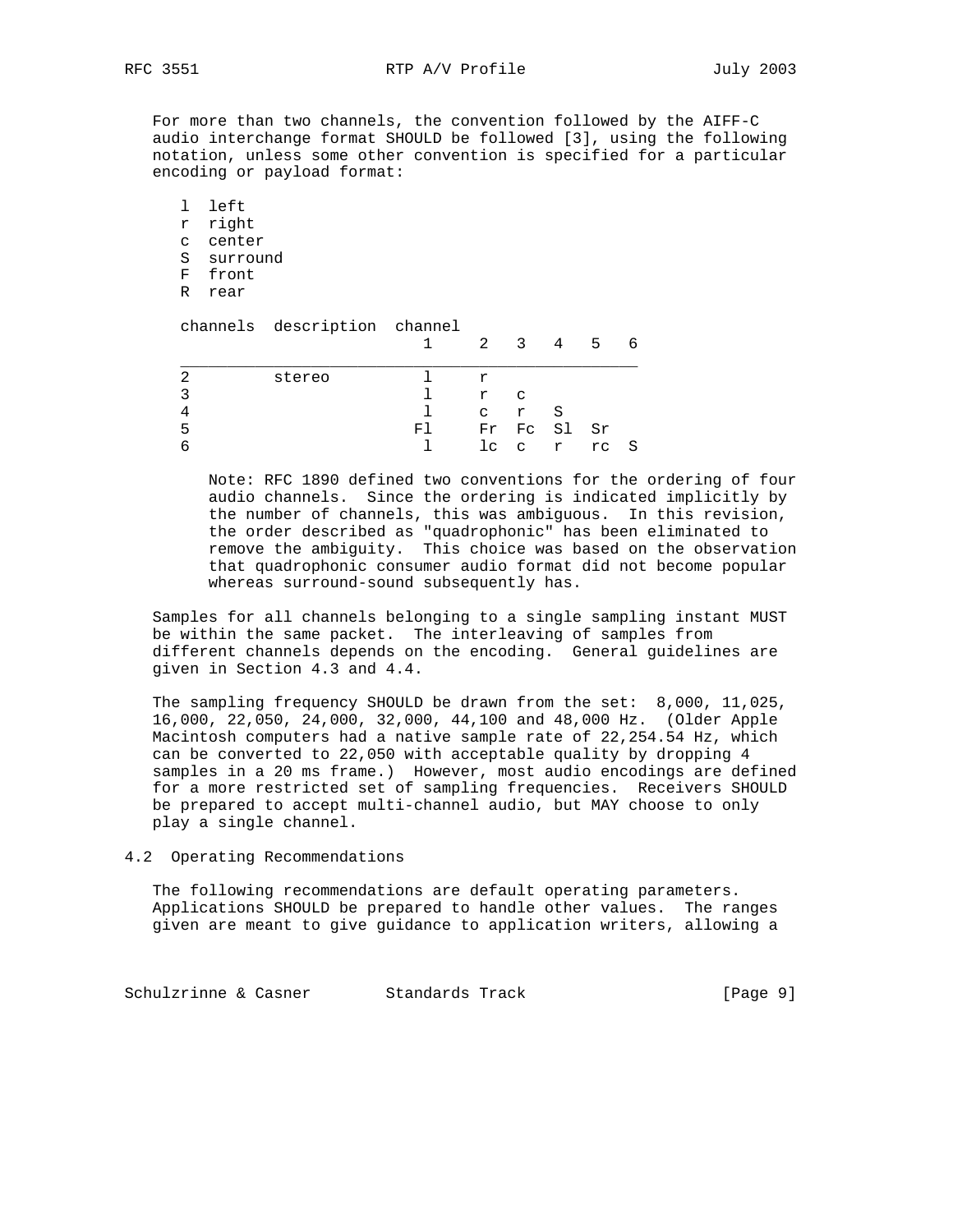For more than two channels, the convention followed by the AIFF-C audio interchange format SHOULD be followed [3], using the following notation, unless some other convention is specified for a particular encoding or payload format:

 l left r right c center S surround F front R rear channels description channel 1 2 3 4 5 6 \_\_\_\_\_\_\_\_\_\_\_\_\_\_\_\_\_\_\_\_\_\_\_\_\_\_\_\_\_\_\_\_\_\_\_\_\_\_\_\_\_\_\_\_\_\_\_\_\_

|   | stereo |     |   |       |             |           |   |
|---|--------|-----|---|-------|-------------|-----------|---|
|   |        |     | r | C     |             |           |   |
|   |        |     |   | c r S |             |           |   |
| ∽ |        | FI. |   |       | Fr Fc Sl Sr |           |   |
|   |        |     |   |       |             | lc c r rc | း |

 Note: RFC 1890 defined two conventions for the ordering of four audio channels. Since the ordering is indicated implicitly by the number of channels, this was ambiguous. In this revision, the order described as "quadrophonic" has been eliminated to remove the ambiguity. This choice was based on the observation that quadrophonic consumer audio format did not become popular whereas surround-sound subsequently has.

 Samples for all channels belonging to a single sampling instant MUST be within the same packet. The interleaving of samples from different channels depends on the encoding. General guidelines are given in Section 4.3 and 4.4.

 The sampling frequency SHOULD be drawn from the set: 8,000, 11,025, 16,000, 22,050, 24,000, 32,000, 44,100 and 48,000 Hz. (Older Apple Macintosh computers had a native sample rate of 22,254.54 Hz, which can be converted to 22,050 with acceptable quality by dropping 4 samples in a 20 ms frame.) However, most audio encodings are defined for a more restricted set of sampling frequencies. Receivers SHOULD be prepared to accept multi-channel audio, but MAY choose to only play a single channel.

4.2 Operating Recommendations

 The following recommendations are default operating parameters. Applications SHOULD be prepared to handle other values. The ranges given are meant to give guidance to application writers, allowing a

Schulzrinne & Casner Standards Track [Page 9]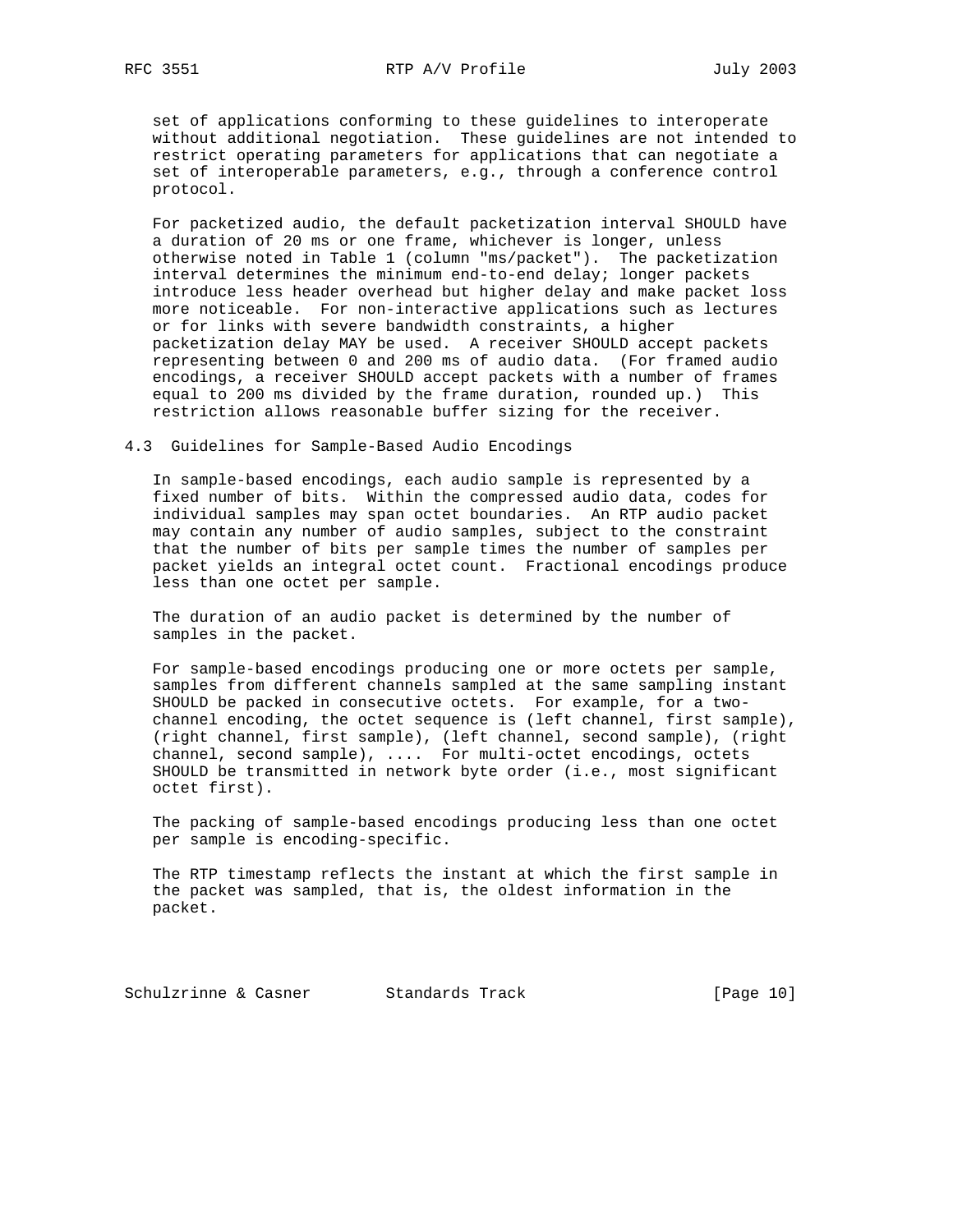set of applications conforming to these guidelines to interoperate without additional negotiation. These guidelines are not intended to restrict operating parameters for applications that can negotiate a set of interoperable parameters, e.g., through a conference control protocol.

 For packetized audio, the default packetization interval SHOULD have a duration of 20 ms or one frame, whichever is longer, unless otherwise noted in Table 1 (column "ms/packet"). The packetization interval determines the minimum end-to-end delay; longer packets introduce less header overhead but higher delay and make packet loss more noticeable. For non-interactive applications such as lectures or for links with severe bandwidth constraints, a higher packetization delay MAY be used. A receiver SHOULD accept packets representing between 0 and 200 ms of audio data. (For framed audio encodings, a receiver SHOULD accept packets with a number of frames equal to 200 ms divided by the frame duration, rounded up.) This restriction allows reasonable buffer sizing for the receiver.

4.3 Guidelines for Sample-Based Audio Encodings

 In sample-based encodings, each audio sample is represented by a fixed number of bits. Within the compressed audio data, codes for individual samples may span octet boundaries. An RTP audio packet may contain any number of audio samples, subject to the constraint that the number of bits per sample times the number of samples per packet yields an integral octet count. Fractional encodings produce less than one octet per sample.

 The duration of an audio packet is determined by the number of samples in the packet.

 For sample-based encodings producing one or more octets per sample, samples from different channels sampled at the same sampling instant SHOULD be packed in consecutive octets. For example, for a two channel encoding, the octet sequence is (left channel, first sample), (right channel, first sample), (left channel, second sample), (right channel, second sample), .... For multi-octet encodings, octets SHOULD be transmitted in network byte order (i.e., most significant octet first).

 The packing of sample-based encodings producing less than one octet per sample is encoding-specific.

 The RTP timestamp reflects the instant at which the first sample in the packet was sampled, that is, the oldest information in the packet.

Schulzrinne & Casner Standards Track [Page 10]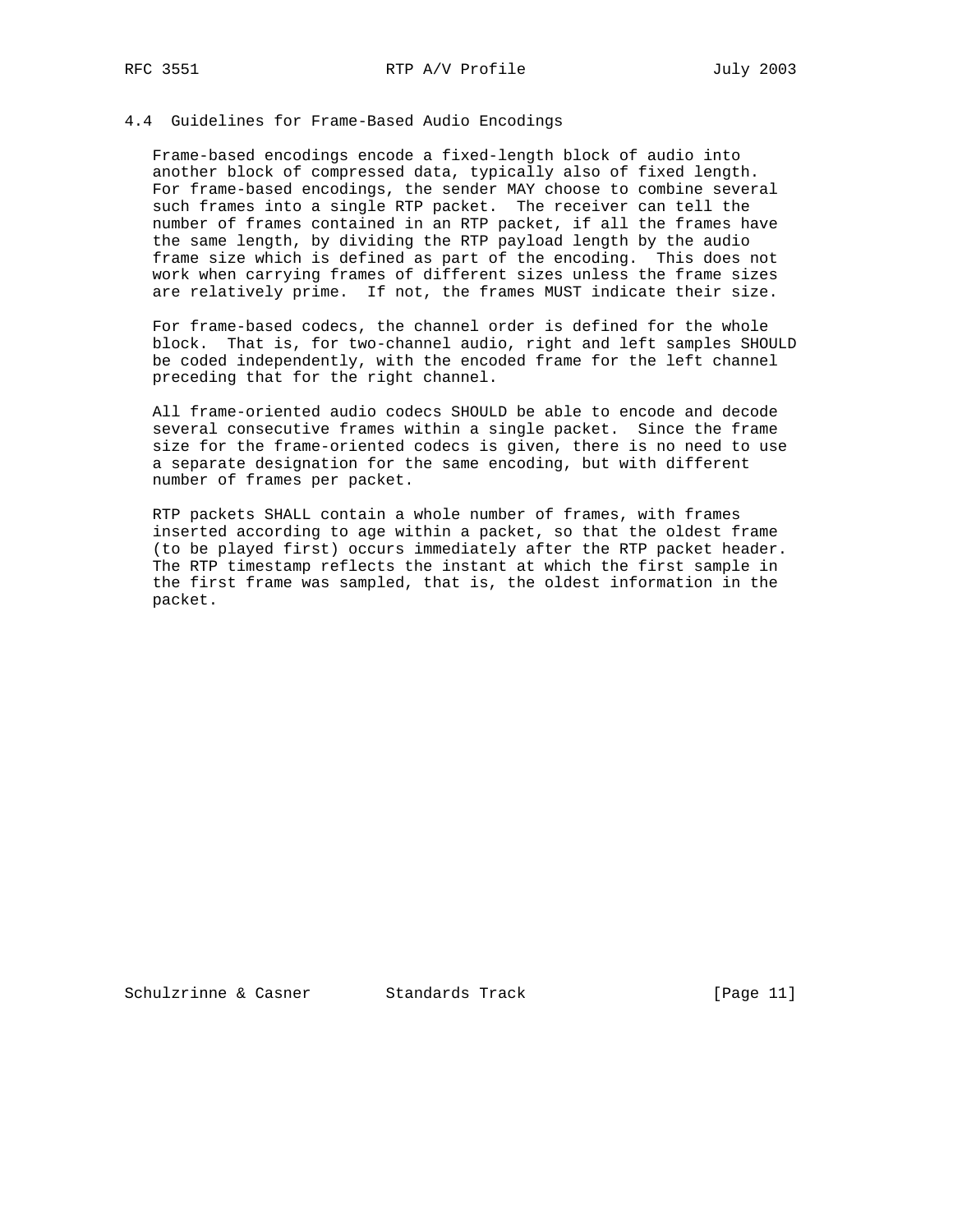### 4.4 Guidelines for Frame-Based Audio Encodings

 Frame-based encodings encode a fixed-length block of audio into another block of compressed data, typically also of fixed length. For frame-based encodings, the sender MAY choose to combine several such frames into a single RTP packet. The receiver can tell the number of frames contained in an RTP packet, if all the frames have the same length, by dividing the RTP payload length by the audio frame size which is defined as part of the encoding. This does not work when carrying frames of different sizes unless the frame sizes are relatively prime. If not, the frames MUST indicate their size.

 For frame-based codecs, the channel order is defined for the whole block. That is, for two-channel audio, right and left samples SHOULD be coded independently, with the encoded frame for the left channel preceding that for the right channel.

 All frame-oriented audio codecs SHOULD be able to encode and decode several consecutive frames within a single packet. Since the frame size for the frame-oriented codecs is given, there is no need to use a separate designation for the same encoding, but with different number of frames per packet.

 RTP packets SHALL contain a whole number of frames, with frames inserted according to age within a packet, so that the oldest frame (to be played first) occurs immediately after the RTP packet header. The RTP timestamp reflects the instant at which the first sample in the first frame was sampled, that is, the oldest information in the packet.

Schulzrinne & Casner Standards Track [Page 11]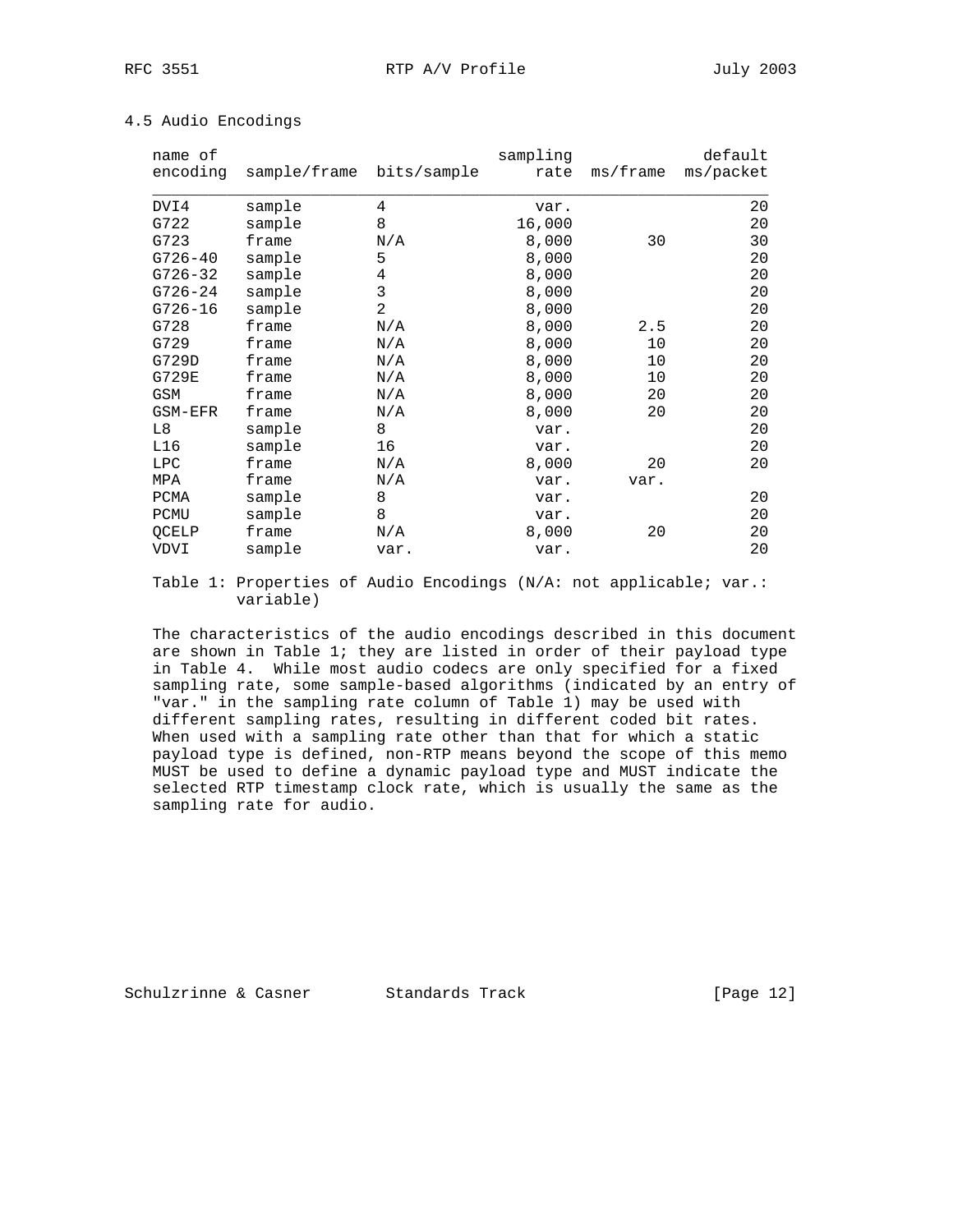| name of<br>encoding | sample/frame bits/sample |      | sampling<br>rate | ms/frame | default<br>ms/packet |
|---------------------|--------------------------|------|------------------|----------|----------------------|
| DVI4                | sample                   | 4    | var.             |          | 20                   |
| G722                | sample                   | 8    | 16,000           |          | 20                   |
| G723                | frame                    | N/A  | 8,000            | 30       | 30                   |
| $G726 - 40$         | sample                   | 5    | 8,000            |          | 20                   |
| $G726 - 32$         | sample                   | 4    | 8,000            |          | 20                   |
| $G726 - 24$         | sample                   | 3    | 8,000            |          | 20                   |
| $G726 - 16$         | sample                   | 2    | 8,000            |          | 20                   |
| G728                | frame                    | N/A  | 8,000            | 2.5      | 20                   |
| G729                | frame                    | N/A  | 8,000            | 10       | 20                   |
| G729D               | frame                    | N/A  | 8,000            | 10       | 20                   |
| G729E               | frame                    | N/A  | 8,000            | 10       | 20                   |
| GSM                 | frame                    | N/A  | 8,000            | 20       | 20                   |
| GSM-EFR             | frame                    | N/A  | 8,000            | 20       | 20                   |
| L8                  | sample                   | 8    | var.             |          | 20                   |
| L16                 | sample                   | 16   | var.             |          | 20                   |
| <b>LPC</b>          | frame                    | N/A  | 8,000            | 20       | 20                   |
| MPA                 | frame                    | N/A  | var.             | var.     |                      |
| PCMA                | sample                   | 8    | var.             |          | 20                   |
| PCMU                | sample                   | 8    | var.             |          | 20                   |
| QCELP               | frame                    | N/A  | 8,000            | 20       | 20                   |
| VDVI                | sample                   | var. | var.             |          | 20                   |

# 4.5 Audio Encodings

 Table 1: Properties of Audio Encodings (N/A: not applicable; var.: variable)

 The characteristics of the audio encodings described in this document are shown in Table 1; they are listed in order of their payload type in Table 4. While most audio codecs are only specified for a fixed sampling rate, some sample-based algorithms (indicated by an entry of "var." in the sampling rate column of Table 1) may be used with different sampling rates, resulting in different coded bit rates. When used with a sampling rate other than that for which a static payload type is defined, non-RTP means beyond the scope of this memo MUST be used to define a dynamic payload type and MUST indicate the selected RTP timestamp clock rate, which is usually the same as the sampling rate for audio.

Schulzrinne & Casner Standards Track [Page 12]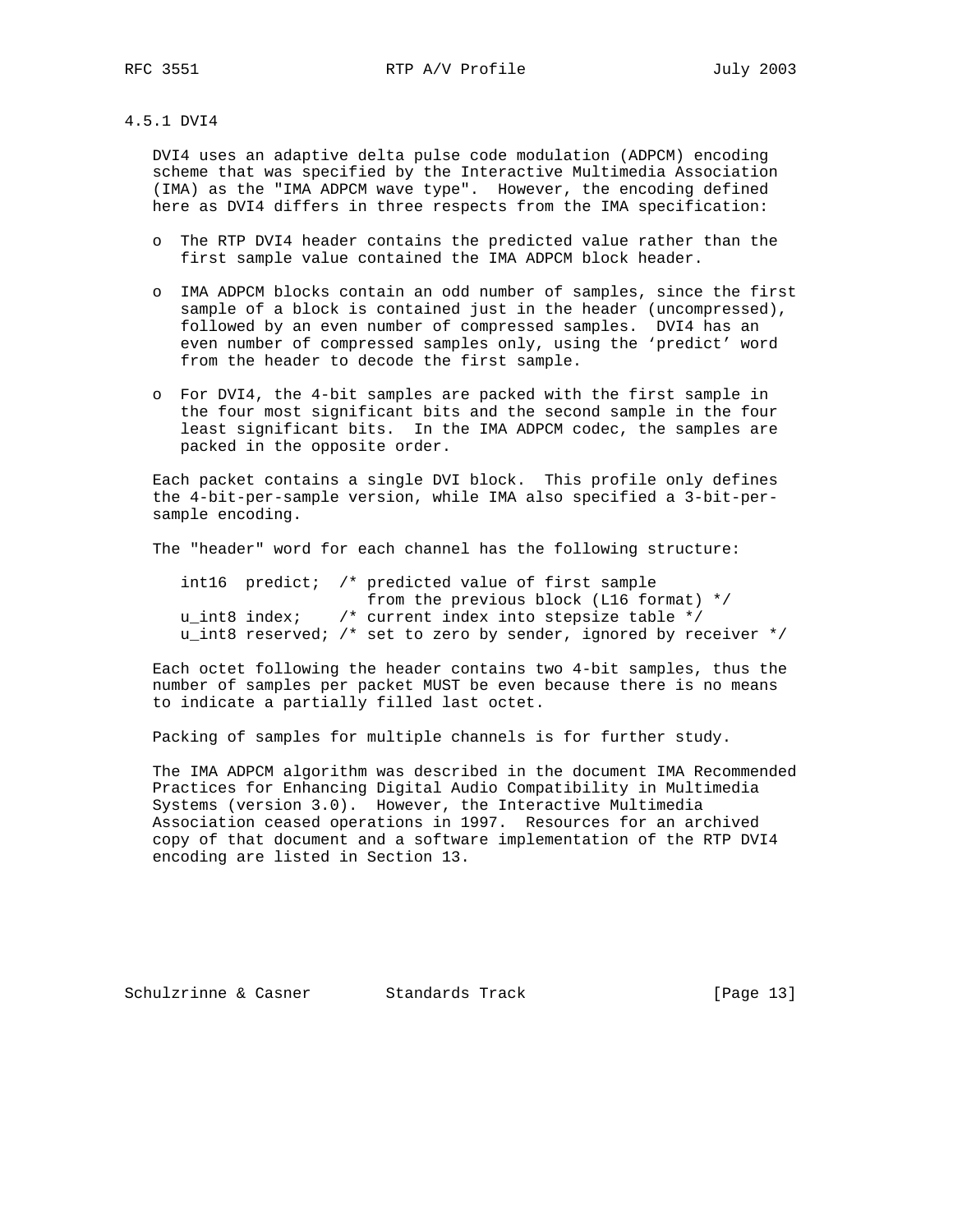4.5.1 DVI4

 DVI4 uses an adaptive delta pulse code modulation (ADPCM) encoding scheme that was specified by the Interactive Multimedia Association (IMA) as the "IMA ADPCM wave type". However, the encoding defined here as DVI4 differs in three respects from the IMA specification:

- o The RTP DVI4 header contains the predicted value rather than the first sample value contained the IMA ADPCM block header.
- o IMA ADPCM blocks contain an odd number of samples, since the first sample of a block is contained just in the header (uncompressed), followed by an even number of compressed samples. DVI4 has an even number of compressed samples only, using the 'predict' word from the header to decode the first sample.
- o For DVI4, the 4-bit samples are packed with the first sample in the four most significant bits and the second sample in the four least significant bits. In the IMA ADPCM codec, the samples are packed in the opposite order.

 Each packet contains a single DVI block. This profile only defines the 4-bit-per-sample version, while IMA also specified a 3-bit-per sample encoding.

The "header" word for each channel has the following structure:

|  |               | intl6 predict; /* predicted value of first sample                 |
|--|---------------|-------------------------------------------------------------------|
|  |               | from the previous block ( $LI6$ format) */                        |
|  | u int8 index; | $\prime$ * current index into stepsize table */                   |
|  |               | u_int8 reserved; /* set to zero by sender, ignored by receiver */ |

 Each octet following the header contains two 4-bit samples, thus the number of samples per packet MUST be even because there is no means to indicate a partially filled last octet.

Packing of samples for multiple channels is for further study.

 The IMA ADPCM algorithm was described in the document IMA Recommended Practices for Enhancing Digital Audio Compatibility in Multimedia Systems (version 3.0). However, the Interactive Multimedia Association ceased operations in 1997. Resources for an archived copy of that document and a software implementation of the RTP DVI4 encoding are listed in Section 13.

Schulzrinne & Casner Standards Track [Page 13]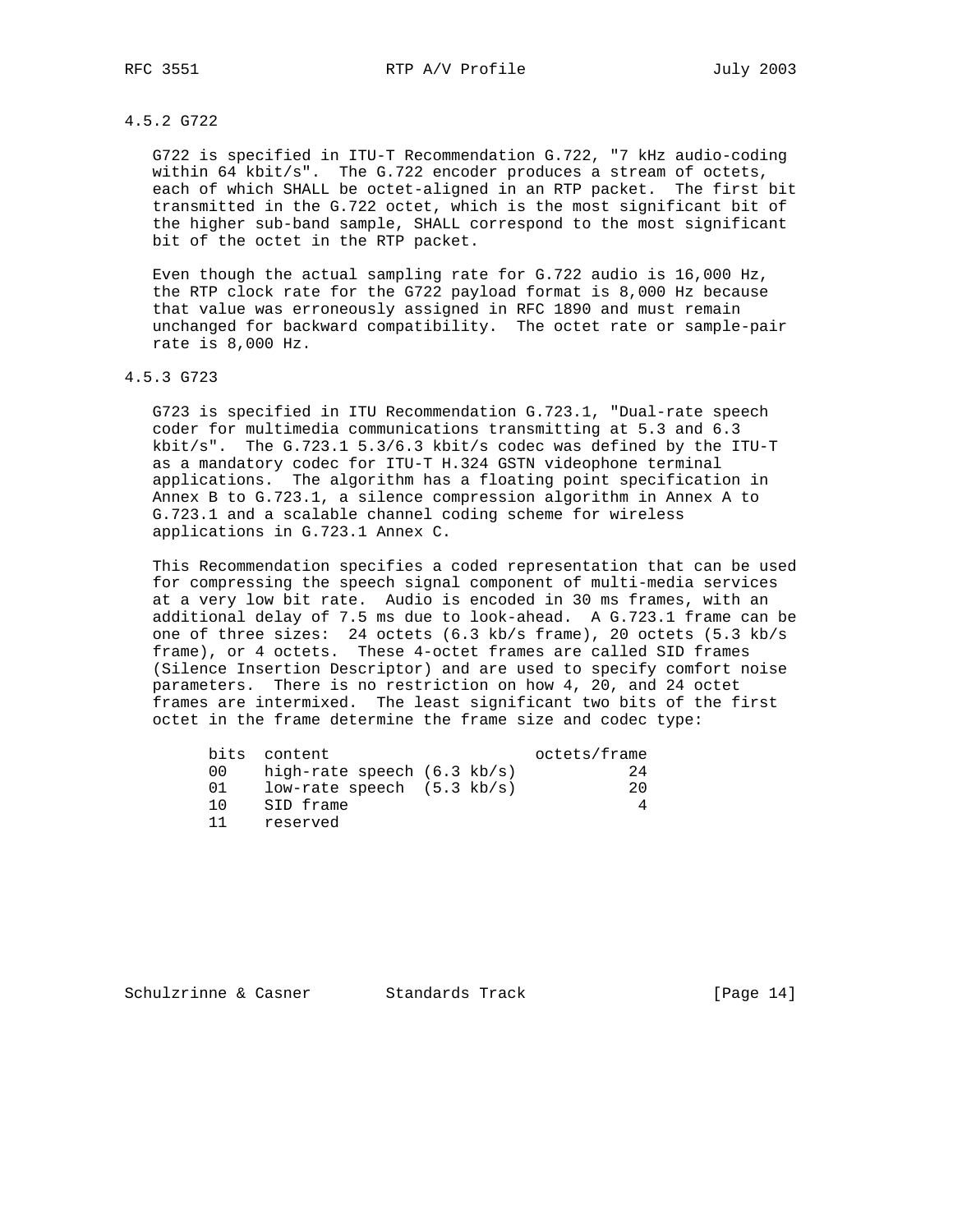# 4.5.2 G722

 G722 is specified in ITU-T Recommendation G.722, "7 kHz audio-coding within 64 kbit/s". The G.722 encoder produces a stream of octets, each of which SHALL be octet-aligned in an RTP packet. The first bit transmitted in the G.722 octet, which is the most significant bit of the higher sub-band sample, SHALL correspond to the most significant bit of the octet in the RTP packet.

 Even though the actual sampling rate for G.722 audio is 16,000 Hz, the RTP clock rate for the G722 payload format is 8,000 Hz because that value was erroneously assigned in RFC 1890 and must remain unchanged for backward compatibility. The octet rate or sample-pair rate is 8,000 Hz.

### 4.5.3 G723

 G723 is specified in ITU Recommendation G.723.1, "Dual-rate speech coder for multimedia communications transmitting at 5.3 and 6.3 kbit/s". The G.723.1 5.3/6.3 kbit/s codec was defined by the ITU-T as a mandatory codec for ITU-T H.324 GSTN videophone terminal applications. The algorithm has a floating point specification in Annex B to G.723.1, a silence compression algorithm in Annex A to G.723.1 and a scalable channel coding scheme for wireless applications in G.723.1 Annex C.

 This Recommendation specifies a coded representation that can be used for compressing the speech signal component of multi-media services at a very low bit rate. Audio is encoded in 30 ms frames, with an additional delay of 7.5 ms due to look-ahead. A G.723.1 frame can be one of three sizes: 24 octets (6.3 kb/s frame), 20 octets (5.3 kb/s frame), or 4 octets. These 4-octet frames are called SID frames (Silence Insertion Descriptor) and are used to specify comfort noise parameters. There is no restriction on how 4, 20, and 24 octet frames are intermixed. The least significant two bits of the first octet in the frame determine the frame size and codec type:

| bits | content                               |  | octets/frame |
|------|---------------------------------------|--|--------------|
| 00.  | high-rate speech $(6.3 \text{ kb/s})$ |  | 24           |
| 01   | low-rate speech $(5.3 \text{ kb/s})$  |  | 20           |
| 1 O  | SID frame                             |  |              |
|      | reserved                              |  |              |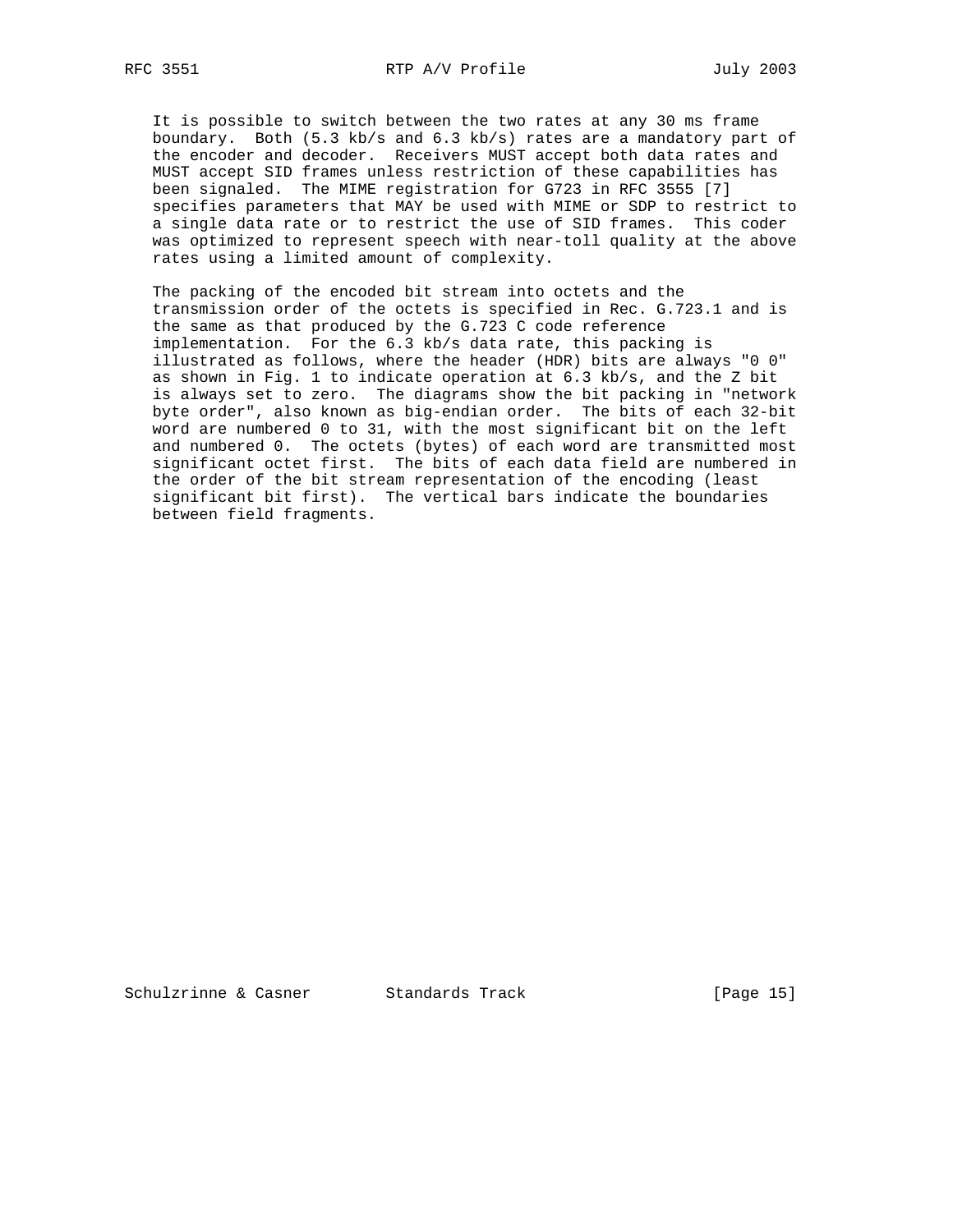It is possible to switch between the two rates at any 30 ms frame boundary. Both (5.3 kb/s and 6.3 kb/s) rates are a mandatory part of the encoder and decoder. Receivers MUST accept both data rates and MUST accept SID frames unless restriction of these capabilities has been signaled. The MIME registration for G723 in RFC 3555 [7] specifies parameters that MAY be used with MIME or SDP to restrict to a single data rate or to restrict the use of SID frames. This coder was optimized to represent speech with near-toll quality at the above rates using a limited amount of complexity.

 The packing of the encoded bit stream into octets and the transmission order of the octets is specified in Rec. G.723.1 and is the same as that produced by the G.723 C code reference implementation. For the 6.3 kb/s data rate, this packing is illustrated as follows, where the header (HDR) bits are always "0 0" as shown in Fig. 1 to indicate operation at 6.3 kb/s, and the Z bit is always set to zero. The diagrams show the bit packing in "network byte order", also known as big-endian order. The bits of each 32-bit word are numbered 0 to 31, with the most significant bit on the left and numbered 0. The octets (bytes) of each word are transmitted most significant octet first. The bits of each data field are numbered in the order of the bit stream representation of the encoding (least significant bit first). The vertical bars indicate the boundaries between field fragments.

Schulzrinne & Casner Standards Track [Page 15]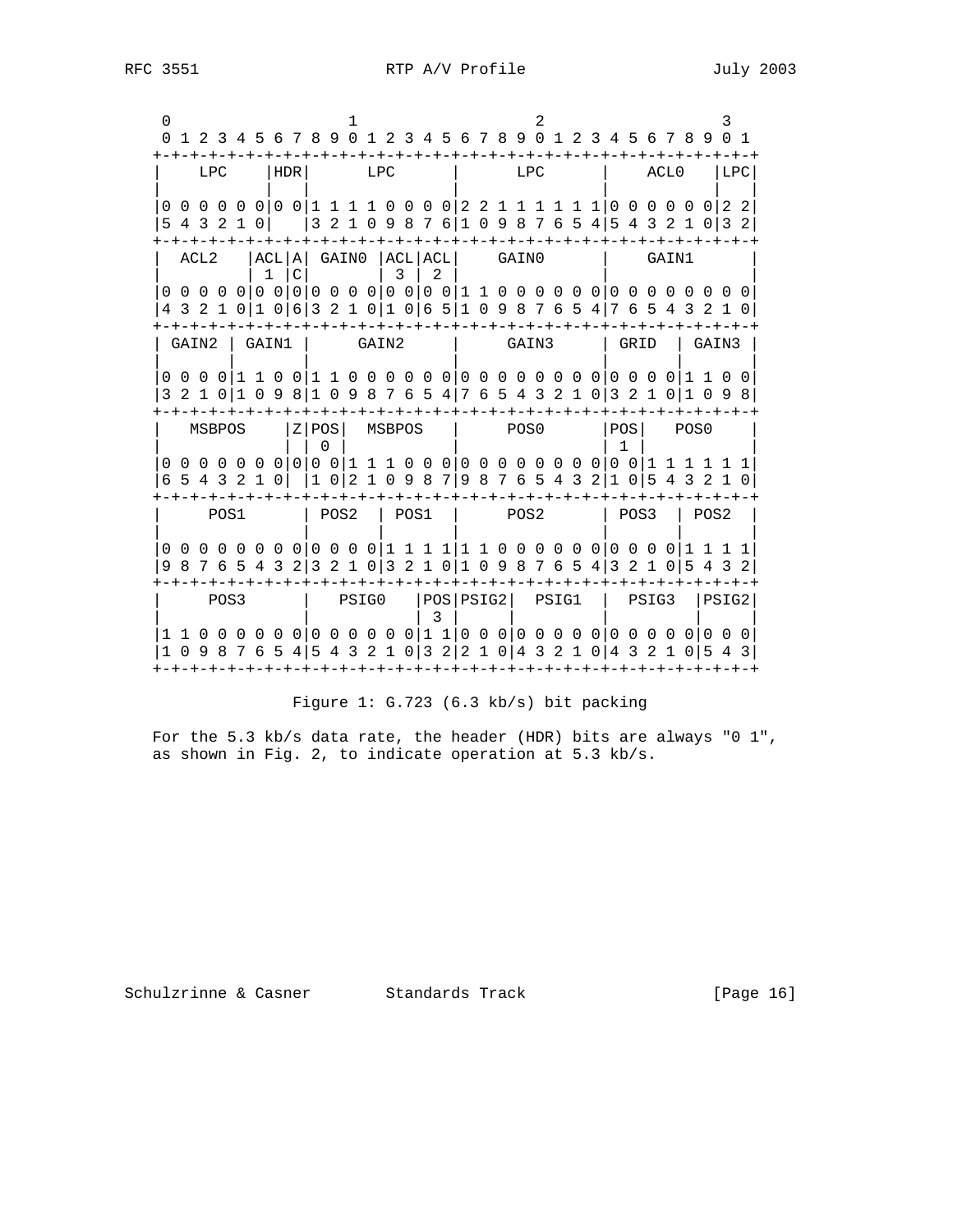|             |      |      |        |              |               | 0 1 2 3 4 5 6 7 8 9 0 1 2 3 4 5 6 7 8 9 0 1 2 3 4 5 6 7 8 9 0 1                                                                            |  |     |                |  |   |  |                                 |     |  |  |           |  |       |        |       |                                                                     |  |
|-------------|------|------|--------|--------------|---------------|--------------------------------------------------------------------------------------------------------------------------------------------|--|-----|----------------|--|---|--|---------------------------------|-----|--|--|-----------|--|-------|--------|-------|---------------------------------------------------------------------|--|
|             |      |      | LPC    | HDR          |               |                                                                                                                                            |  | LPC |                |  |   |  |                                 | LPC |  |  |           |  | ACL0  |        | LPC   |                                                                     |  |
| 5 4 3 2 1 0 |      |      |        |              |               | 3 2 1 0 9 8 7 6   1 0 9 8 7 6 5 4   5 4 3 2 1 0   3 2                                                                                      |  |     |                |  |   |  |                                 |     |  |  |           |  |       |        |       |                                                                     |  |
|             | ACL2 |      |        | $\mathbf{1}$ | $\mathcal{C}$ | ACL A  GAINO  ACL ACL                                                                                                                      |  |     | $\overline{3}$ |  | 2 |  | -+-+-+-+-+-+-+-+-+<br>GAIN0     |     |  |  |           |  | GAIN1 |        |       |                                                                     |  |
|             |      |      |        |              |               | 0 0 0 0 0 0 0 0 0 0 0 0 0 0 0 0 0 0 1 1 0 0 0 0 0 0 0 0 0 0 0 0 0 0 0<br>4 3 2 1 0 1 0 6 6 3 2 1 0 1 0 6 5 1 0 9 8 7 6 5 4 7 6 5 4 3 2 1 0 |  |     |                |  |   |  |                                 |     |  |  |           |  |       |        |       |                                                                     |  |
|             |      |      |        |              |               | GAIN2   GAIN1   GAIN2                                                                                                                      |  |     |                |  |   |  | GAIN3                           |     |  |  | l GRID    |  |       |        | GAIN3 |                                                                     |  |
|             |      |      |        |              |               |                                                                                                                                            |  |     |                |  |   |  |                                 |     |  |  |           |  |       |        |       | 3 2 1 0 1 0 9 8 1 0 9 8 7 6 5 4 7 6 5 4 3 2 1 0 3 2 1 0 1 0 9 8     |  |
|             |      |      | MSBPOS |              |               | $ Z POS $ MSBPOS $ $ POSO                                                                                                                  |  |     |                |  |   |  |                                 |     |  |  | POSI POSO |  |       |        |       |                                                                     |  |
|             |      |      |        |              |               | 6 5 4 3 2 1 0   1 0   2 1 0 9 8 7   9 8 7 6 5 4 3 2   1 0   5 4 3 2 1 0                                                                    |  |     |                |  |   |  |                                 |     |  |  |           |  |       |        |       |                                                                     |  |
|             |      | POS1 |        |              |               | POS2   POS1   POS2                                                                                                                         |  |     |                |  |   |  |                                 |     |  |  | l POS3    |  |       | l POS2 |       |                                                                     |  |
|             |      |      |        |              |               | 9 8 7 6 5 4 3 2 3 2 1 0 3 2 1 0 1 0 9 8 7 6 5 4 3 2 1 0 5 4 3 2                                                                            |  |     |                |  |   |  |                                 |     |  |  |           |  |       |        |       | 0 0 0 0 0 0 0 0 0 0 0 0 0 1 1 1 1 1 1 0 0 0 0 0 0 0 0 0 0 1 1 1 1 1 |  |
|             |      | POS3 |        |              |               |                                                                                                                                            |  |     |                |  |   |  | PSIGO  POS PSIG2  PSIG1   PSIG3 |     |  |  |           |  |       |        | PSIG2 |                                                                     |  |
|             |      |      |        |              |               | 1 0 9 8 7 6 5 4 5 4 3 2 1 0 3 2 2 1 0 4 3 2 1 0 4 3 2 1 0 5 4 3                                                                            |  |     |                |  |   |  |                                 |     |  |  |           |  |       |        |       |                                                                     |  |
|             |      |      |        |              |               | +-+-+-+-+-+-+-+-+-+-+                                                                                                                      |  |     |                |  |   |  |                                 |     |  |  |           |  |       |        |       |                                                                     |  |

# Figure 1: G.723 (6.3 kb/s) bit packing

For the 5.3 kb/s data rate, the header (HDR) bits are always "0 1", as shown in Fig. 2, to indicate operation at 5.3 kb/s.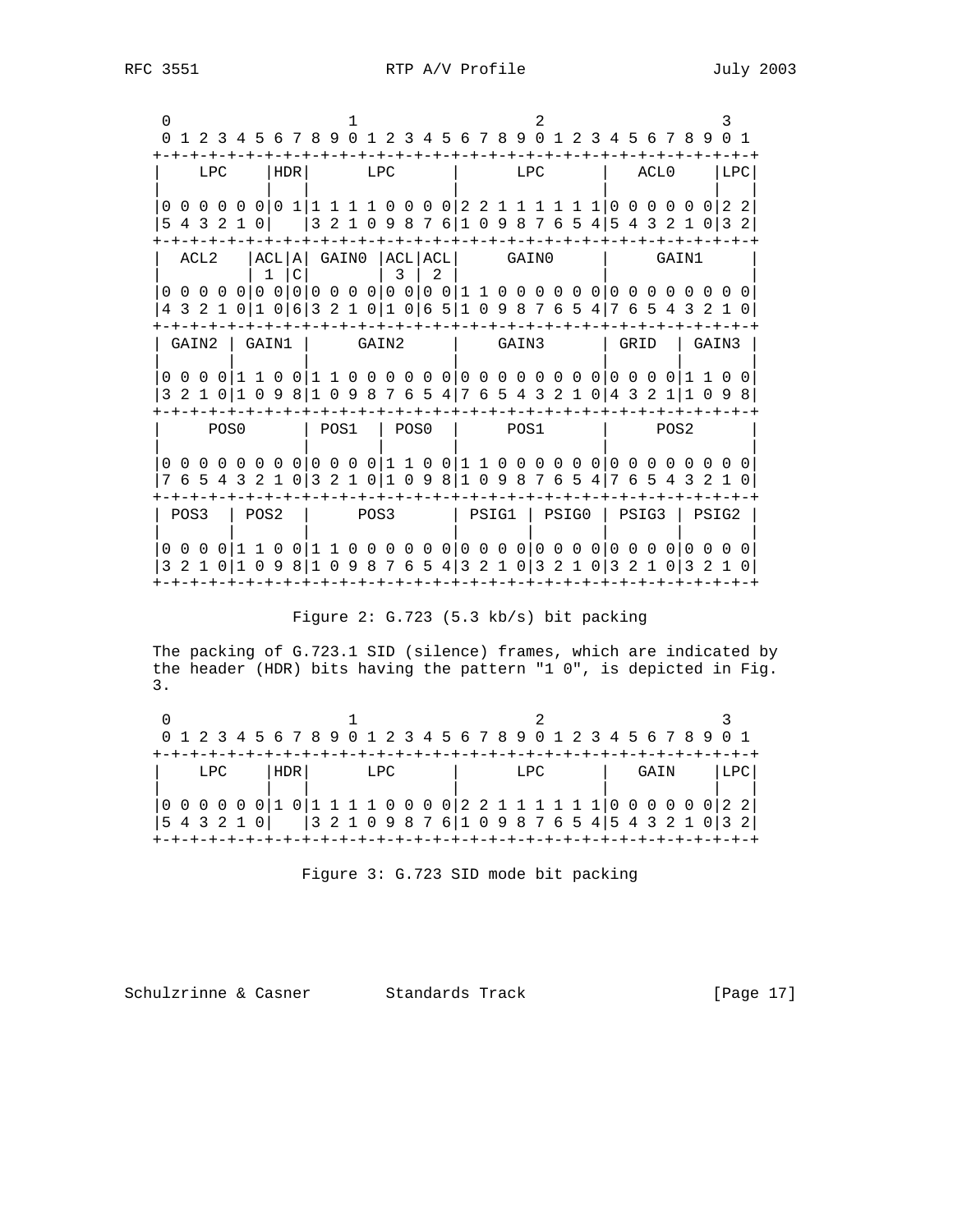| ACLO<br>  LPC<br>LPC.<br>  HDR  <br><b>LPC</b><br>LPC<br>0 0 0 0 0 0 0 0 1 1 1 1 1 0 0 0 0 1 2 2 1 1 1<br>1 1 1 1 0 0 0 0 0 0 1 2 2<br>  3 2 1 0 9 8 7 6   1 0 9 8 7 6 5 4   5 4 3 2 1 0   3 2  <br>5 4 3 2 1 0<br>-+-+-+-+-+-+-+-+-+-+-+-+-+-+-+-+-<br>  ACL   A   GAINO   ACL   ACL   GAINO<br>ACL2<br>GAIN1<br>$\mathbf{3}$<br>$\mathcal{C}$<br>$\mathbf{1}$<br>2<br>0 0 0 0 0 0 0 0 0 0 0 0 0 0 0 0 0 1 1 0 0 0 0 0 0 0 0 0 0 0 0 0 0 0<br>4 3 2 1 0 1 0 1 6 1 3 2 1 0 1 0 1 6 5 1 0 9 8 7 6 5 4 1 7 6 5 4 3 2 1 0<br>GAIN2   GAIN1<br>GAIN2<br>  GAIN3<br>  GRID   GAIN3<br>3 2 1 0 1 0 9 8 1 0 9 8 7 6 5 4 7 6 5 4 3 2 1 0 4 3 2 1 1 0 9 8<br>POS2<br>POS0<br>  POS1   POS0<br>l POS1<br>0 0 0 0 0 0 0 0 0 0 0 0 1 1 0 0 1 1 0 0 0 0 0 0 0 0 0 0 0 0 0 0 0 0<br>7 6 5 4 3 2 1 0 3 2 1 0 1 0 9 8 1 0 9 8 7 6 5 4 7 6 5 4 3 2 1 0<br>POS3   POS2<br>  PSIG1   PSIG0   PSIG3   PSIG2<br>POS3<br>3 2 1 0 1 0 9 8 1 0 9 8 7 6 5 4 3 2 1 0 3 2 1 0 3 2 1 0 3 2 1 0 | 0 1 2 3 4 5 6 7 8 9 0 1 2 3 4 5 6 7 8 9 0 1 2 3 4 5 6 7 8 9 0 1 |  |  |  |  |  |  |  |  |  |  |  |  |
|--------------------------------------------------------------------------------------------------------------------------------------------------------------------------------------------------------------------------------------------------------------------------------------------------------------------------------------------------------------------------------------------------------------------------------------------------------------------------------------------------------------------------------------------------------------------------------------------------------------------------------------------------------------------------------------------------------------------------------------------------------------------------------------------------------------------------------------------------------------------------------------------------------------------------------------------------------------------|-----------------------------------------------------------------|--|--|--|--|--|--|--|--|--|--|--|--|
|                                                                                                                                                                                                                                                                                                                                                                                                                                                                                                                                                                                                                                                                                                                                                                                                                                                                                                                                                                    |                                                                 |  |  |  |  |  |  |  |  |  |  |  |  |
|                                                                                                                                                                                                                                                                                                                                                                                                                                                                                                                                                                                                                                                                                                                                                                                                                                                                                                                                                                    |                                                                 |  |  |  |  |  |  |  |  |  |  |  |  |
|                                                                                                                                                                                                                                                                                                                                                                                                                                                                                                                                                                                                                                                                                                                                                                                                                                                                                                                                                                    |                                                                 |  |  |  |  |  |  |  |  |  |  |  |  |
|                                                                                                                                                                                                                                                                                                                                                                                                                                                                                                                                                                                                                                                                                                                                                                                                                                                                                                                                                                    |                                                                 |  |  |  |  |  |  |  |  |  |  |  |  |
|                                                                                                                                                                                                                                                                                                                                                                                                                                                                                                                                                                                                                                                                                                                                                                                                                                                                                                                                                                    |                                                                 |  |  |  |  |  |  |  |  |  |  |  |  |
|                                                                                                                                                                                                                                                                                                                                                                                                                                                                                                                                                                                                                                                                                                                                                                                                                                                                                                                                                                    |                                                                 |  |  |  |  |  |  |  |  |  |  |  |  |
|                                                                                                                                                                                                                                                                                                                                                                                                                                                                                                                                                                                                                                                                                                                                                                                                                                                                                                                                                                    |                                                                 |  |  |  |  |  |  |  |  |  |  |  |  |
|                                                                                                                                                                                                                                                                                                                                                                                                                                                                                                                                                                                                                                                                                                                                                                                                                                                                                                                                                                    |                                                                 |  |  |  |  |  |  |  |  |  |  |  |  |
|                                                                                                                                                                                                                                                                                                                                                                                                                                                                                                                                                                                                                                                                                                                                                                                                                                                                                                                                                                    |                                                                 |  |  |  |  |  |  |  |  |  |  |  |  |
|                                                                                                                                                                                                                                                                                                                                                                                                                                                                                                                                                                                                                                                                                                                                                                                                                                                                                                                                                                    |                                                                 |  |  |  |  |  |  |  |  |  |  |  |  |

Figure 2: G.723 (5.3 kb/s) bit packing

 The packing of G.723.1 SID (silence) frames, which are indicated by the header (HDR) bits having the pattern "1 0", is depicted in Fig. 3.

| 0 1 2 3 4 5 6 7 8 9 0 1 2 3 4 5 6 7 8 9 0 1 2 3 4 5 6 7 8 9 0 1                                    |     |  |     |  |  |     |  |  |  |      |  |  |  |      |  |  |  |
|----------------------------------------------------------------------------------------------------|-----|--|-----|--|--|-----|--|--|--|------|--|--|--|------|--|--|--|
|                                                                                                    |     |  |     |  |  |     |  |  |  |      |  |  |  |      |  |  |  |
|                                                                                                    | LPC |  | HDR |  |  | LPC |  |  |  | T.PC |  |  |  | GAIN |  |  |  |
|                                                                                                    |     |  |     |  |  |     |  |  |  |      |  |  |  |      |  |  |  |
| $(0\ 0\ 0\ 0\ 0\ 0\ 1\ 0\ 1\ 1\ 1\ 1\ 0\ 0\ 0\ 0\ 2\ 2\ 1\ 1\ 1\ 1\ 1\ 1\ 0\ 0\ 0\ 0\ 0\ 0\ 2\ 2]$ |     |  |     |  |  |     |  |  |  |      |  |  |  |      |  |  |  |
| 5 4 3 2 1 0     0 2 1 0 9 8 7 6   1 0 9 8 7 6 5 4   5 4 3 2 1 0   3 2                              |     |  |     |  |  |     |  |  |  |      |  |  |  |      |  |  |  |
|                                                                                                    |     |  |     |  |  |     |  |  |  |      |  |  |  |      |  |  |  |

Figure 3: G.723 SID mode bit packing

Schulzrinne & Casner Standards Track [Page 17]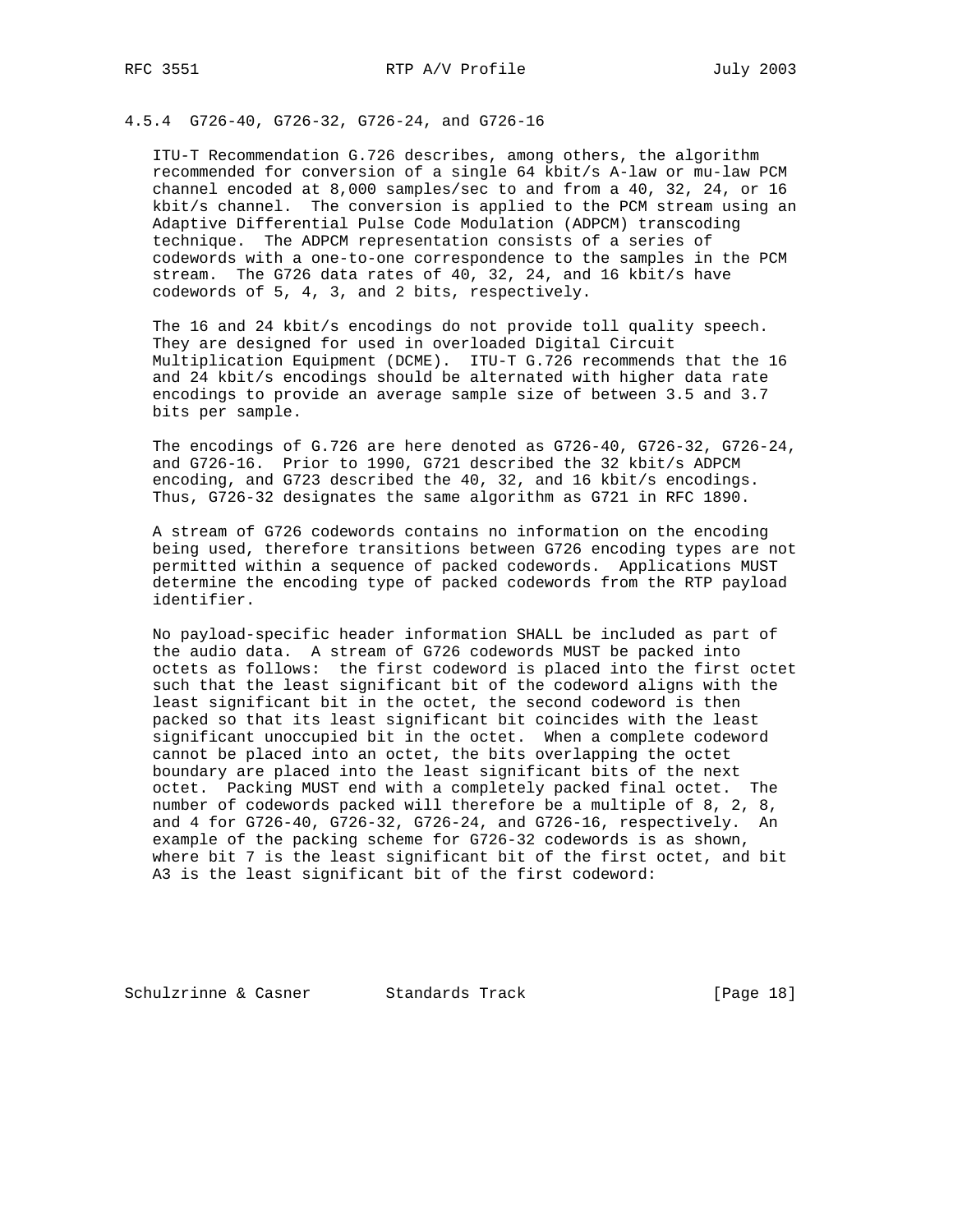# 4.5.4 G726-40, G726-32, G726-24, and G726-16

 ITU-T Recommendation G.726 describes, among others, the algorithm recommended for conversion of a single 64 kbit/s A-law or mu-law PCM channel encoded at 8,000 samples/sec to and from a 40, 32, 24, or 16 kbit/s channel. The conversion is applied to the PCM stream using an Adaptive Differential Pulse Code Modulation (ADPCM) transcoding technique. The ADPCM representation consists of a series of codewords with a one-to-one correspondence to the samples in the PCM stream. The G726 data rates of 40, 32, 24, and 16 kbit/s have codewords of 5, 4, 3, and 2 bits, respectively.

 The 16 and 24 kbit/s encodings do not provide toll quality speech. They are designed for used in overloaded Digital Circuit Multiplication Equipment (DCME). ITU-T G.726 recommends that the 16 and 24 kbit/s encodings should be alternated with higher data rate encodings to provide an average sample size of between 3.5 and 3.7 bits per sample.

 The encodings of G.726 are here denoted as G726-40, G726-32, G726-24, and G726-16. Prior to 1990, G721 described the 32 kbit/s ADPCM encoding, and G723 described the 40, 32, and 16 kbit/s encodings. Thus, G726-32 designates the same algorithm as G721 in RFC 1890.

 A stream of G726 codewords contains no information on the encoding being used, therefore transitions between G726 encoding types are not permitted within a sequence of packed codewords. Applications MUST determine the encoding type of packed codewords from the RTP payload identifier.

 No payload-specific header information SHALL be included as part of the audio data. A stream of G726 codewords MUST be packed into octets as follows: the first codeword is placed into the first octet such that the least significant bit of the codeword aligns with the least significant bit in the octet, the second codeword is then packed so that its least significant bit coincides with the least significant unoccupied bit in the octet. When a complete codeword cannot be placed into an octet, the bits overlapping the octet boundary are placed into the least significant bits of the next octet. Packing MUST end with a completely packed final octet. The number of codewords packed will therefore be a multiple of 8, 2, 8, and 4 for G726-40, G726-32, G726-24, and G726-16, respectively. An example of the packing scheme for G726-32 codewords is as shown, where bit 7 is the least significant bit of the first octet, and bit A3 is the least significant bit of the first codeword:

Schulzrinne & Casner Standards Track [Page 18]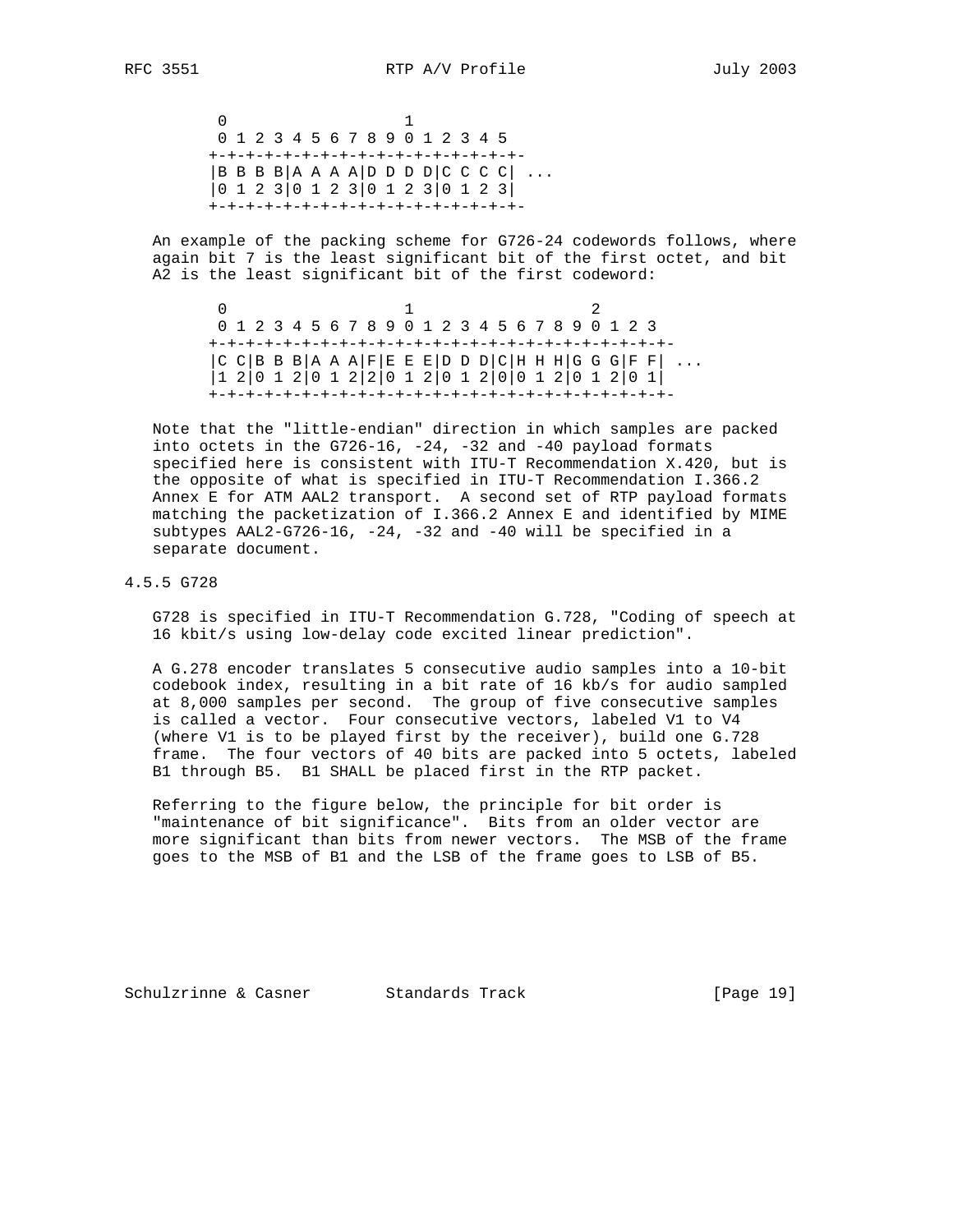0 1 0 1 2 3 4 5 6 7 8 9 0 1 2 3 4 5 +-+-+-+-+-+-+-+-+-+-+-+-+-+-+-+-+-  $|B \, B \, B \, B|$ A A A A D D D D  $|C \, C \, C \, C|$  ... |0 1 2 3|0 1 2 3|0 1 2 3|0 1 2 3| +-+-+-+-+-+-+-+-+-+-+-+-+-+-+-+-+-

 An example of the packing scheme for G726-24 codewords follows, where again bit 7 is the least significant bit of the first octet, and bit A2 is the least significant bit of the first codeword:

 $\begin{array}{ccc} 0 & 1 & 2 \end{array}$  0 1 2 3 4 5 6 7 8 9 0 1 2 3 4 5 6 7 8 9 0 1 2 3 +-+-+-+-+-+-+-+-+-+-+-+-+-+-+-+-+-+-+-+-+-+-+-+-+-  $|C|$  C  $|B|$  B  $B$   $|A|$  A  $A$   $|F|$  E  $E$   $|D|$   $D$   $D$   $|C|$  H  $H$   $H$   $|G|$   $G$   $G$   $|F|$   $F|$   $\dots$  |1 2|0 1 2|0 1 2|2|0 1 2|0 1 2|0|0 1 2|0 1 2|0 1| +-+-+-+-+-+-+-+-+-+-+-+-+-+-+-+-+-+-+-+-+-+-+-+-+-

 Note that the "little-endian" direction in which samples are packed into octets in the  $G726-16$ ,  $-24$ ,  $-32$  and  $-40$  payload formats specified here is consistent with ITU-T Recommendation X.420, but is the opposite of what is specified in ITU-T Recommendation I.366.2 Annex E for ATM AAL2 transport. A second set of RTP payload formats matching the packetization of I.366.2 Annex E and identified by MIME subtypes AAL2-G726-16, -24, -32 and -40 will be specified in a separate document.

#### 4.5.5 G728

 G728 is specified in ITU-T Recommendation G.728, "Coding of speech at 16 kbit/s using low-delay code excited linear prediction".

 A G.278 encoder translates 5 consecutive audio samples into a 10-bit codebook index, resulting in a bit rate of 16 kb/s for audio sampled at 8,000 samples per second. The group of five consecutive samples is called a vector. Four consecutive vectors, labeled V1 to V4 (where V1 is to be played first by the receiver), build one G.728 frame. The four vectors of 40 bits are packed into 5 octets, labeled B1 through B5. B1 SHALL be placed first in the RTP packet.

 Referring to the figure below, the principle for bit order is "maintenance of bit significance". Bits from an older vector are more significant than bits from newer vectors. The MSB of the frame goes to the MSB of B1 and the LSB of the frame goes to LSB of B5.

Schulzrinne & Casner Standards Track [Page 19]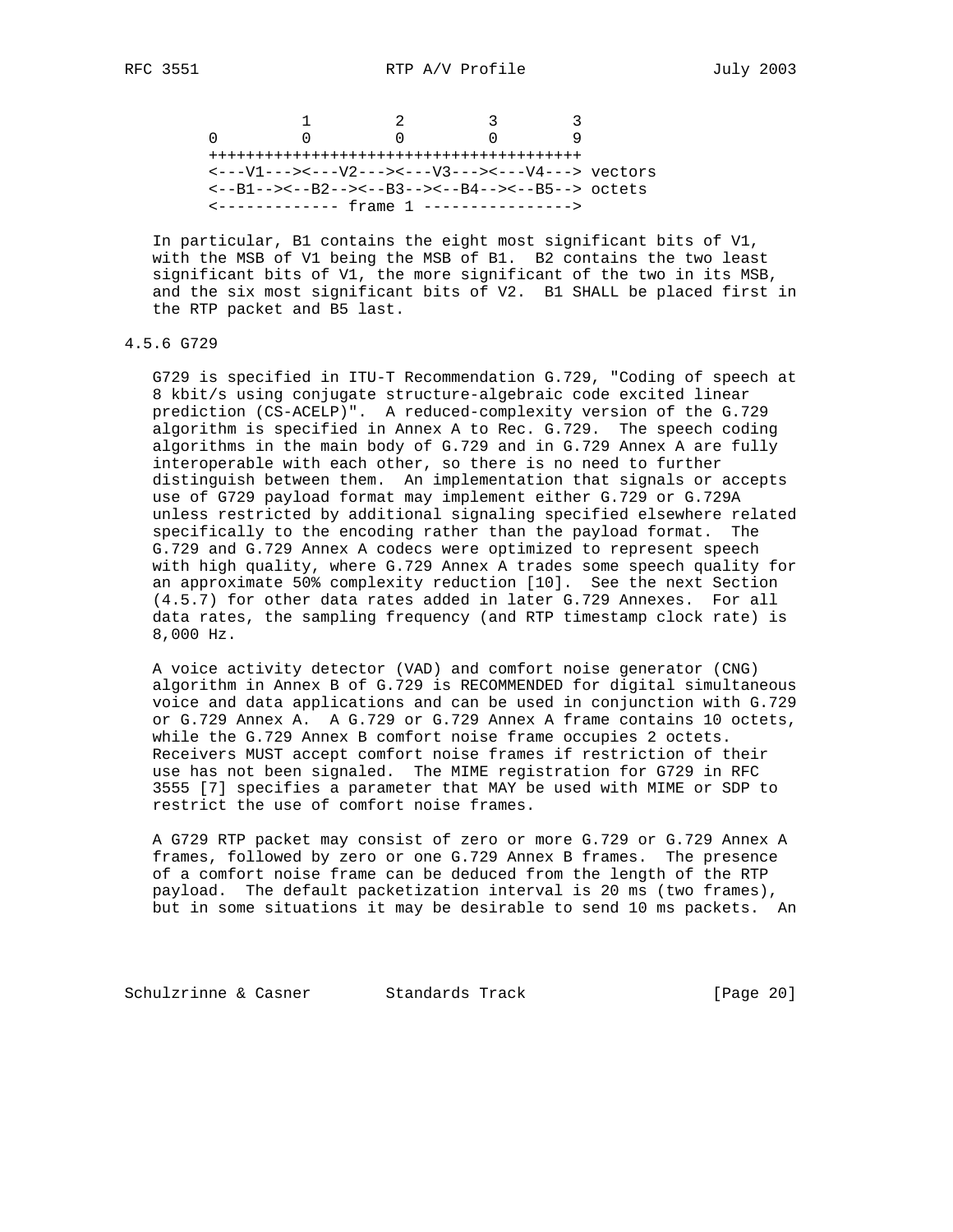1 2 3 3 0 0 0 0 9 ++++++++++++++++++++++++++++++++++++++++ <---V1---><---V2---><---V3---><---V4---> vectors <--B1--><--B2--><--B3--><--B4--><--B5--> octets <------------- frame 1 ---------------->

 In particular, B1 contains the eight most significant bits of V1, with the MSB of V1 being the MSB of B1. B2 contains the two least significant bits of V1, the more significant of the two in its MSB, and the six most significant bits of V2. B1 SHALL be placed first in the RTP packet and B5 last.

### 4.5.6 G729

 G729 is specified in ITU-T Recommendation G.729, "Coding of speech at 8 kbit/s using conjugate structure-algebraic code excited linear prediction (CS-ACELP)". A reduced-complexity version of the G.729 algorithm is specified in Annex A to Rec. G.729. The speech coding algorithms in the main body of G.729 and in G.729 Annex A are fully interoperable with each other, so there is no need to further distinguish between them. An implementation that signals or accepts use of G729 payload format may implement either G.729 or G.729A unless restricted by additional signaling specified elsewhere related specifically to the encoding rather than the payload format. The G.729 and G.729 Annex A codecs were optimized to represent speech with high quality, where G.729 Annex A trades some speech quality for an approximate 50% complexity reduction [10]. See the next Section (4.5.7) for other data rates added in later G.729 Annexes. For all data rates, the sampling frequency (and RTP timestamp clock rate) is 8,000 Hz.

 A voice activity detector (VAD) and comfort noise generator (CNG) algorithm in Annex B of G.729 is RECOMMENDED for digital simultaneous voice and data applications and can be used in conjunction with G.729 or G.729 Annex A. A G.729 or G.729 Annex A frame contains 10 octets, while the G.729 Annex B comfort noise frame occupies 2 octets. Receivers MUST accept comfort noise frames if restriction of their use has not been signaled. The MIME registration for G729 in RFC 3555 [7] specifies a parameter that MAY be used with MIME or SDP to restrict the use of comfort noise frames.

 A G729 RTP packet may consist of zero or more G.729 or G.729 Annex A frames, followed by zero or one G.729 Annex B frames. The presence of a comfort noise frame can be deduced from the length of the RTP payload. The default packetization interval is 20 ms (two frames), but in some situations it may be desirable to send 10 ms packets. An

Schulzrinne & Casner Standards Track (Page 20)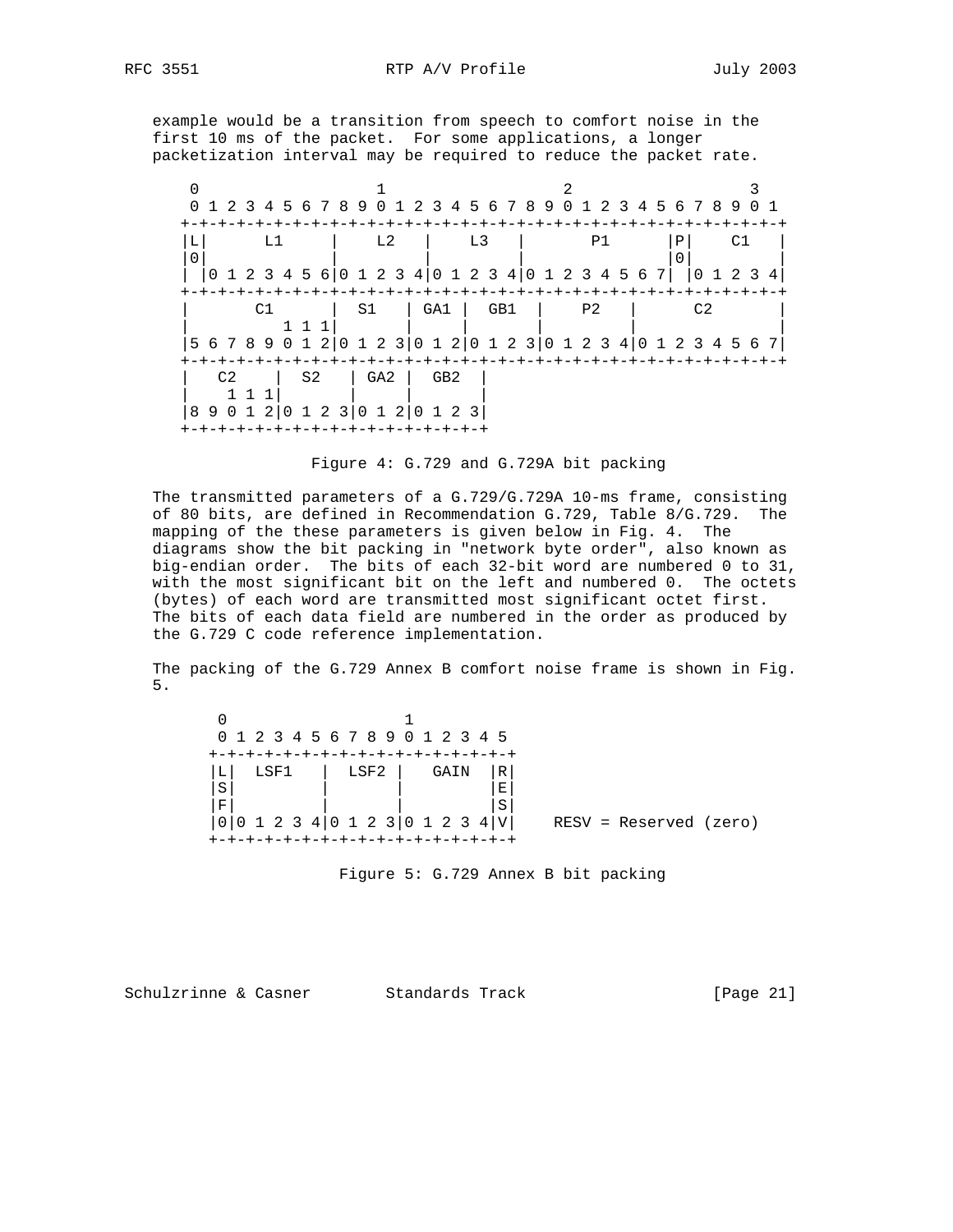example would be a transition from speech to comfort noise in the first 10 ms of the packet. For some applications, a longer packetization interval may be required to reduce the packet rate.

| 0                                                                         | 1 2 3 4 5 6 7 8 9 0 1 2 3 4 5 6 7 8 9 0 1 2 3 4 5 6 7 8 9 |                       |     |    |  |    |                 |   |                                |                |     |  |  |                |    |  |        |    |       |   |
|---------------------------------------------------------------------------|-----------------------------------------------------------|-----------------------|-----|----|--|----|-----------------|---|--------------------------------|----------------|-----|--|--|----------------|----|--|--------|----|-------|---|
| $\Omega$                                                                  |                                                           |                       | т.1 |    |  |    | T <sub>1</sub>  |   |                                | L <sub>3</sub> |     |  |  |                | P1 |  | Р<br>0 |    |       |   |
|                                                                           | 1 2 3 4 5 6 0 1 2 3 4 0 1 2 3 4 0 1 2 3 4 5 6 7           |                       |     |    |  |    |                 |   |                                |                |     |  |  |                |    |  |        | 0  | 1 2 3 | 4 |
|                                                                           |                                                           |                       |     |    |  |    |                 |   |                                |                |     |  |  |                |    |  |        |    |       |   |
|                                                                           |                                                           |                       | Μ1  |    |  | S1 |                 |   | GA1                            |                | GB1 |  |  | P <sub>2</sub> |    |  |        | 〜? |       |   |
| 5 6 7 8 9 0 1 2   0 1 2 3   0 1 2   0 1 2 3   0 1 2 3 4   0 1 2 3 4 5 6 7 |                                                           |                       |     |    |  |    |                 |   |                                |                |     |  |  |                |    |  |        |    |       |   |
|                                                                           |                                                           |                       |     |    |  |    |                 |   |                                |                |     |  |  |                |    |  |        |    |       |   |
|                                                                           | C2                                                        |                       |     | S2 |  |    | GA <sub>2</sub> |   | GB <sub>2</sub>                |                |     |  |  |                |    |  |        |    |       |   |
| 89                                                                        |                                                           | 0 1 2   0 1 2 3   0 1 |     |    |  |    |                 | 2 | 01<br>-+-+-+-+-+-+-+-+-+-+-+-+ | 23             |     |  |  |                |    |  |        |    |       |   |

|  |  |  |  |  |  | Figure 4: G.729 and G.729A bit packing |
|--|--|--|--|--|--|----------------------------------------|
|--|--|--|--|--|--|----------------------------------------|

 The transmitted parameters of a G.729/G.729A 10-ms frame, consisting of 80 bits, are defined in Recommendation G.729, Table 8/G.729. The mapping of the these parameters is given below in Fig. 4. The diagrams show the bit packing in "network byte order", also known as big-endian order. The bits of each 32-bit word are numbered 0 to 31, with the most significant bit on the left and numbered 0. The octets (bytes) of each word are transmitted most significant octet first. The bits of each data field are numbered in the order as produced by the G.729 C code reference implementation.

 The packing of the G.729 Annex B comfort noise frame is shown in Fig. 5.

| 0 1 2 3 4 5 6 7 8 9 0 1 2 3 4 5 |                      |                          |  |
|---------------------------------|----------------------|--------------------------|--|
|                                 |                      |                          |  |
| LSF2<br>LSF1<br>⊥               | $\mathbb{R}$<br>GAIN |                          |  |
| S                               | $\mathbf E$          |                          |  |
| F                               | S                    |                          |  |
| 0 0 1 2 3 4 0 1 2 3 0 1 2 3 4 V |                      | $RESV = Reserved (zero)$ |  |
| ------------------------        |                      |                          |  |
|                                 |                      |                          |  |

Figure 5: G.729 Annex B bit packing

Schulzrinne & Casner Standards Track [Page 21]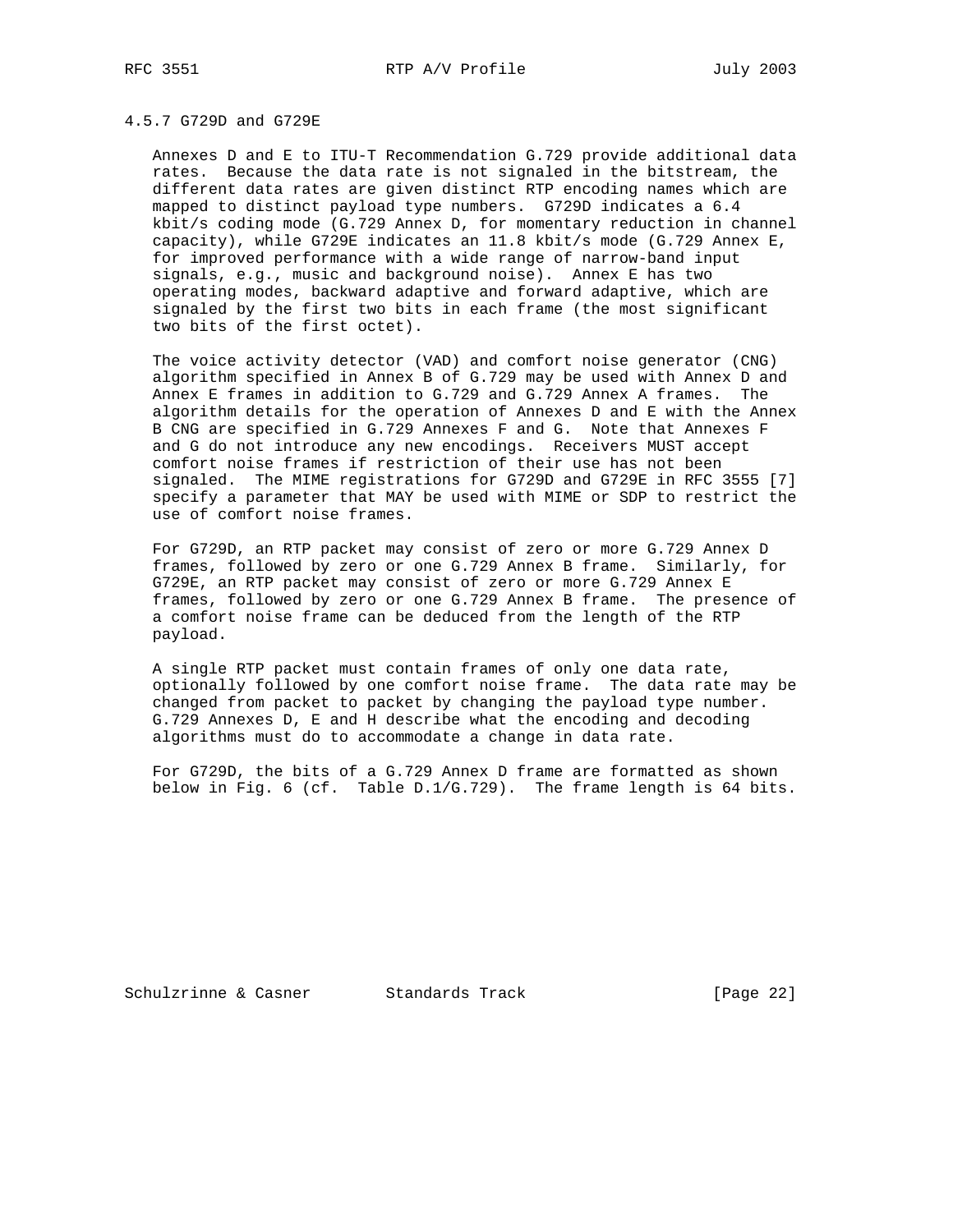## 4.5.7 G729D and G729E

 Annexes D and E to ITU-T Recommendation G.729 provide additional data rates. Because the data rate is not signaled in the bitstream, the different data rates are given distinct RTP encoding names which are mapped to distinct payload type numbers. G729D indicates a 6.4 kbit/s coding mode (G.729 Annex D, for momentary reduction in channel capacity), while G729E indicates an 11.8 kbit/s mode (G.729 Annex E, for improved performance with a wide range of narrow-band input signals, e.g., music and background noise). Annex E has two operating modes, backward adaptive and forward adaptive, which are signaled by the first two bits in each frame (the most significant two bits of the first octet).

 The voice activity detector (VAD) and comfort noise generator (CNG) algorithm specified in Annex B of G.729 may be used with Annex D and Annex E frames in addition to G.729 and G.729 Annex A frames. The algorithm details for the operation of Annexes D and E with the Annex B CNG are specified in G.729 Annexes F and G. Note that Annexes F and G do not introduce any new encodings. Receivers MUST accept comfort noise frames if restriction of their use has not been signaled. The MIME registrations for G729D and G729E in RFC 3555 [7] specify a parameter that MAY be used with MIME or SDP to restrict the use of comfort noise frames.

 For G729D, an RTP packet may consist of zero or more G.729 Annex D frames, followed by zero or one G.729 Annex B frame. Similarly, for G729E, an RTP packet may consist of zero or more G.729 Annex E frames, followed by zero or one G.729 Annex B frame. The presence of a comfort noise frame can be deduced from the length of the RTP payload.

 A single RTP packet must contain frames of only one data rate, optionally followed by one comfort noise frame. The data rate may be changed from packet to packet by changing the payload type number. G.729 Annexes D, E and H describe what the encoding and decoding algorithms must do to accommodate a change in data rate.

 For G729D, the bits of a G.729 Annex D frame are formatted as shown below in Fig. 6 (cf. Table D.1/G.729). The frame length is 64 bits.

Schulzrinne & Casner Standards Track [Page 22]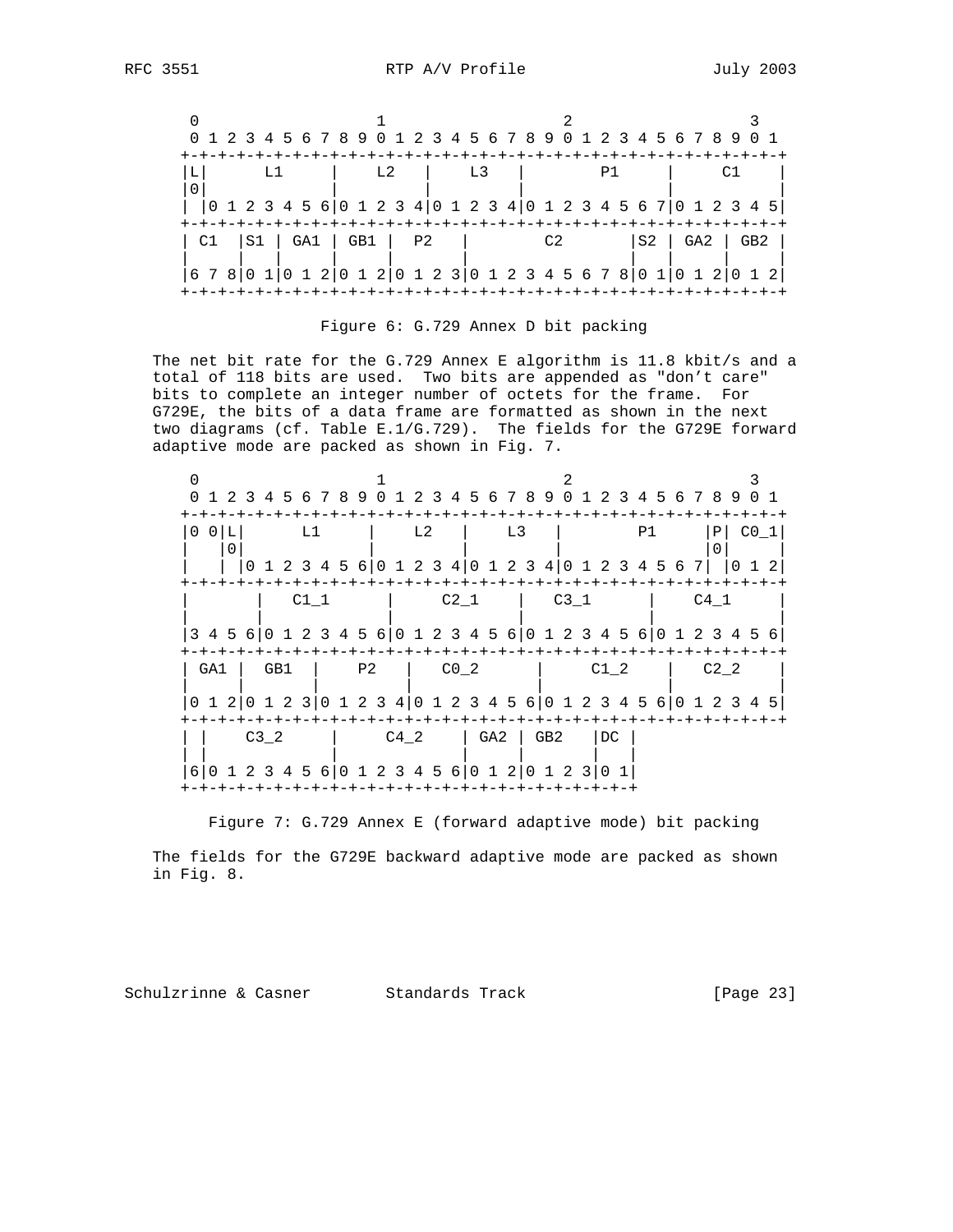|                                |                | 0 1 2 3 4 5 6 7 8 9 0 1 2 3 4 5 6 7 8 9 0 1 2 3 4 5 6 7 8 9 0 1                                          |                  |
|--------------------------------|----------------|----------------------------------------------------------------------------------------------------------|------------------|
|                                |                |                                                                                                          |                  |
|                                | L <sub>2</sub> | L <sub>3</sub><br>P1                                                                                     |                  |
|                                |                |                                                                                                          |                  |
|                                |                | $(0\ 1\ 2\ 3\ 4\ 5\ 6\,  0\ 1\ 2\ 3\ 4\,  0\ 1\ 2\ 3\ 4\,  0\ 1\ 2\ 3\ 4\ 5\ 6\ 7\,  0\ 1\ 2\ 3\ 4\ 5\,$ |                  |
|                                |                |                                                                                                          |                  |
| $C1$ $ S1 $ $GAI$ $ GB1 $ $P2$ |                | C2                                                                                                       | $S2$   GA2   GB2 |
|                                |                |                                                                                                          |                  |
|                                |                | 6 7 8   0 1   0 1 2   0 1 2   0 1 2 3   0 1 2 3 4 5 6 7 8   0 1   0 1 2   0 1 2                          |                  |
|                                |                |                                                                                                          |                  |



 The net bit rate for the G.729 Annex E algorithm is 11.8 kbit/s and a total of 118 bits are used. Two bits are appended as "don't care" bits to complete an integer number of octets for the frame. For G729E, the bits of a data frame are formatted as shown in the next two diagrams (cf. Table E.1/G.729). The fields for the G729E forward adaptive mode are packed as shown in Fig. 7.

|             |                 |                                | 1 2 3 4 5 6 7 8 9 0 1 2 3 4 5 6 7 8 9 0 1 2 3 4 5 6 7 8 9 0 1                              |                 |
|-------------|-----------------|--------------------------------|--------------------------------------------------------------------------------------------|-----------------|
| $0$ $0$ $L$ | L1              | L2                             | L3<br>P1                                                                                   | CO 1<br>P       |
|             |                 |                                | 0 1 2 3 4 5 6 0 1 2 3 4 0 1 2 3 4 0 1 2 3 4 5 6 7                                          |                 |
|             | $C1$ 1          | -+-+-+-+-+-<br>C2 <sub>1</sub> | +-+-+-+-+-+-+-+<br>C3 1                                                                    | $C4$ 1          |
|             |                 |                                | 3 4 5 6 0 1 2 3 4 5 6 0 1 2 3 4 5 6 0 1 2 3 4 5 6 0 1 2 3 4 5 6                            |                 |
| GA1         | P2<br>GB1       | CO <sub>2</sub>                | C1 2                                                                                       | C2 <sub>2</sub> |
|             |                 |                                | 0 1 2 0 1 2 3 0 1 2 3 4 0 1 2 3 4 5 6 0 1 2 3 4 5 6 0 1 2 3 4 5                            |                 |
|             | C3 <sub>2</sub> | C4 2                           | GA2<br>GB <sub>2</sub><br>DC<br>6 0 1 2 3 4 5 6 0 1 2 3 4 5 6 0 1 2 0 1 2 3<br>$0 \quad 1$ |                 |

Figure 7: G.729 Annex E (forward adaptive mode) bit packing

 The fields for the G729E backward adaptive mode are packed as shown in Fig. 8.

Schulzrinne & Casner Standards Track (Page 23)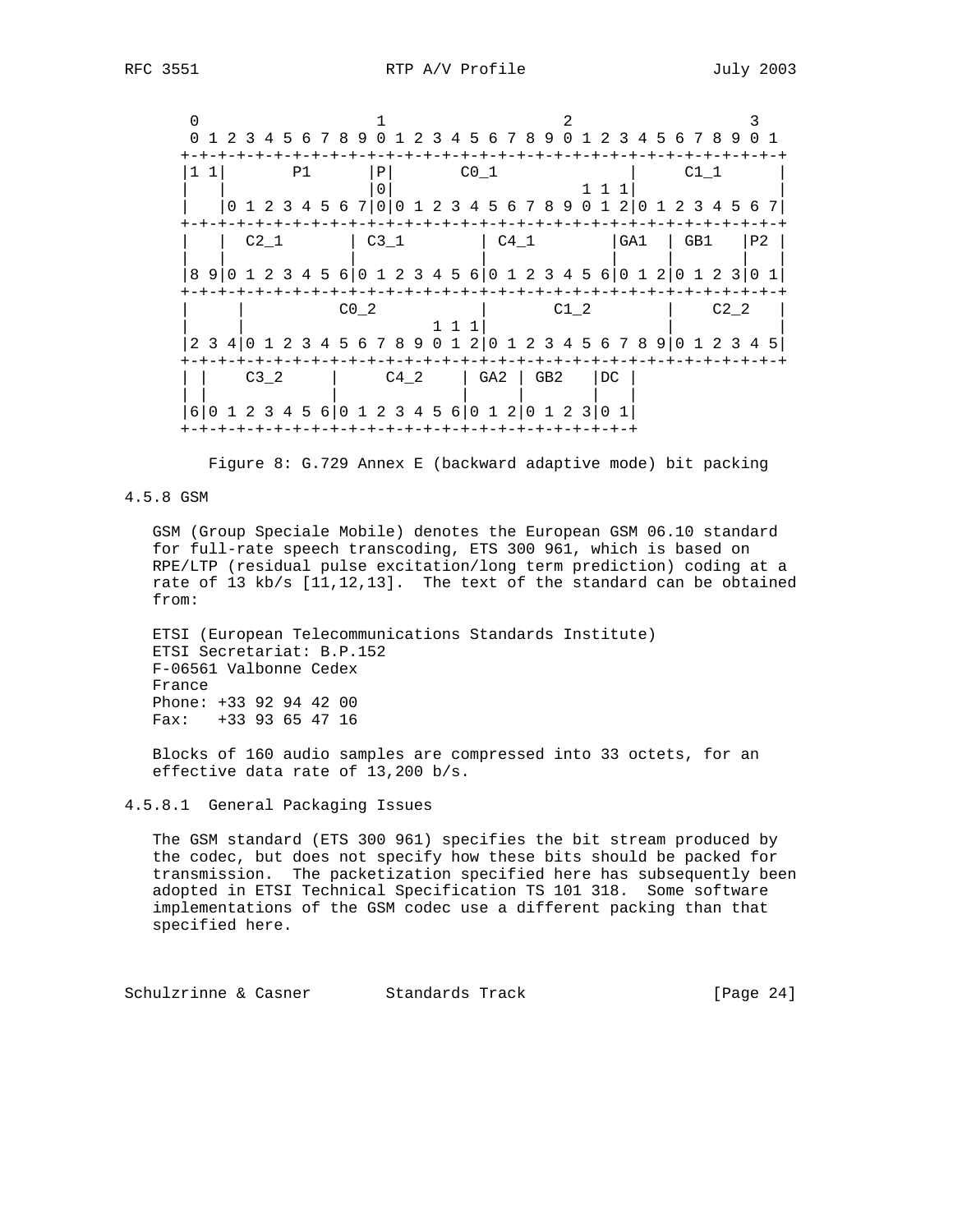$0$  1 2 3 0 1 2 3 4 5 6 7 8 9 0 1 2 3 4 5 6 7 8 9 0 1 2 3 4 5 6 7 8 9 0 1 +-+-+-+-+-+-+-+-+-+-+-+-+-+-+-+-+-+-+-+-+-+-+-+-+-+-+-+-+-+-+-+-+  $|1 \t1|$  P1  $|P|$  C0\_1  $|$  C1\_1  $|$  | | |0| 1 1 1| | | |0 1 2 3 4 5 6 7|0|0 1 2 3 4 5 6 7 8 9 0 1 2|0 1 2 3 4 5 6 7| +-+-+-+-+-+-+-+-+-+-+-+-+-+-+-+-+-+-+-+-+-+-+-+-+-+-+-+-+-+-+-+-+ | C2\_1 | C3\_1 | C4\_1 | GA1 | GB1 |P2 | | | | | | | | | |8 9|0 1 2 3 4 5 6|0 1 2 3 4 5 6|0 1 2 3 4 5 6|0 1 2|0 1 2 3|0 1| +-+-+-+-+-+-+-+-+-+-+-+-+-+-+-+-+-+-+-+-+-+-+-+-+-+-+-+-+-+-+-+-+ | | C0\_2 | C1\_2 | C2\_2 | | | 1 1 1| | | |2 3 4|0 1 2 3 4 5 6 7 8 9 0 1 2|0 1 2 3 4 5 6 7 8 9|0 1 2 3 4 5| +-+-+-+-+-+-+-+-+-+-+-+-+-+-+-+-+-+-+-+-+-+-+-+-+-+-+-+-+-+-+-+-+ | | C3\_2 | C4\_2 | GA2 | GB2 |DC | | | | | | | | |6|0 1 2 3 4 5 6|0 1 2 3 4 5 6|0 1 2|0 1 2 3|0 1| +-+-+-+-+-+-+-+-+-+-+-+-+-+-+-+-+-+-+-+-+-+-+-+-+

Figure 8: G.729 Annex E (backward adaptive mode) bit packing

4.5.8 GSM

 GSM (Group Speciale Mobile) denotes the European GSM 06.10 standard for full-rate speech transcoding, ETS 300 961, which is based on RPE/LTP (residual pulse excitation/long term prediction) coding at a rate of 13 kb/s [11,12,13]. The text of the standard can be obtained from:

 ETSI (European Telecommunications Standards Institute) ETSI Secretariat: B.P.152 F-06561 Valbonne Cedex France Phone: +33 92 94 42 00 Fax: +33 93 65 47 16

 Blocks of 160 audio samples are compressed into 33 octets, for an effective data rate of 13,200 b/s.

4.5.8.1 General Packaging Issues

 The GSM standard (ETS 300 961) specifies the bit stream produced by the codec, but does not specify how these bits should be packed for transmission. The packetization specified here has subsequently been adopted in ETSI Technical Specification TS 101 318. Some software implementations of the GSM codec use a different packing than that specified here.

Schulzrinne & Casner Standards Track [Page 24]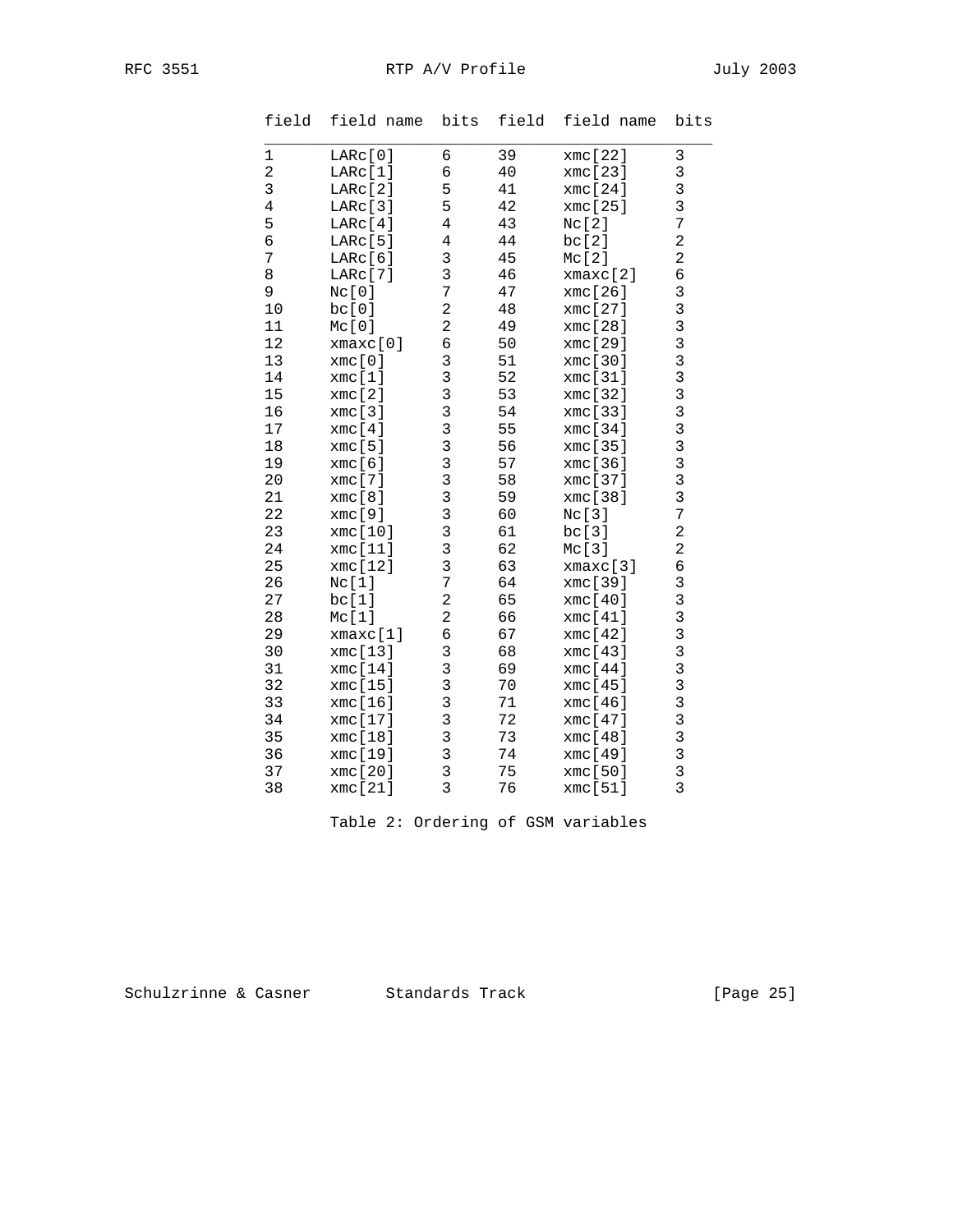| field          | field name | bits                    | field  | field name | bits                    |
|----------------|------------|-------------------------|--------|------------|-------------------------|
| $\mathbf{1}$   | LARC[0]    | 6                       | 39     | xmc[22]    | $\mathfrak{Z}$          |
| $\sqrt{2}$     | LARc[1]    | 6                       | 40     | xmc[23]    |                         |
| $\mathfrak{Z}$ | LARC[2]    | 5                       | 41     | xmc[24]    | $\frac{3}{3}$           |
| $\,4$          | LARc[3]    | 5                       | 42     | xmc[25]    | 3                       |
| 5              | LARC[4]    | 4                       | 43     | Nc[2]      | $\overline{7}$          |
| $\overline{6}$ | LARc[5]    | $\overline{4}$          | 44     | bc[2]      | $\overline{a}$          |
| 7              | LARC[6]    | 3                       | 45     | Mc[2]      | $\overline{a}$          |
| $\,8\,$        | LARC[7]    | 3                       | 46     | xmaxc[2]   | 6                       |
| $\mathsf 9$    | Nc[0]      | 7                       | 47     | xmc[26]    |                         |
| 10             | bc[0]      | $\overline{c}$          | 48     | xmc [27]   |                         |
| 11             | Mc[0]      | $\overline{\mathbf{c}}$ | 49     | xmc[28]    |                         |
| 12             | xmax[0]    | б                       | 50     | xmc[29]    |                         |
| 13             | xmc[0]     | 3                       | 51     | xmc[30]    |                         |
| 14             | xmc[1]     | 3                       | 52     | xmc[31]    |                         |
| 15             | xmc[2]     | 3                       | 53     | xmc[32]    |                         |
| 16             | xmc[3]     | 3                       | 54     | xmc[33]    | 3333333333333           |
| 17             | xmc[4]     | 3                       | 55     | xmc[34]    |                         |
| 18             | xmc[5]     | 3                       | 56     | xmc[35]    |                         |
| 19             | xmc[6]     | 3                       | 57     | xmc[36]    |                         |
| 20             | xmc[7]     | 3                       | 58     | xmc[37]    |                         |
| 21             | xmc[8]     | 3                       | 59     | xmc[38]    |                         |
| 22             | xmc[9]     | 3                       | 60     | Nc[3]      | $\overline{7}$          |
| 23             | xmc[10]    | 3                       | 61     | bc[3]      | $\overline{a}$          |
| 24             | xmc[11]    | 3                       | 62     | Mc[3]      | $\overline{\mathbf{c}}$ |
| 25             | xmc[12]    | 3                       | 63     | xmax[3]    | б                       |
| 26             | Nc[1]      | 7                       | 64     | xmc[39]    |                         |
| 27             | bc[1]      | 2                       | 65     | xmc[40]    |                         |
| 28             | Mc[1]      | 2                       | 66     | xmc[41]    | 3333333                 |
| 29             | xmaxc[1]   | б                       | 67     | xmc[42]    |                         |
| 30             | xmc[13]    | 3                       | 68     | xmc[43]    |                         |
| 31             | xmc[14]    | 3                       | 69     | xmc[44]    |                         |
| 32             | xmc[15]    | 3                       | 70     | xmc[45]    |                         |
| 33             | xmc[16]    | 3                       | $71\,$ | xmc[46]    |                         |
| 34             | xmc[17]    | 3                       | 72     | xmc[47]    |                         |
| 35             | xmc[18]    | 3                       | 73     | xmc[48]    | $3333$<br>$333$         |
| 36             | xmc[19]    | 3                       | 74     | xmc[49]    |                         |
| 37             | xmc[20]    | 3                       | 75     | xmc[50]    |                         |
| 38             | xmc[21]    | 3                       | 76     | xmc[51]    | $\overline{3}$          |

Table 2: Ordering of GSM variables

Schulzrinne & Casner Standards Track [Page 25]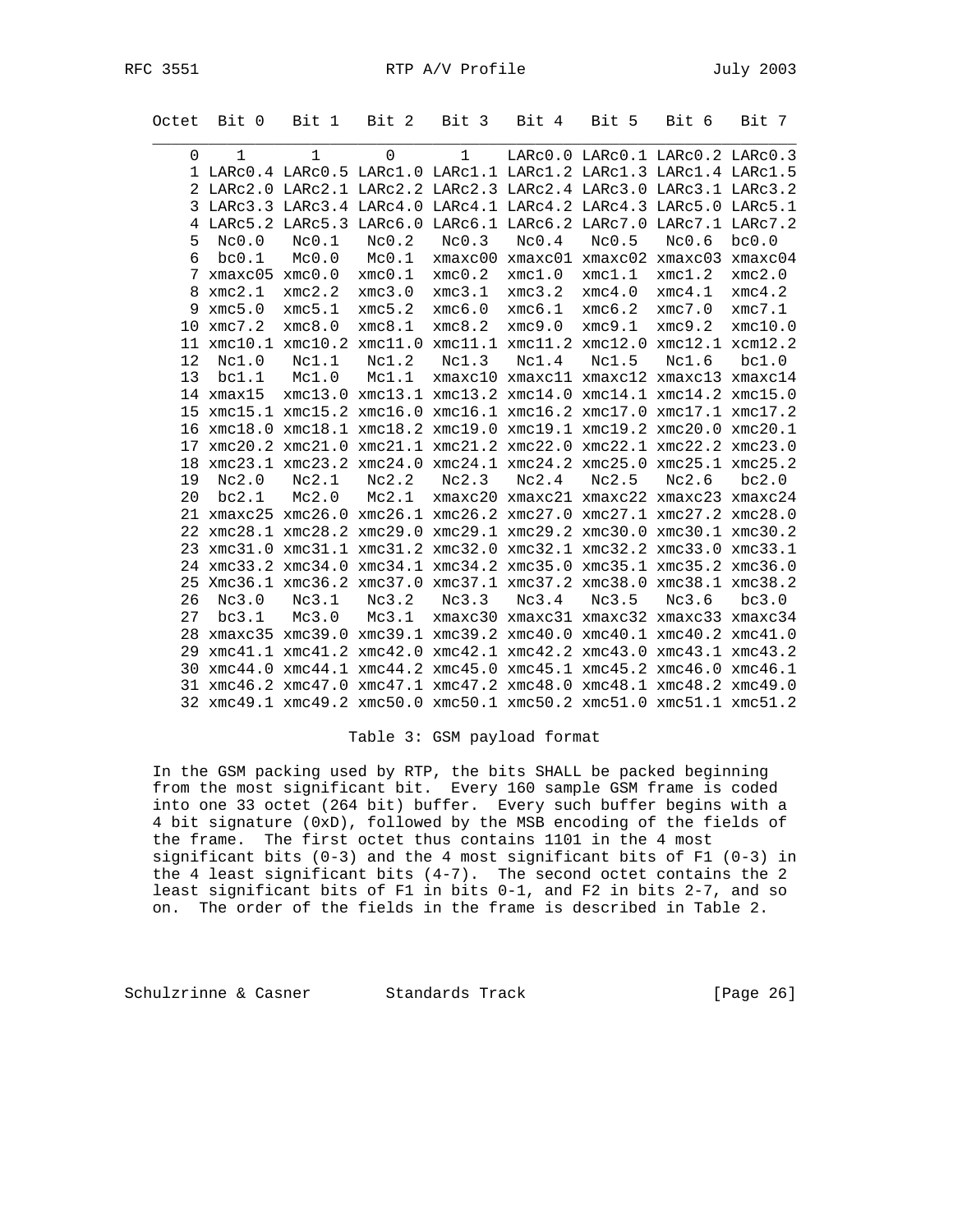RFC 3551 RTP A/V Profile 3551

|    | Octet Bit 0                                  | Bit 1                                                              | Bit 2 Bit 3 |             | Bit 4                                                   | Bit 5                           | Bit 6  | Bit 7   |
|----|----------------------------------------------|--------------------------------------------------------------------|-------------|-------------|---------------------------------------------------------|---------------------------------|--------|---------|
| 0  | $\mathbf{1}$                                 | $\mathbf{1}$                                                       | $\Omega$    | $\mathbf 1$ |                                                         | LARCO.0 LARCO.1 LARCO.2 LARCO.3 |        |         |
|    |                                              | 1 LARC0.4 LARC0.5 LARC1.0 LARC1.1 LARC1.2 LARC1.3 LARC1.4 LARC1.5  |             |             |                                                         |                                 |        |         |
|    |                                              | 2 LARC2.0 LARC2.1 LARC2.2 LARC2.3 LARC2.4 LARC3.0 LARC3.1 LARC3.2  |             |             |                                                         |                                 |        |         |
|    |                                              | 3 LARC3.3 LARC3.4 LARC4.0 LARC4.1 LARC4.2 LARC4.3 LARC5.0 LARC5.1  |             |             |                                                         |                                 |        |         |
|    |                                              | 4 LARC5.2 LARC5.3 LARC6.0 LARC6.1 LARC6.2 LARC7.0 LARC7.1 LARC7.2  |             |             |                                                         |                                 |        |         |
| 5  | Nc0.0                                        | Nc0.1                                                              | Nc0.2       | Nc0.3       | Nc0.4                                                   | Nc0.5                           | Nc0.6  | bc0.0   |
| 6  | bc0.1                                        | MC0.0                                                              | Mc0.1       |             | xmaxc00 xmaxc01 xmaxc02 xmaxc03 xmaxc04                 |                                 |        |         |
|    | $7 \times \text{maxc05} \times \text{mc0.0}$ |                                                                    | xmc0.1      | xmc0.2      | xmc1.0                                                  | xmc1.1                          | xmc1.2 | xmc2.0  |
|    | 8 xmc2.1                                     | xmc2.2                                                             | xmc3.0      | xmc3.1      | xmc3.2                                                  | xmc4.0                          | xmc4.1 | xmc4.2  |
| 9  | xmc5.0                                       | xmc5.1                                                             | xmc5.2      | xmc6.0      | xmc6.1                                                  | xmc6.2                          | xmc7.0 | xmc7.1  |
| 10 | xmc7.2                                       | xmc8.0                                                             | xmc8.1      | xmc8.2      | xmc9.0                                                  | xmc9.1                          | xmc9.2 | xmc10.0 |
|    |                                              | 11 xmc10.1 xmc10.2 xmc11.0 xmc11.1 xmc11.2 xmc12.0 xmc12.1 xcm12.2 |             |             |                                                         |                                 |        |         |
| 12 | Nc1.0                                        | Nc1.1                                                              | Nc1.2       | Nc1.3       | Nc1.4                                                   | Nc1.5                           | Nc1.6  | bc1.0   |
| 13 | bc1.1                                        | Mc1.0                                                              | Mc1.1       |             | xmaxc10 xmaxc11 xmaxc12 xmaxc13 xmaxc14                 |                                 |        |         |
|    | $14$ xmax $15$                               |                                                                    |             |             | xmc13.0 xmc13.1 xmc13.2 xmc14.0 xmc14.1 xmc14.2 xmc15.0 |                                 |        |         |
|    |                                              | 15 xmc15.1 xmc15.2 xmc16.0 xmc16.1 xmc16.2 xmc17.0 xmc17.1 xmc17.2 |             |             |                                                         |                                 |        |         |
|    | 16 xmc18.0                                   |                                                                    |             |             | xmc18.1 xmc18.2 xmc19.0 xmc19.1 xmc19.2 xmc20.0 xmc20.1 |                                 |        |         |
| 17 |                                              | xmc20.2 xmc21.0 xmc21.1 xmc21.2 xmc22.0 xmc22.1 xmc22.2 xmc23.0    |             |             |                                                         |                                 |        |         |
|    |                                              | 18 xmc23.1 xmc23.2 xmc24.0 xmc24.1 xmc24.2 xmc25.0 xmc25.1 xmc25.2 |             |             |                                                         |                                 |        |         |
| 19 | Nc2.0                                        | Nc2.1                                                              | Nc2.2       | Nc2.3       | Nc2.4                                                   | Nc2.5                           | Nc2.6  | bc2.0   |
| 20 | bc2.1                                        | $Mc2.0$ $Mc2.1$                                                    |             |             | xmaxc20 xmaxc21 xmaxc22 xmaxc23 xmaxc24                 |                                 |        |         |
|    |                                              | 21 xmaxc25 xmc26.0 xmc26.1 xmc26.2 xmc27.0 xmc27.1 xmc27.2 xmc28.0 |             |             |                                                         |                                 |        |         |
|    |                                              | 22 xmc28.1 xmc28.2 xmc29.0 xmc29.1 xmc29.2 xmc30.0 xmc30.1 xmc30.2 |             |             |                                                         |                                 |        |         |
|    |                                              | 23 xmc31.0 xmc31.1 xmc31.2 xmc32.0 xmc32.1 xmc32.2 xmc33.0 xmc33.1 |             |             |                                                         |                                 |        |         |
|    |                                              | 24 xmc33.2 xmc34.0 xmc34.1 xmc34.2 xmc35.0 xmc35.1 xmc35.2 xmc36.0 |             |             |                                                         |                                 |        |         |
| 25 |                                              | Xmc36.1 xmc36.2 xmc37.0 xmc37.1 xmc37.2 xmc38.0 xmc38.1 xmc38.2    |             |             |                                                         |                                 |        |         |
| 26 | Nc3.0                                        | Nc3.1                                                              | Nc3.2       | Nc3.3       | Nc3.4                                                   | Nc3.5                           | Nc3.6  | bc3.0   |
| 27 | bc3.1                                        | Mc3.0                                                              | Mc3.1       |             | xmaxc30 xmaxc31 xmaxc32 xmaxc33 xmaxc34                 |                                 |        |         |
|    |                                              | 28 xmaxc35 xmc39.0 xmc39.1 xmc39.2 xmc40.0 xmc40.1 xmc40.2 xmc41.0 |             |             |                                                         |                                 |        |         |
|    |                                              | 29 xmc41.1 xmc41.2 xmc42.0 xmc42.1 xmc42.2 xmc43.0 xmc43.1 xmc43.2 |             |             |                                                         |                                 |        |         |
|    |                                              | 30 xmc44.0 xmc44.1 xmc44.2 xmc45.0 xmc45.1 xmc45.2 xmc46.0 xmc46.1 |             |             |                                                         |                                 |        |         |
|    |                                              | 31 xmc46.2 xmc47.0 xmc47.1 xmc47.2 xmc48.0 xmc48.1 xmc48.2 xmc49.0 |             |             |                                                         |                                 |        |         |
|    |                                              | 32 xmc49.1 xmc49.2 xmc50.0 xmc50.1 xmc50.2 xmc51.0 xmc51.1 xmc51.2 |             |             |                                                         |                                 |        |         |
|    |                                              |                                                                    |             |             |                                                         |                                 |        |         |

# Table 3: GSM payload format

 In the GSM packing used by RTP, the bits SHALL be packed beginning from the most significant bit. Every 160 sample GSM frame is coded into one 33 octet (264 bit) buffer. Every such buffer begins with a 4 bit signature (0xD), followed by the MSB encoding of the fields of the frame. The first octet thus contains 1101 in the 4 most significant bits (0-3) and the 4 most significant bits of F1 (0-3) in the 4 least significant bits (4-7). The second octet contains the 2 least significant bits of F1 in bits 0-1, and F2 in bits 2-7, and so on. The order of the fields in the frame is described in Table 2.

Schulzrinne & Casner Standards Track [Page 26]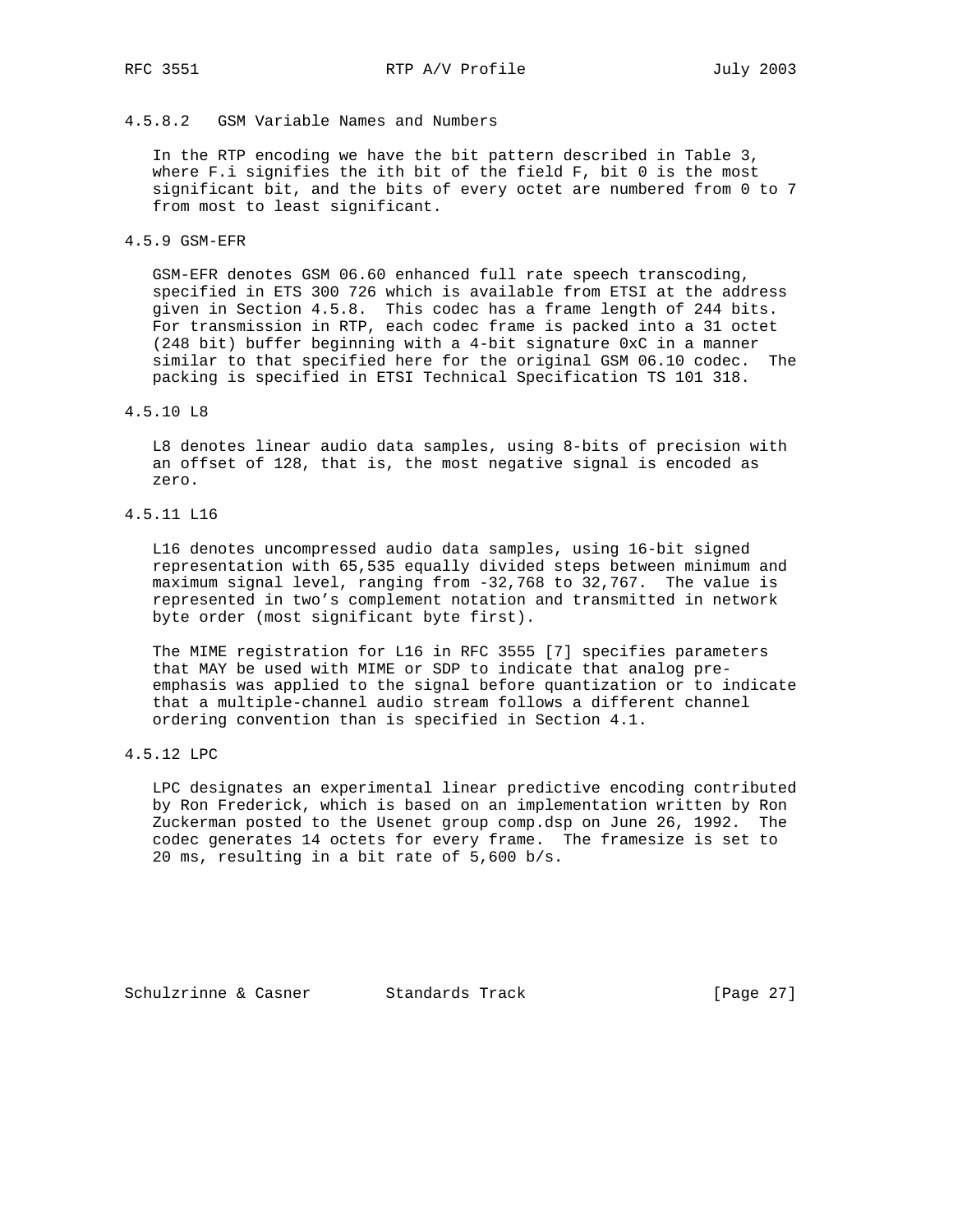# 4.5.8.2 GSM Variable Names and Numbers

 In the RTP encoding we have the bit pattern described in Table 3, where F.i signifies the ith bit of the field F, bit 0 is the most significant bit, and the bits of every octet are numbered from 0 to 7 from most to least significant.

4.5.9 GSM-EFR

 GSM-EFR denotes GSM 06.60 enhanced full rate speech transcoding, specified in ETS 300 726 which is available from ETSI at the address given in Section 4.5.8. This codec has a frame length of 244 bits. For transmission in RTP, each codec frame is packed into a 31 octet (248 bit) buffer beginning with a 4-bit signature 0xC in a manner similar to that specified here for the original GSM 06.10 codec. The packing is specified in ETSI Technical Specification TS 101 318.

#### 4.5.10 L8

 L8 denotes linear audio data samples, using 8-bits of precision with an offset of 128, that is, the most negative signal is encoded as zero.

4.5.11 L16

 L16 denotes uncompressed audio data samples, using 16-bit signed representation with 65,535 equally divided steps between minimum and maximum signal level, ranging from -32,768 to 32,767. The value is represented in two's complement notation and transmitted in network byte order (most significant byte first).

 The MIME registration for L16 in RFC 3555 [7] specifies parameters that MAY be used with MIME or SDP to indicate that analog pre emphasis was applied to the signal before quantization or to indicate that a multiple-channel audio stream follows a different channel ordering convention than is specified in Section 4.1.

## 4.5.12 LPC

 LPC designates an experimental linear predictive encoding contributed by Ron Frederick, which is based on an implementation written by Ron Zuckerman posted to the Usenet group comp.dsp on June 26, 1992. The codec generates 14 octets for every frame. The framesize is set to 20 ms, resulting in a bit rate of 5,600 b/s.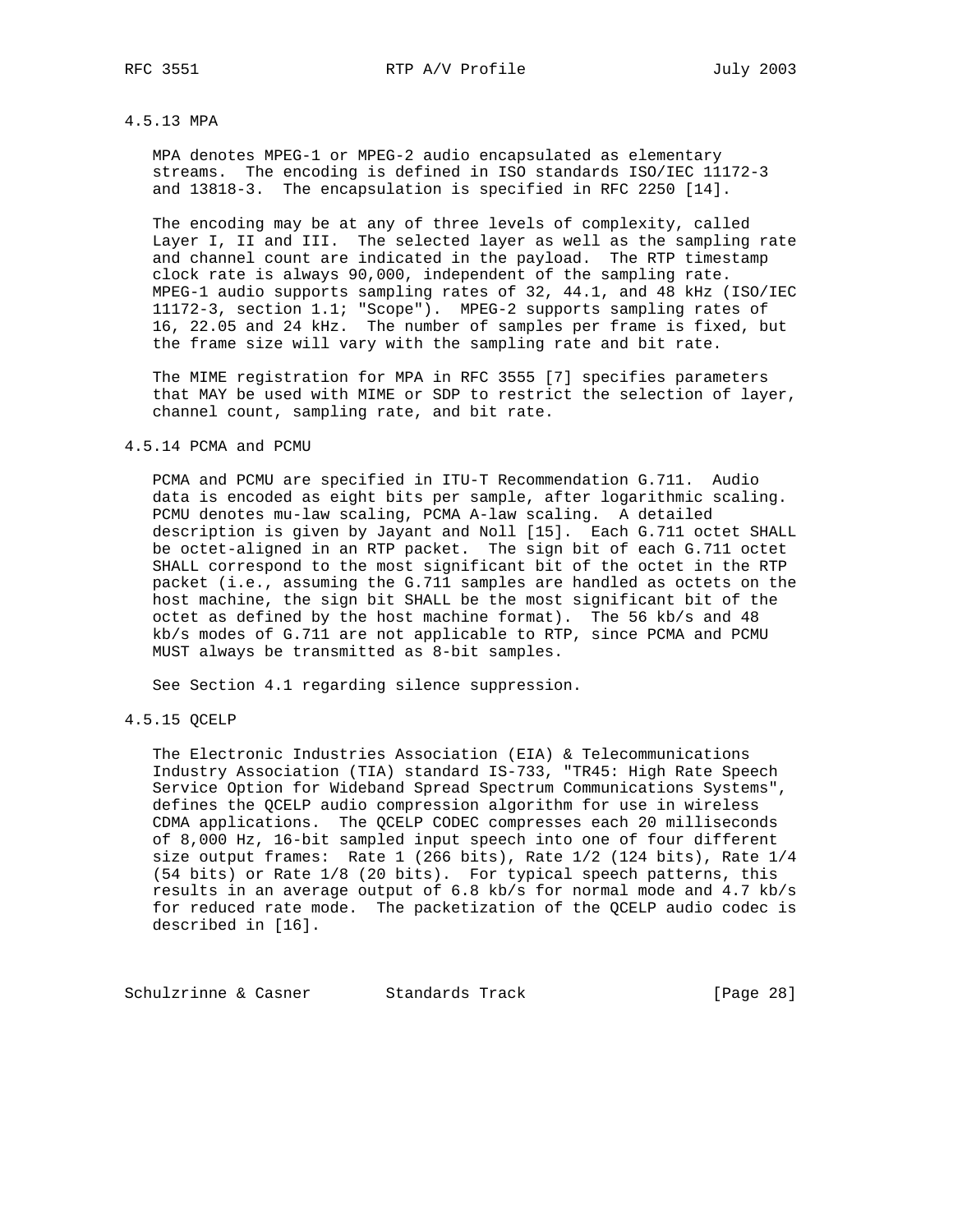#### 4.5.13 MPA

 MPA denotes MPEG-1 or MPEG-2 audio encapsulated as elementary streams. The encoding is defined in ISO standards ISO/IEC 11172-3 and 13818-3. The encapsulation is specified in RFC 2250 [14].

 The encoding may be at any of three levels of complexity, called Layer I, II and III. The selected layer as well as the sampling rate and channel count are indicated in the payload. The RTP timestamp clock rate is always 90,000, independent of the sampling rate. MPEG-1 audio supports sampling rates of 32, 44.1, and 48 kHz (ISO/IEC 11172-3, section 1.1; "Scope"). MPEG-2 supports sampling rates of 16, 22.05 and 24 kHz. The number of samples per frame is fixed, but the frame size will vary with the sampling rate and bit rate.

 The MIME registration for MPA in RFC 3555 [7] specifies parameters that MAY be used with MIME or SDP to restrict the selection of layer, channel count, sampling rate, and bit rate.

### 4.5.14 PCMA and PCMU

 PCMA and PCMU are specified in ITU-T Recommendation G.711. Audio data is encoded as eight bits per sample, after logarithmic scaling. PCMU denotes mu-law scaling, PCMA A-law scaling. A detailed description is given by Jayant and Noll [15]. Each G.711 octet SHALL be octet-aligned in an RTP packet. The sign bit of each G.711 octet SHALL correspond to the most significant bit of the octet in the RTP packet (i.e., assuming the G.711 samples are handled as octets on the host machine, the sign bit SHALL be the most significant bit of the octet as defined by the host machine format). The 56 kb/s and 48 kb/s modes of G.711 are not applicable to RTP, since PCMA and PCMU MUST always be transmitted as 8-bit samples.

See Section 4.1 regarding silence suppression.

### 4.5.15 QCELP

 The Electronic Industries Association (EIA) & Telecommunications Industry Association (TIA) standard IS-733, "TR45: High Rate Speech Service Option for Wideband Spread Spectrum Communications Systems", defines the QCELP audio compression algorithm for use in wireless CDMA applications. The QCELP CODEC compresses each 20 milliseconds of 8,000 Hz, 16-bit sampled input speech into one of four different size output frames: Rate 1 (266 bits), Rate 1/2 (124 bits), Rate 1/4 (54 bits) or Rate 1/8 (20 bits). For typical speech patterns, this results in an average output of 6.8 kb/s for normal mode and 4.7 kb/s for reduced rate mode. The packetization of the QCELP audio codec is described in [16].

Schulzrinne & Casner Standards Track [Page 28]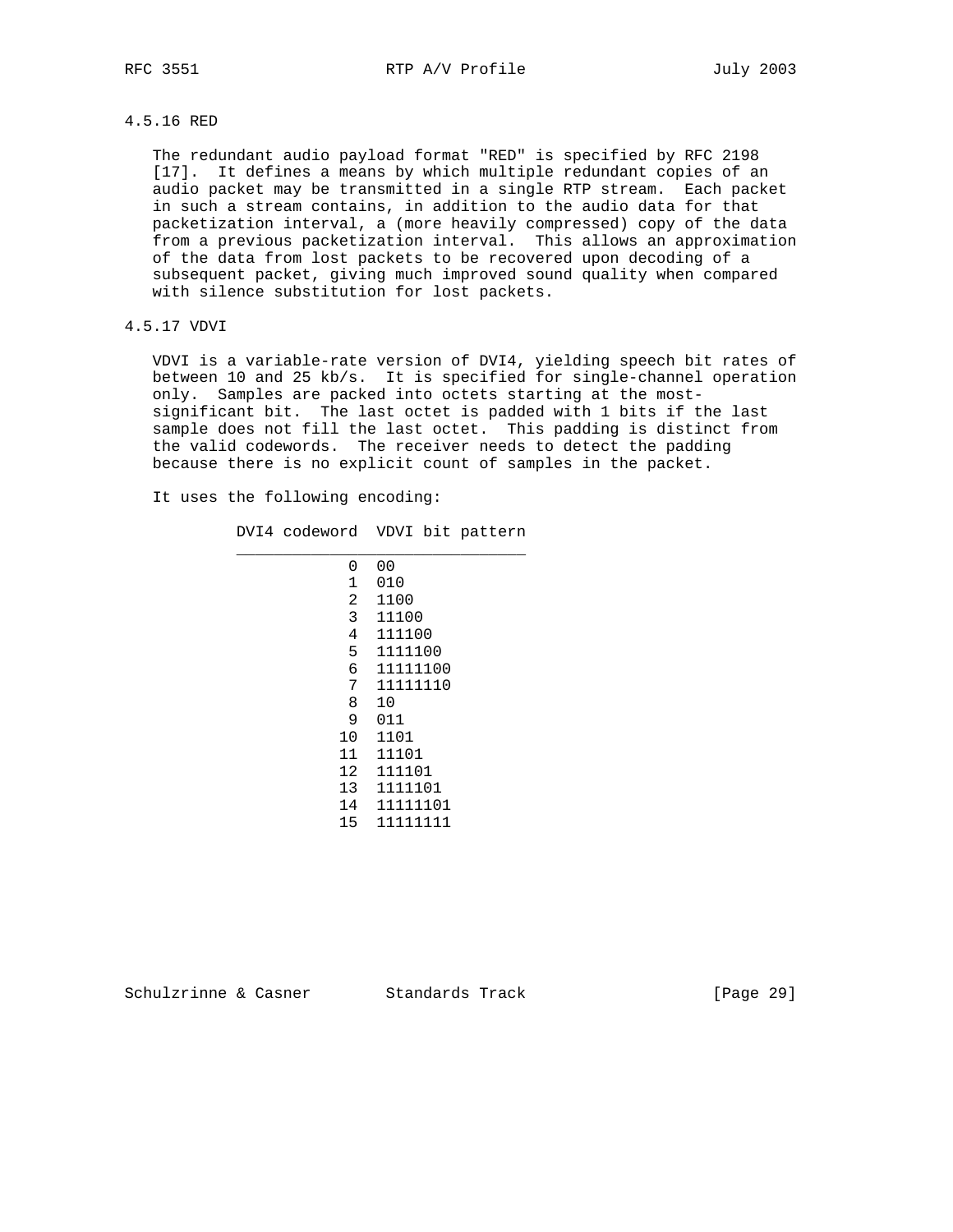### 4.5.16 RED

 The redundant audio payload format "RED" is specified by RFC 2198 [17]. It defines a means by which multiple redundant copies of an audio packet may be transmitted in a single RTP stream. Each packet in such a stream contains, in addition to the audio data for that packetization interval, a (more heavily compressed) copy of the data from a previous packetization interval. This allows an approximation of the data from lost packets to be recovered upon decoding of a subsequent packet, giving much improved sound quality when compared with silence substitution for lost packets.

### 4.5.17 VDVI

 VDVI is a variable-rate version of DVI4, yielding speech bit rates of between 10 and 25 kb/s. It is specified for single-channel operation only. Samples are packed into octets starting at the most significant bit. The last octet is padded with 1 bits if the last sample does not fill the last octet. This padding is distinct from the valid codewords. The receiver needs to detect the padding because there is no explicit count of samples in the packet.

It uses the following encoding:

 DVI4 codeword VDVI bit pattern \_\_\_\_\_\_\_\_\_\_\_\_\_\_\_\_\_\_\_\_\_\_\_\_\_\_\_\_\_\_\_

|    | 0 | 00       |
|----|---|----------|
|    | 1 | 010      |
|    | 2 | 1100     |
|    | 3 | 11100    |
|    | 4 | 111100   |
|    | 5 | 1111100  |
|    | 6 | 11111100 |
|    | 7 | 11111110 |
|    | 8 | 10       |
|    | 9 | 011      |
| 10 |   | 1101     |
| 11 |   | 11101    |
| 12 |   | 111101   |
| 13 |   | 1111101  |
| 14 |   | 11111101 |
| 15 |   | 11111111 |

Schulzrinne & Casner Standards Track [Page 29]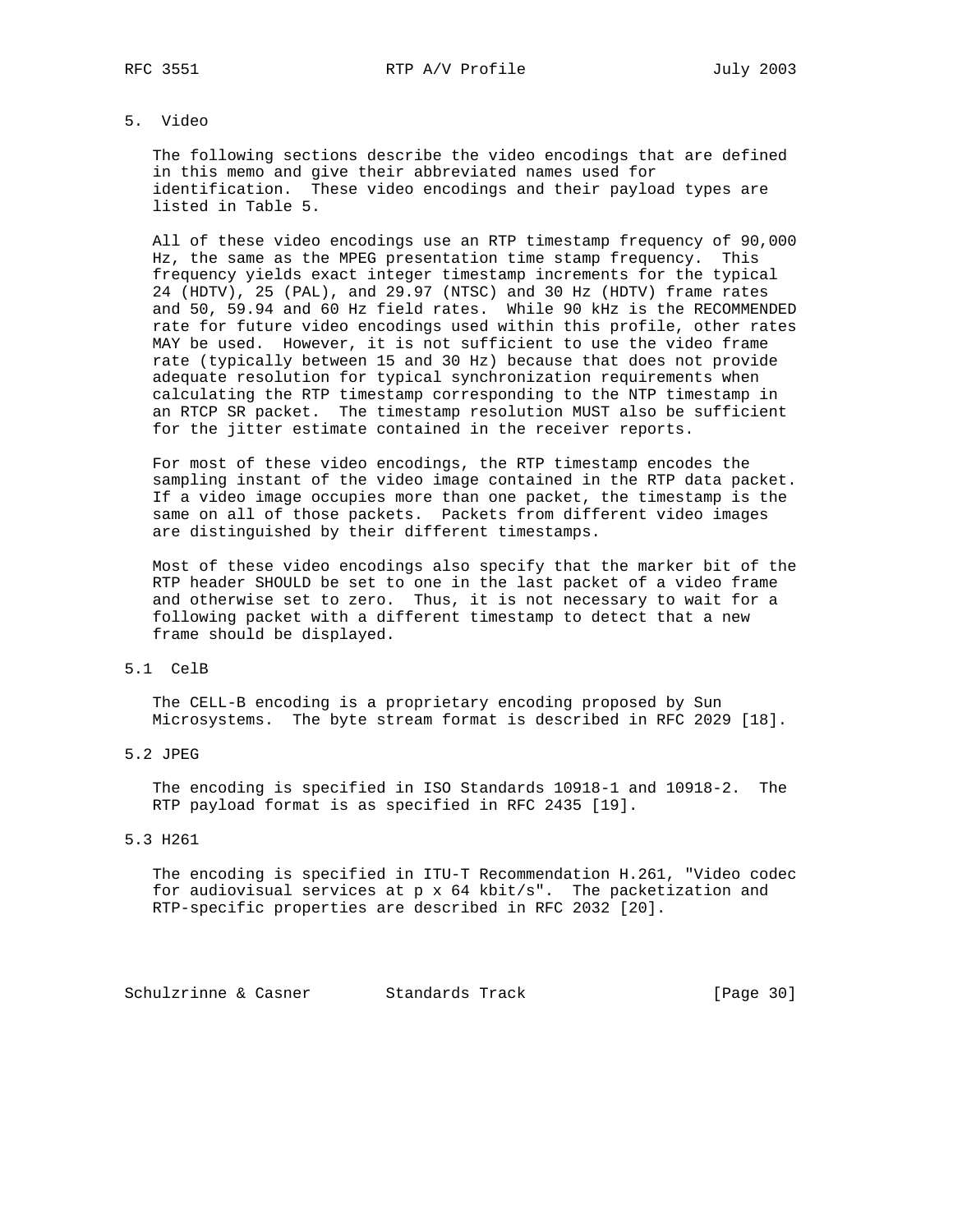## 5. Video

 The following sections describe the video encodings that are defined in this memo and give their abbreviated names used for identification. These video encodings and their payload types are listed in Table 5.

 All of these video encodings use an RTP timestamp frequency of 90,000 Hz, the same as the MPEG presentation time stamp frequency. This frequency yields exact integer timestamp increments for the typical 24 (HDTV), 25 (PAL), and 29.97 (NTSC) and 30 Hz (HDTV) frame rates and 50, 59.94 and 60 Hz field rates. While 90 kHz is the RECOMMENDED rate for future video encodings used within this profile, other rates MAY be used. However, it is not sufficient to use the video frame rate (typically between 15 and 30 Hz) because that does not provide adequate resolution for typical synchronization requirements when calculating the RTP timestamp corresponding to the NTP timestamp in an RTCP SR packet. The timestamp resolution MUST also be sufficient for the jitter estimate contained in the receiver reports.

 For most of these video encodings, the RTP timestamp encodes the sampling instant of the video image contained in the RTP data packet. If a video image occupies more than one packet, the timestamp is the same on all of those packets. Packets from different video images are distinguished by their different timestamps.

 Most of these video encodings also specify that the marker bit of the RTP header SHOULD be set to one in the last packet of a video frame and otherwise set to zero. Thus, it is not necessary to wait for a following packet with a different timestamp to detect that a new frame should be displayed.

### 5.1 CelB

 The CELL-B encoding is a proprietary encoding proposed by Sun Microsystems. The byte stream format is described in RFC 2029 [18].

### 5.2 JPEG

 The encoding is specified in ISO Standards 10918-1 and 10918-2. The RTP payload format is as specified in RFC 2435 [19].

### 5.3 H261

 The encoding is specified in ITU-T Recommendation H.261, "Video codec for audiovisual services at p x 64 kbit/s". The packetization and RTP-specific properties are described in RFC 2032 [20].

Schulzrinne & Casner Standards Track (Page 30)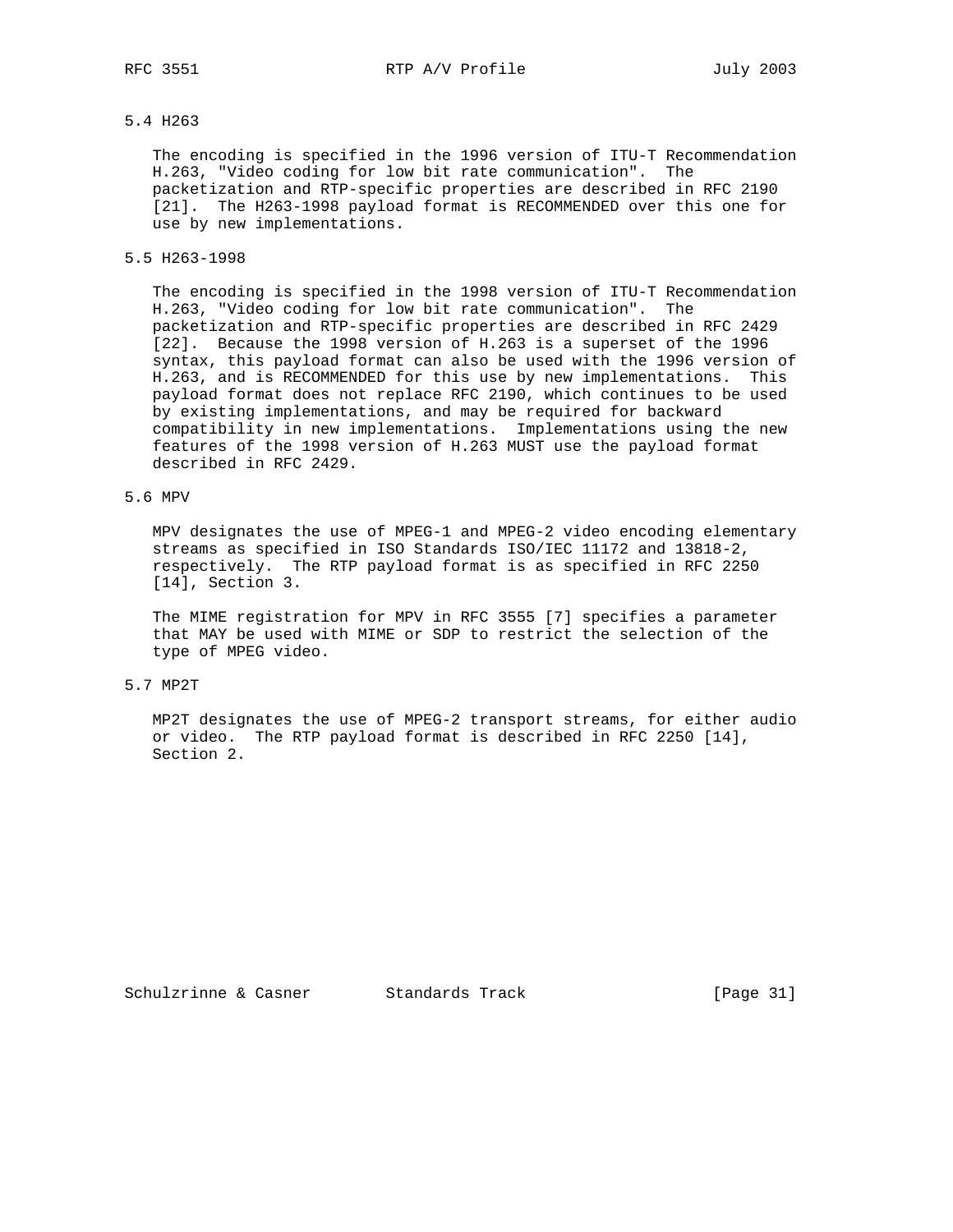RFC 3551 RTP A/V Profile 3551

## 5.4 H263

 The encoding is specified in the 1996 version of ITU-T Recommendation H.263, "Video coding for low bit rate communication". The packetization and RTP-specific properties are described in RFC 2190 [21]. The H263-1998 payload format is RECOMMENDED over this one for use by new implementations.

### 5.5 H263-1998

 The encoding is specified in the 1998 version of ITU-T Recommendation H.263, "Video coding for low bit rate communication". The packetization and RTP-specific properties are described in RFC 2429 [22]. Because the 1998 version of H.263 is a superset of the 1996 syntax, this payload format can also be used with the 1996 version of H.263, and is RECOMMENDED for this use by new implementations. This payload format does not replace RFC 2190, which continues to be used by existing implementations, and may be required for backward compatibility in new implementations. Implementations using the new features of the 1998 version of H.263 MUST use the payload format described in RFC 2429.

## 5.6 MPV

 MPV designates the use of MPEG-1 and MPEG-2 video encoding elementary streams as specified in ISO Standards ISO/IEC 11172 and 13818-2, respectively. The RTP payload format is as specified in RFC 2250 [14], Section 3.

 The MIME registration for MPV in RFC 3555 [7] specifies a parameter that MAY be used with MIME or SDP to restrict the selection of the type of MPEG video.

### 5.7 MP2T

 MP2T designates the use of MPEG-2 transport streams, for either audio or video. The RTP payload format is described in RFC 2250 [14], Section 2.

Schulzrinne & Casner Standards Track [Page 31]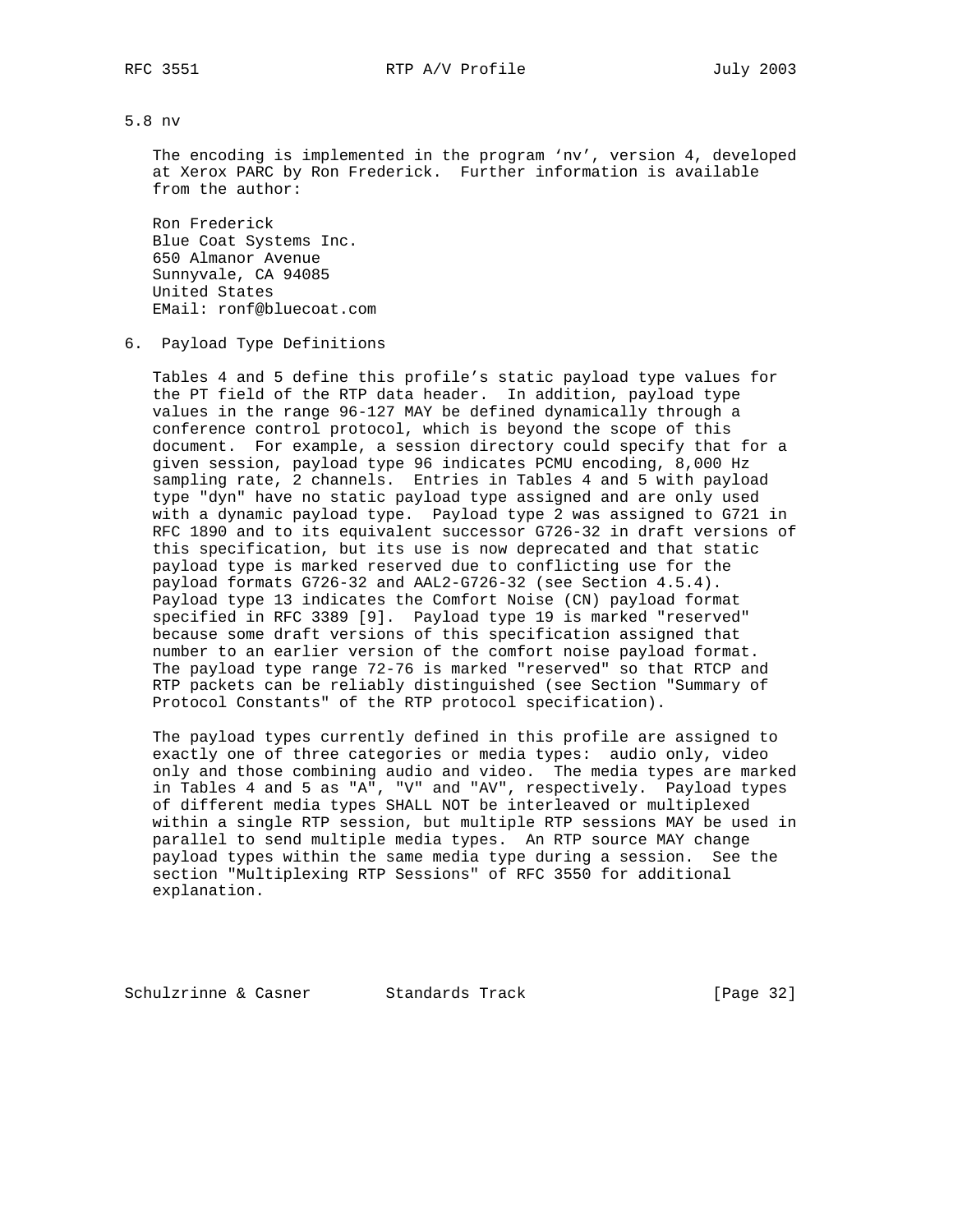5.8 nv

 The encoding is implemented in the program 'nv', version 4, developed at Xerox PARC by Ron Frederick. Further information is available from the author:

 Ron Frederick Blue Coat Systems Inc. 650 Almanor Avenue Sunnyvale, CA 94085 United States EMail: ronf@bluecoat.com

6. Payload Type Definitions

 Tables 4 and 5 define this profile's static payload type values for the PT field of the RTP data header. In addition, payload type values in the range 96-127 MAY be defined dynamically through a conference control protocol, which is beyond the scope of this document. For example, a session directory could specify that for a given session, payload type 96 indicates PCMU encoding, 8,000 Hz sampling rate, 2 channels. Entries in Tables 4 and 5 with payload type "dyn" have no static payload type assigned and are only used with a dynamic payload type. Payload type 2 was assigned to G721 in RFC 1890 and to its equivalent successor G726-32 in draft versions of this specification, but its use is now deprecated and that static payload type is marked reserved due to conflicting use for the payload formats G726-32 and AAL2-G726-32 (see Section 4.5.4). Payload type 13 indicates the Comfort Noise (CN) payload format specified in RFC 3389 [9]. Payload type 19 is marked "reserved" because some draft versions of this specification assigned that number to an earlier version of the comfort noise payload format. The payload type range 72-76 is marked "reserved" so that RTCP and RTP packets can be reliably distinguished (see Section "Summary of Protocol Constants" of the RTP protocol specification).

 The payload types currently defined in this profile are assigned to exactly one of three categories or media types: audio only, video only and those combining audio and video. The media types are marked in Tables 4 and 5 as "A", "V" and "AV", respectively. Payload types of different media types SHALL NOT be interleaved or multiplexed within a single RTP session, but multiple RTP sessions MAY be used in parallel to send multiple media types. An RTP source MAY change payload types within the same media type during a session. See the section "Multiplexing RTP Sessions" of RFC 3550 for additional explanation.

Schulzrinne & Casner Standards Track [Page 32]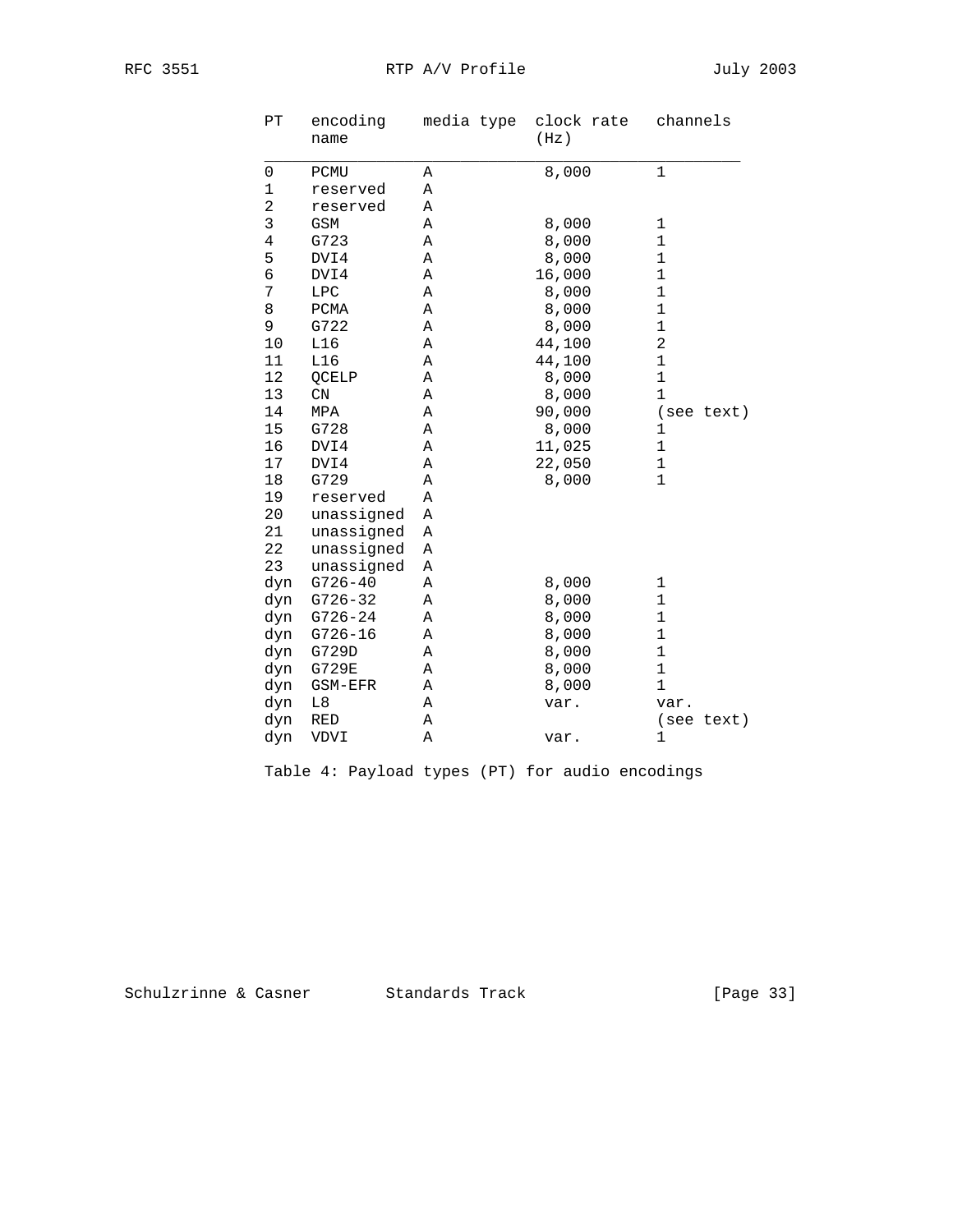| PΤ                  | encoding<br>name | media type | clock rate<br>(Hz) | channels       |
|---------------------|------------------|------------|--------------------|----------------|
| $\mathsf{O}\xspace$ | PCMU             | Α          | 8,000              | $\mathbf{1}$   |
| $\mathbf 1$         | reserved         | Α          |                    |                |
| $\overline{a}$      | reserved         | Α          |                    |                |
| 3                   | GSM              | Α          | 8,000              | $\mathbf 1$    |
| $\overline{4}$      | G723             | Α          | 8,000              | $\mathbf 1$    |
| 5                   | DVI4             | Α          | 8,000              | $\mathbf{1}$   |
| 6                   | DVI4             | Α          | 16,000             | $\mathbf{1}$   |
| 7                   | LPC              | Α          | 8,000              | $\mathbf{1}$   |
| 8                   | PCMA             | Α          | 8,000              | $\mathbf{1}$   |
| 9                   | G722             | Α          | 8,000              | $\mathbf{1}$   |
| $10$                | L16              | Α          | 44,100             | $\overline{a}$ |
| 11                  | L16              | Α          | 44,100             | $\mathbf{1}$   |
| 12                  | QCELP            | Α          | 8,000              | $\mathbf 1$    |
| 13                  | $\mathbb{C}N$    | Α          | 8,000              | $\mathbf 1$    |
| 14                  | MPA              | Α          | 90,000             | (see text)     |
| 15                  | G728             | Α          | 8,000              | $\mathbf{1}$   |
| 16                  | DVI4             | Α          | 11,025             | $\mathbf 1$    |
| 17                  | DVI4             | Α          | 22,050             | $\mathbf{1}$   |
| 18                  | G729             | Α          | 8,000              | $\mathbf{1}$   |
| 19                  | reserved         | Α          |                    |                |
| 20                  | unassigned       | Α          |                    |                |
| 21                  | unassigned       | Α          |                    |                |
| 22                  | unassigned       | Α          |                    |                |
| 23                  | unassigned       | Α          |                    |                |
| dyn                 | $G726 - 40$      | Α          | 8,000              | 1              |
| dyn                 | $G726 - 32$      | Α          | 8,000              | 1              |
| dyn                 | $G726 - 24$      | Α          | 8,000              | $\mathbf 1$    |
| dyn                 | $G726 - 16$      | Α          | 8,000              | $\mathbf 1$    |
| dyn                 | G729D            | Α          | 8,000              | 1              |
| dyn                 | G729E            | Α          | 8,000              | $1\,$          |
| dyn                 | GSM-EFR          | Α          | 8,000              | $\mathbf 1$    |
| dyn                 | L8               | Α          | var.               | var.           |
| dyn                 | RED              | Α          |                    | (see text)     |
| dyn                 | VDVI             | Α          | var.               | 1              |

Table 4: Payload types (PT) for audio encodings

Schulzrinne & Casner Standards Track [Page 33]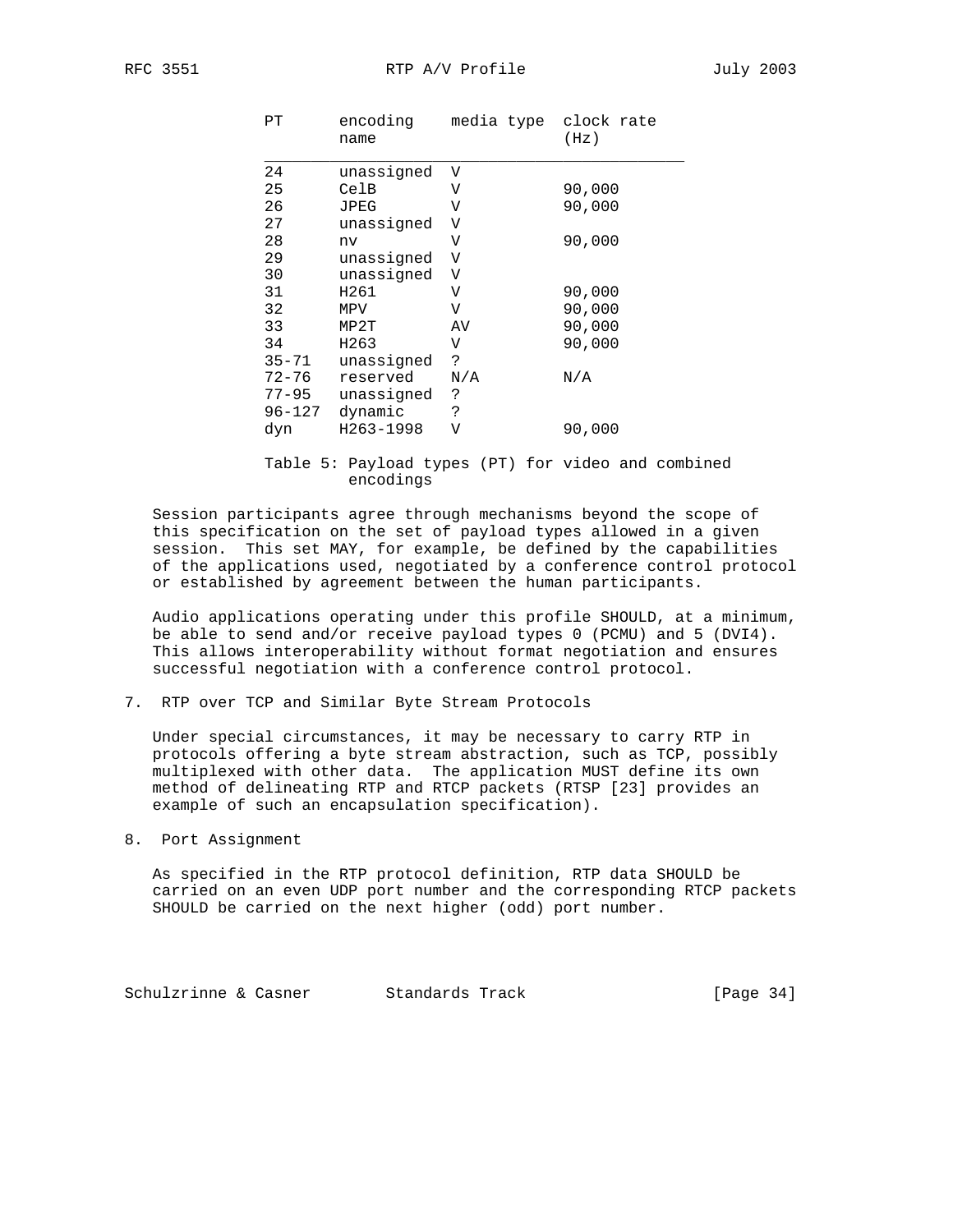RFC 3551 RTP A/V Profile 3551

| PТ        | encoding<br>name | media type clock rate | (Hz)   |
|-----------|------------------|-----------------------|--------|
| 24        | unassigned       | V                     |        |
| 25        | CelB             | V                     | 90,000 |
| 26        | JPEG             | V                     | 90,000 |
| 27        | unassigned       | V                     |        |
| 28        | nv               | V                     | 90,000 |
| 29        | unassigned       | $\mathbf{V}$          |        |
| 30        | unassigned       | V                     |        |
| 31        | H261             | V                     | 90,000 |
| 32        | MPV              | V                     | 90,000 |
| 33        | MP2T             | AV                    | 90,000 |
| 34        | H263             | V                     | 90,000 |
| $35 - 71$ | unassigned       | S.                    |        |
| $72 - 76$ | reserved         | N/A                   | N/A    |
| 77–95     | unassigned       | ?                     |        |
| 96-127    | dynamic          | Ċ.                    |        |
| dyn       | H263-1998        | V                     | 90,000 |
|           |                  |                       |        |

 Table 5: Payload types (PT) for video and combined encodings

 Session participants agree through mechanisms beyond the scope of this specification on the set of payload types allowed in a given session. This set MAY, for example, be defined by the capabilities of the applications used, negotiated by a conference control protocol or established by agreement between the human participants.

 Audio applications operating under this profile SHOULD, at a minimum, be able to send and/or receive payload types 0 (PCMU) and 5 (DVI4). This allows interoperability without format negotiation and ensures successful negotiation with a conference control protocol.

7. RTP over TCP and Similar Byte Stream Protocols

 Under special circumstances, it may be necessary to carry RTP in protocols offering a byte stream abstraction, such as TCP, possibly multiplexed with other data. The application MUST define its own method of delineating RTP and RTCP packets (RTSP [23] provides an example of such an encapsulation specification).

8. Port Assignment

 As specified in the RTP protocol definition, RTP data SHOULD be carried on an even UDP port number and the corresponding RTCP packets SHOULD be carried on the next higher (odd) port number.

Schulzrinne & Casner Standards Track [Page 34]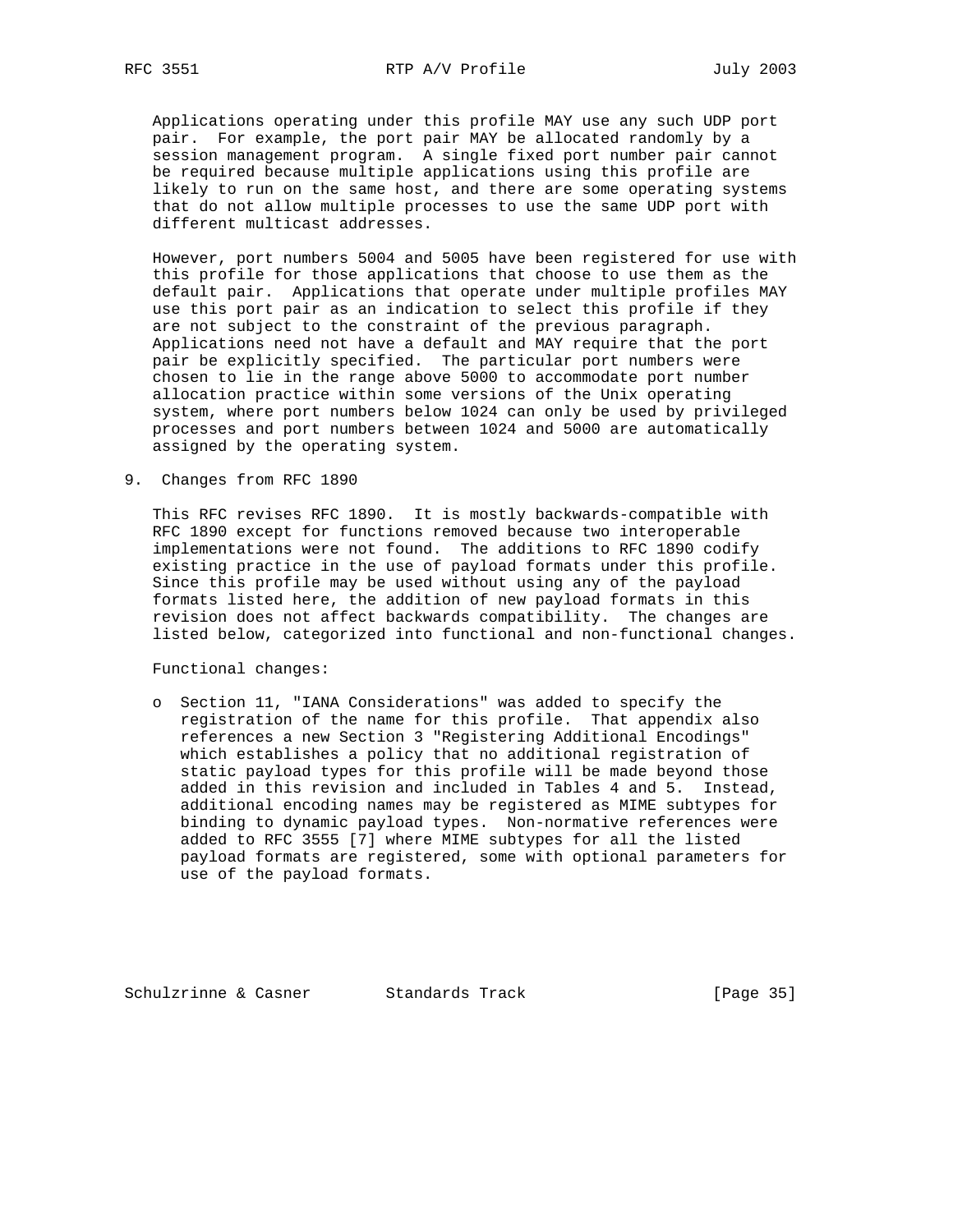Applications operating under this profile MAY use any such UDP port pair. For example, the port pair MAY be allocated randomly by a session management program. A single fixed port number pair cannot be required because multiple applications using this profile are likely to run on the same host, and there are some operating systems that do not allow multiple processes to use the same UDP port with different multicast addresses.

 However, port numbers 5004 and 5005 have been registered for use with this profile for those applications that choose to use them as the default pair. Applications that operate under multiple profiles MAY use this port pair as an indication to select this profile if they are not subject to the constraint of the previous paragraph. Applications need not have a default and MAY require that the port pair be explicitly specified. The particular port numbers were chosen to lie in the range above 5000 to accommodate port number allocation practice within some versions of the Unix operating system, where port numbers below 1024 can only be used by privileged processes and port numbers between 1024 and 5000 are automatically assigned by the operating system.

9. Changes from RFC 1890

 This RFC revises RFC 1890. It is mostly backwards-compatible with RFC 1890 except for functions removed because two interoperable implementations were not found. The additions to RFC 1890 codify existing practice in the use of payload formats under this profile. Since this profile may be used without using any of the payload formats listed here, the addition of new payload formats in this revision does not affect backwards compatibility. The changes are listed below, categorized into functional and non-functional changes.

Functional changes:

 o Section 11, "IANA Considerations" was added to specify the registration of the name for this profile. That appendix also references a new Section 3 "Registering Additional Encodings" which establishes a policy that no additional registration of static payload types for this profile will be made beyond those added in this revision and included in Tables 4 and 5. Instead, additional encoding names may be registered as MIME subtypes for binding to dynamic payload types. Non-normative references were added to RFC 3555 [7] where MIME subtypes for all the listed payload formats are registered, some with optional parameters for use of the payload formats.

Schulzrinne & Casner Standards Track [Page 35]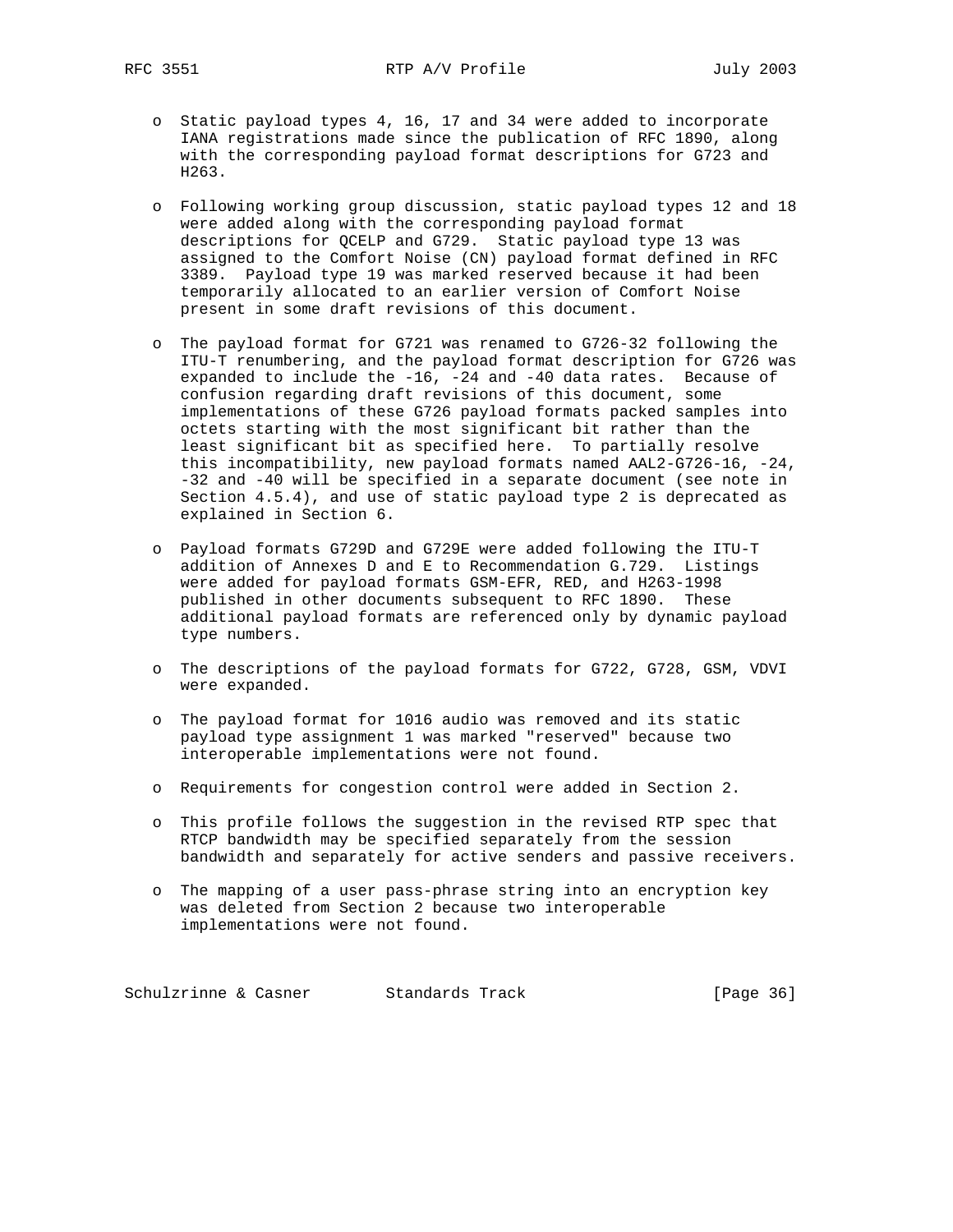- o Static payload types 4, 16, 17 and 34 were added to incorporate IANA registrations made since the publication of RFC 1890, along with the corresponding payload format descriptions for G723 and H263.
- o Following working group discussion, static payload types 12 and 18 were added along with the corresponding payload format descriptions for QCELP and G729. Static payload type 13 was assigned to the Comfort Noise (CN) payload format defined in RFC 3389. Payload type 19 was marked reserved because it had been temporarily allocated to an earlier version of Comfort Noise present in some draft revisions of this document.
- o The payload format for G721 was renamed to G726-32 following the ITU-T renumbering, and the payload format description for G726 was expanded to include the -16, -24 and -40 data rates. Because of confusion regarding draft revisions of this document, some implementations of these G726 payload formats packed samples into octets starting with the most significant bit rather than the least significant bit as specified here. To partially resolve this incompatibility, new payload formats named AAL2-G726-16, -24, -32 and -40 will be specified in a separate document (see note in Section 4.5.4), and use of static payload type 2 is deprecated as explained in Section 6.
- o Payload formats G729D and G729E were added following the ITU-T addition of Annexes D and E to Recommendation G.729. Listings were added for payload formats GSM-EFR, RED, and H263-1998 published in other documents subsequent to RFC 1890. These additional payload formats are referenced only by dynamic payload type numbers.
- o The descriptions of the payload formats for G722, G728, GSM, VDVI were expanded.
- o The payload format for 1016 audio was removed and its static payload type assignment 1 was marked "reserved" because two interoperable implementations were not found.
- o Requirements for congestion control were added in Section 2.
- o This profile follows the suggestion in the revised RTP spec that RTCP bandwidth may be specified separately from the session bandwidth and separately for active senders and passive receivers.
- o The mapping of a user pass-phrase string into an encryption key was deleted from Section 2 because two interoperable implementations were not found.

Schulzrinne & Casner Standards Track [Page 36]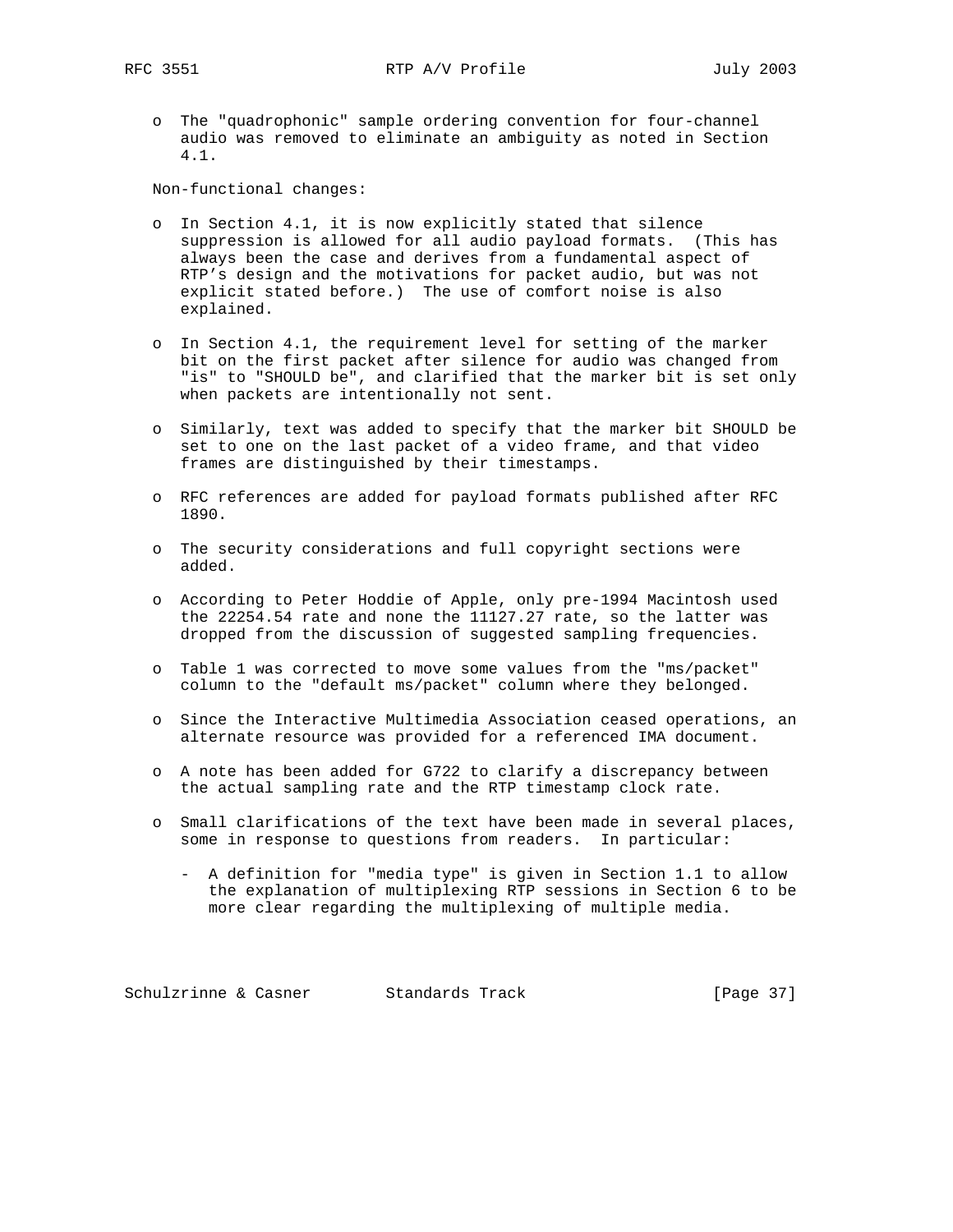o The "quadrophonic" sample ordering convention for four-channel audio was removed to eliminate an ambiguity as noted in Section 4.1.

Non-functional changes:

- o In Section 4.1, it is now explicitly stated that silence suppression is allowed for all audio payload formats. (This has always been the case and derives from a fundamental aspect of RTP's design and the motivations for packet audio, but was not explicit stated before.) The use of comfort noise is also explained.
- o In Section 4.1, the requirement level for setting of the marker bit on the first packet after silence for audio was changed from "is" to "SHOULD be", and clarified that the marker bit is set only when packets are intentionally not sent.
- o Similarly, text was added to specify that the marker bit SHOULD be set to one on the last packet of a video frame, and that video frames are distinguished by their timestamps.
- o RFC references are added for payload formats published after RFC 1890.
- o The security considerations and full copyright sections were added.
- o According to Peter Hoddie of Apple, only pre-1994 Macintosh used the 22254.54 rate and none the 11127.27 rate, so the latter was dropped from the discussion of suggested sampling frequencies.
- o Table 1 was corrected to move some values from the "ms/packet" column to the "default ms/packet" column where they belonged.
- o Since the Interactive Multimedia Association ceased operations, an alternate resource was provided for a referenced IMA document.
- o A note has been added for G722 to clarify a discrepancy between the actual sampling rate and the RTP timestamp clock rate.
- o Small clarifications of the text have been made in several places, some in response to questions from readers. In particular:
	- A definition for "media type" is given in Section 1.1 to allow the explanation of multiplexing RTP sessions in Section 6 to be more clear regarding the multiplexing of multiple media.

Schulzrinne & Casner Standards Track [Page 37]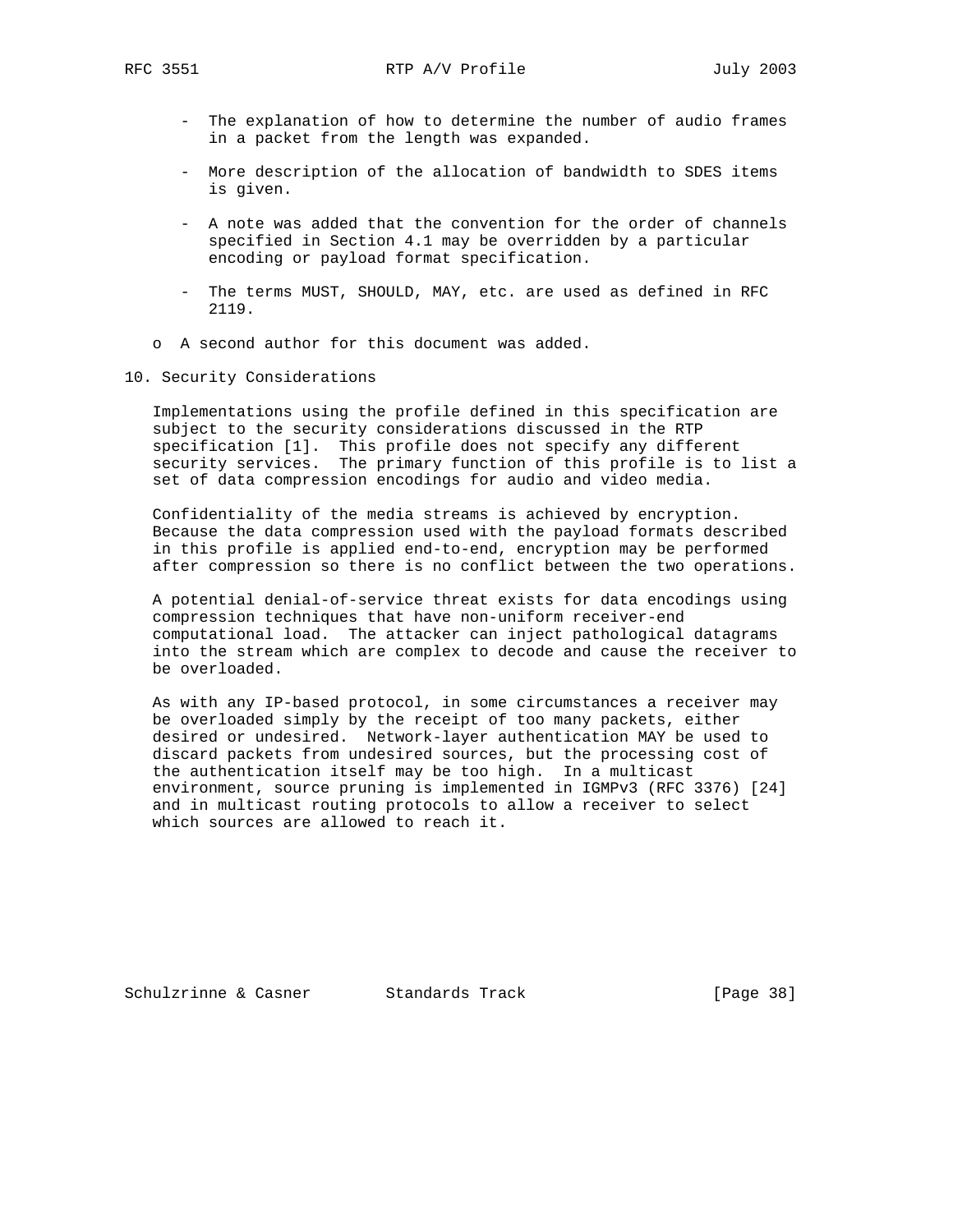- The explanation of how to determine the number of audio frames in a packet from the length was expanded.
- More description of the allocation of bandwidth to SDES items is given.
- A note was added that the convention for the order of channels specified in Section 4.1 may be overridden by a particular encoding or payload format specification.
- The terms MUST, SHOULD, MAY, etc. are used as defined in RFC 2119.
- o A second author for this document was added.
- 10. Security Considerations

 Implementations using the profile defined in this specification are subject to the security considerations discussed in the RTP specification [1]. This profile does not specify any different security services. The primary function of this profile is to list a set of data compression encodings for audio and video media.

 Confidentiality of the media streams is achieved by encryption. Because the data compression used with the payload formats described in this profile is applied end-to-end, encryption may be performed after compression so there is no conflict between the two operations.

 A potential denial-of-service threat exists for data encodings using compression techniques that have non-uniform receiver-end computational load. The attacker can inject pathological datagrams into the stream which are complex to decode and cause the receiver to be overloaded.

 As with any IP-based protocol, in some circumstances a receiver may be overloaded simply by the receipt of too many packets, either desired or undesired. Network-layer authentication MAY be used to discard packets from undesired sources, but the processing cost of the authentication itself may be too high. In a multicast environment, source pruning is implemented in IGMPv3 (RFC 3376) [24] and in multicast routing protocols to allow a receiver to select which sources are allowed to reach it.

Schulzrinne & Casner Standards Track [Page 38]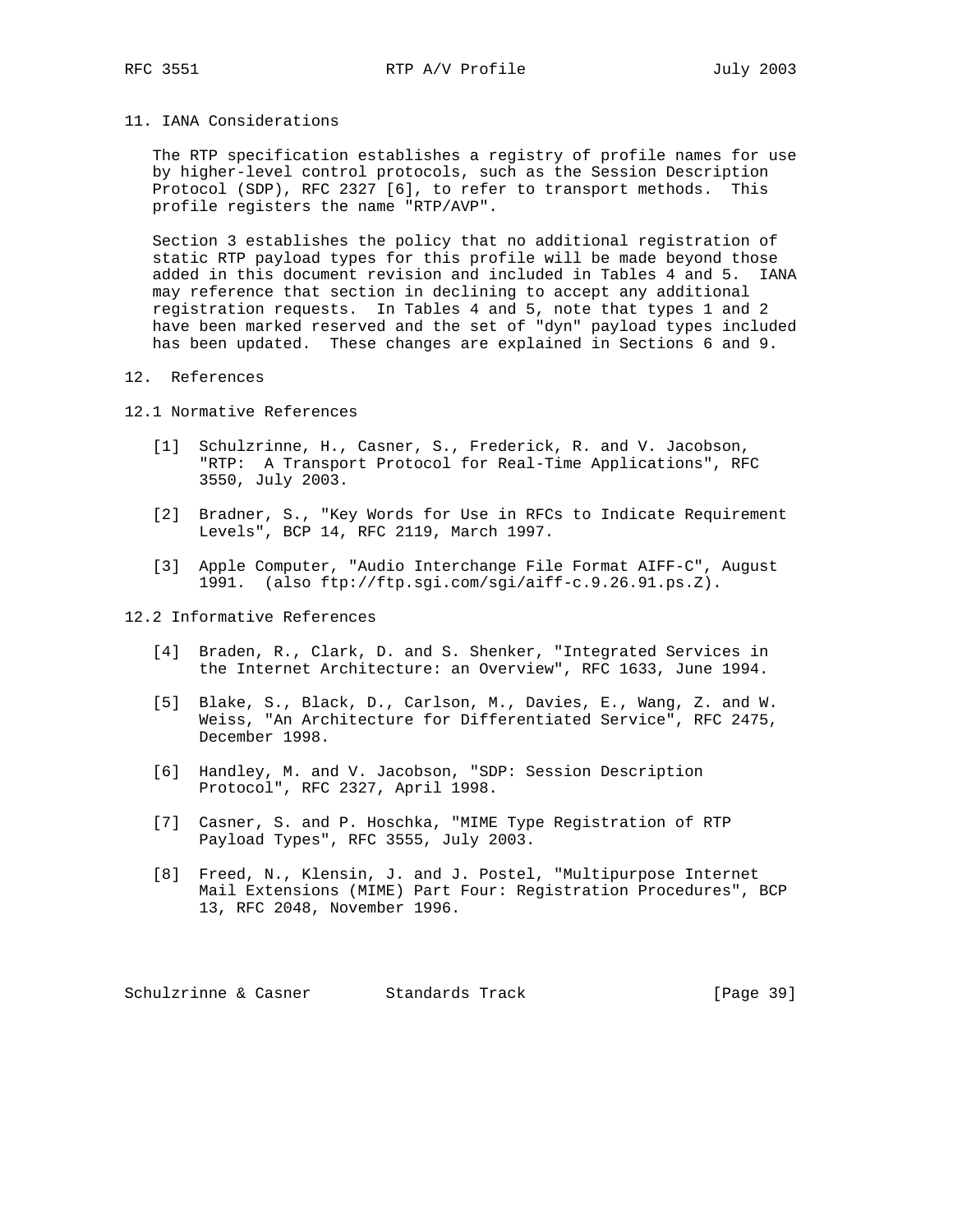### 11. IANA Considerations

 The RTP specification establishes a registry of profile names for use by higher-level control protocols, such as the Session Description Protocol (SDP), RFC 2327 [6], to refer to transport methods. This profile registers the name "RTP/AVP".

 Section 3 establishes the policy that no additional registration of static RTP payload types for this profile will be made beyond those added in this document revision and included in Tables 4 and 5. IANA may reference that section in declining to accept any additional registration requests. In Tables 4 and 5, note that types 1 and 2 have been marked reserved and the set of "dyn" payload types included has been updated. These changes are explained in Sections 6 and 9.

### 12. References

12.1 Normative References

- [1] Schulzrinne, H., Casner, S., Frederick, R. and V. Jacobson, "RTP: A Transport Protocol for Real-Time Applications", RFC 3550, July 2003.
- [2] Bradner, S., "Key Words for Use in RFCs to Indicate Requirement Levels", BCP 14, RFC 2119, March 1997.
- [3] Apple Computer, "Audio Interchange File Format AIFF-C", August 1991. (also ftp://ftp.sgi.com/sgi/aiff-c.9.26.91.ps.Z).

#### 12.2 Informative References

- [4] Braden, R., Clark, D. and S. Shenker, "Integrated Services in the Internet Architecture: an Overview", RFC 1633, June 1994.
- [5] Blake, S., Black, D., Carlson, M., Davies, E., Wang, Z. and W. Weiss, "An Architecture for Differentiated Service", RFC 2475, December 1998.
- [6] Handley, M. and V. Jacobson, "SDP: Session Description Protocol", RFC 2327, April 1998.
- [7] Casner, S. and P. Hoschka, "MIME Type Registration of RTP Payload Types", RFC 3555, July 2003.
- [8] Freed, N., Klensin, J. and J. Postel, "Multipurpose Internet Mail Extensions (MIME) Part Four: Registration Procedures", BCP 13, RFC 2048, November 1996.

Schulzrinne & Casner Standards Track [Page 39]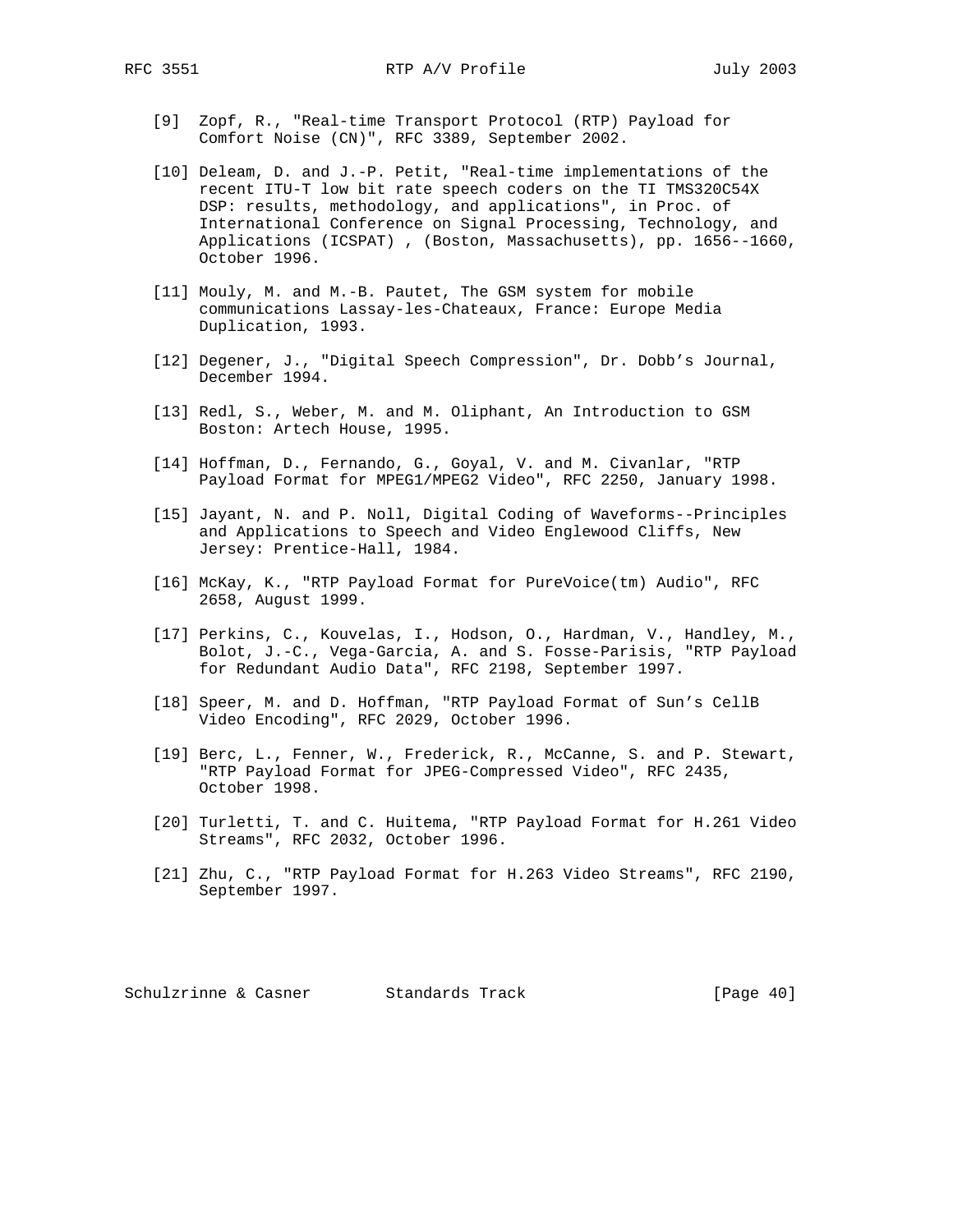- [9] Zopf, R., "Real-time Transport Protocol (RTP) Payload for Comfort Noise (CN)", RFC 3389, September 2002.
- [10] Deleam, D. and J.-P. Petit, "Real-time implementations of the recent ITU-T low bit rate speech coders on the TI TMS320C54X DSP: results, methodology, and applications", in Proc. of International Conference on Signal Processing, Technology, and Applications (ICSPAT) , (Boston, Massachusetts), pp. 1656--1660, October 1996.
- [11] Mouly, M. and M.-B. Pautet, The GSM system for mobile communications Lassay-les-Chateaux, France: Europe Media Duplication, 1993.
- [12] Degener, J., "Digital Speech Compression", Dr. Dobb's Journal, December 1994.
- [13] Redl, S., Weber, M. and M. Oliphant, An Introduction to GSM Boston: Artech House, 1995.
- [14] Hoffman, D., Fernando, G., Goyal, V. and M. Civanlar, "RTP Payload Format for MPEG1/MPEG2 Video", RFC 2250, January 1998.
- [15] Jayant, N. and P. Noll, Digital Coding of Waveforms--Principles and Applications to Speech and Video Englewood Cliffs, New Jersey: Prentice-Hall, 1984.
- [16] McKay, K., "RTP Payload Format for PureVoice(tm) Audio", RFC 2658, August 1999.
- [17] Perkins, C., Kouvelas, I., Hodson, O., Hardman, V., Handley, M., Bolot, J.-C., Vega-Garcia, A. and S. Fosse-Parisis, "RTP Payload for Redundant Audio Data", RFC 2198, September 1997.
- [18] Speer, M. and D. Hoffman, "RTP Payload Format of Sun's CellB Video Encoding", RFC 2029, October 1996.
- [19] Berc, L., Fenner, W., Frederick, R., McCanne, S. and P. Stewart, "RTP Payload Format for JPEG-Compressed Video", RFC 2435, October 1998.
- [20] Turletti, T. and C. Huitema, "RTP Payload Format for H.261 Video Streams", RFC 2032, October 1996.
- [21] Zhu, C., "RTP Payload Format for H.263 Video Streams", RFC 2190, September 1997.

Schulzrinne & Casner Standards Track [Page 40]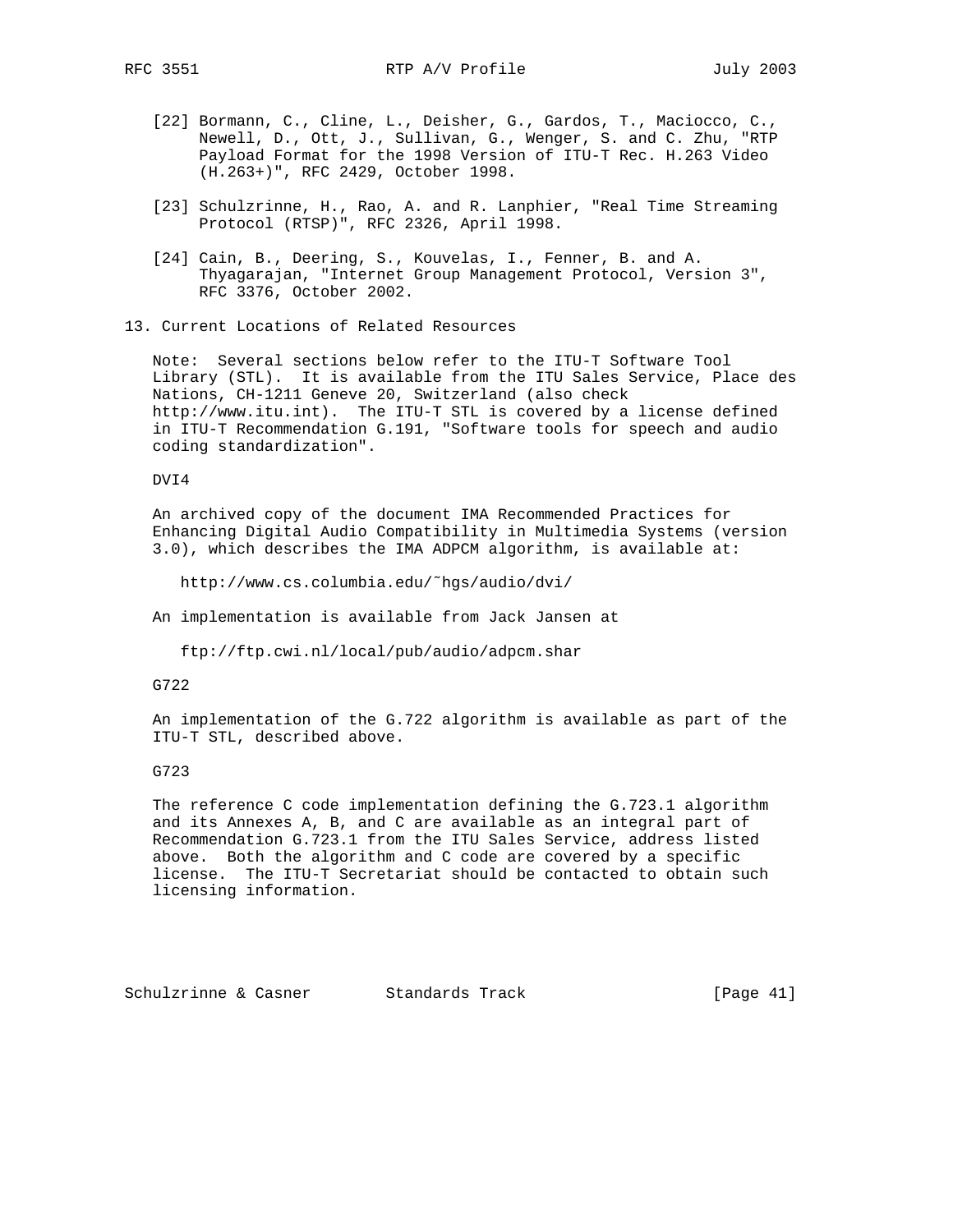- [22] Bormann, C., Cline, L., Deisher, G., Gardos, T., Maciocco, C., Newell, D., Ott, J., Sullivan, G., Wenger, S. and C. Zhu, "RTP Payload Format for the 1998 Version of ITU-T Rec. H.263 Video (H.263+)", RFC 2429, October 1998.
- [23] Schulzrinne, H., Rao, A. and R. Lanphier, "Real Time Streaming Protocol (RTSP)", RFC 2326, April 1998.
- [24] Cain, B., Deering, S., Kouvelas, I., Fenner, B. and A. Thyagarajan, "Internet Group Management Protocol, Version 3", RFC 3376, October 2002.
- 13. Current Locations of Related Resources

 Note: Several sections below refer to the ITU-T Software Tool Library (STL). It is available from the ITU Sales Service, Place des Nations, CH-1211 Geneve 20, Switzerland (also check http://www.itu.int). The ITU-T STL is covered by a license defined in ITU-T Recommendation G.191, "Software tools for speech and audio coding standardization".

DVI4

 An archived copy of the document IMA Recommended Practices for Enhancing Digital Audio Compatibility in Multimedia Systems (version 3.0), which describes the IMA ADPCM algorithm, is available at:

http://www.cs.columbia.edu/˜hgs/audio/dvi/

An implementation is available from Jack Jansen at

ftp://ftp.cwi.nl/local/pub/audio/adpcm.shar

G722

 An implementation of the G.722 algorithm is available as part of the ITU-T STL, described above.

G723

 The reference C code implementation defining the G.723.1 algorithm and its Annexes A, B, and C are available as an integral part of Recommendation G.723.1 from the ITU Sales Service, address listed above. Both the algorithm and C code are covered by a specific license. The ITU-T Secretariat should be contacted to obtain such licensing information.

Schulzrinne & Casner Standards Track [Page 41]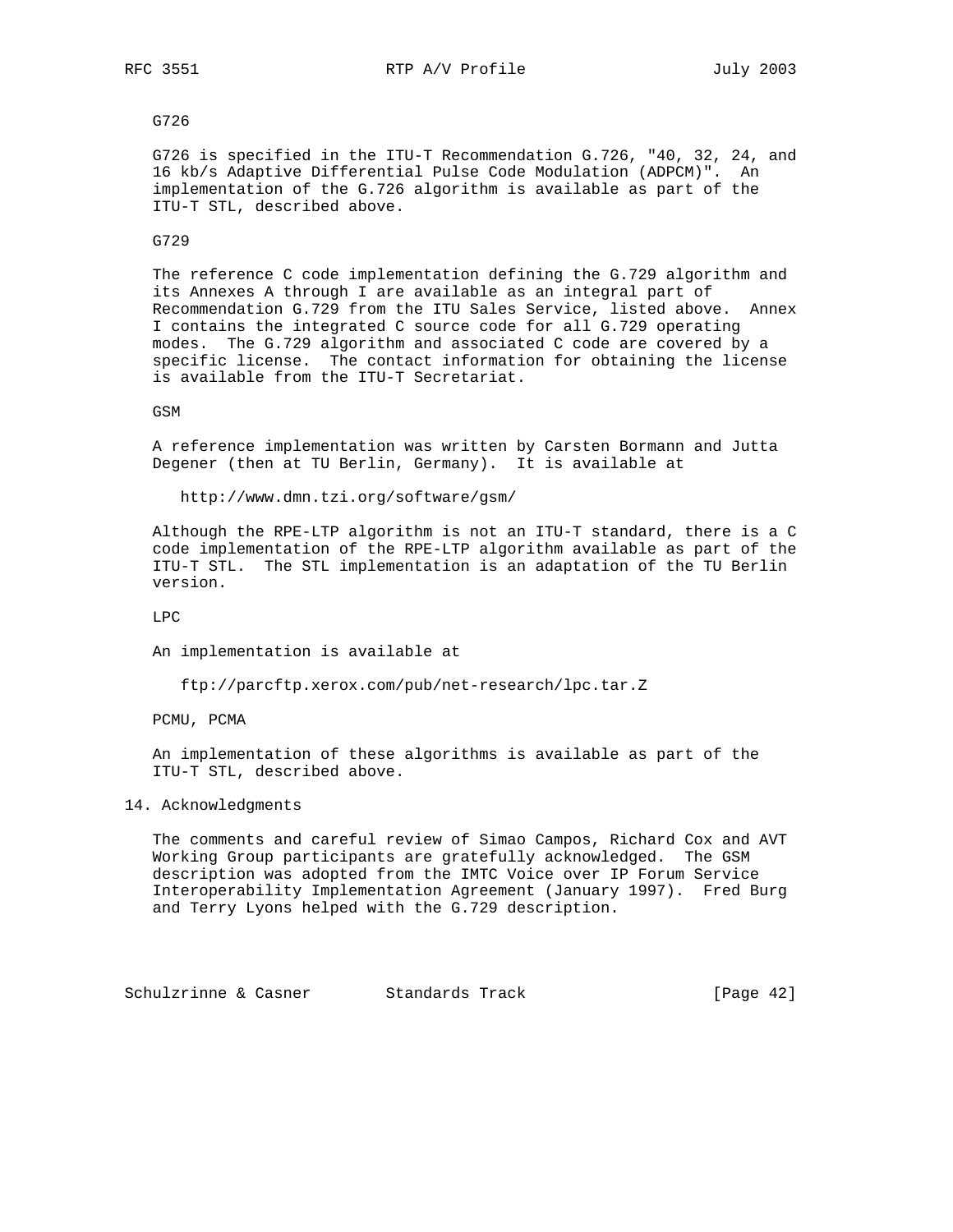### G726

 G726 is specified in the ITU-T Recommendation G.726, "40, 32, 24, and 16 kb/s Adaptive Differential Pulse Code Modulation (ADPCM)". An implementation of the G.726 algorithm is available as part of the ITU-T STL, described above.

#### G729

 The reference C code implementation defining the G.729 algorithm and its Annexes A through I are available as an integral part of Recommendation G.729 from the ITU Sales Service, listed above. Annex I contains the integrated C source code for all G.729 operating modes. The G.729 algorithm and associated C code are covered by a specific license. The contact information for obtaining the license is available from the ITU-T Secretariat.

GSM

 A reference implementation was written by Carsten Bormann and Jutta Degener (then at TU Berlin, Germany). It is available at

http://www.dmn.tzi.org/software/gsm/

 Although the RPE-LTP algorithm is not an ITU-T standard, there is a C code implementation of the RPE-LTP algorithm available as part of the ITU-T STL. The STL implementation is an adaptation of the TU Berlin version.

LPC

An implementation is available at

ftp://parcftp.xerox.com/pub/net-research/lpc.tar.Z

PCMU, PCMA

 An implementation of these algorithms is available as part of the ITU-T STL, described above.

### 14. Acknowledgments

 The comments and careful review of Simao Campos, Richard Cox and AVT Working Group participants are gratefully acknowledged. The GSM description was adopted from the IMTC Voice over IP Forum Service Interoperability Implementation Agreement (January 1997). Fred Burg and Terry Lyons helped with the G.729 description.

Schulzrinne & Casner Standards Track [Page 42]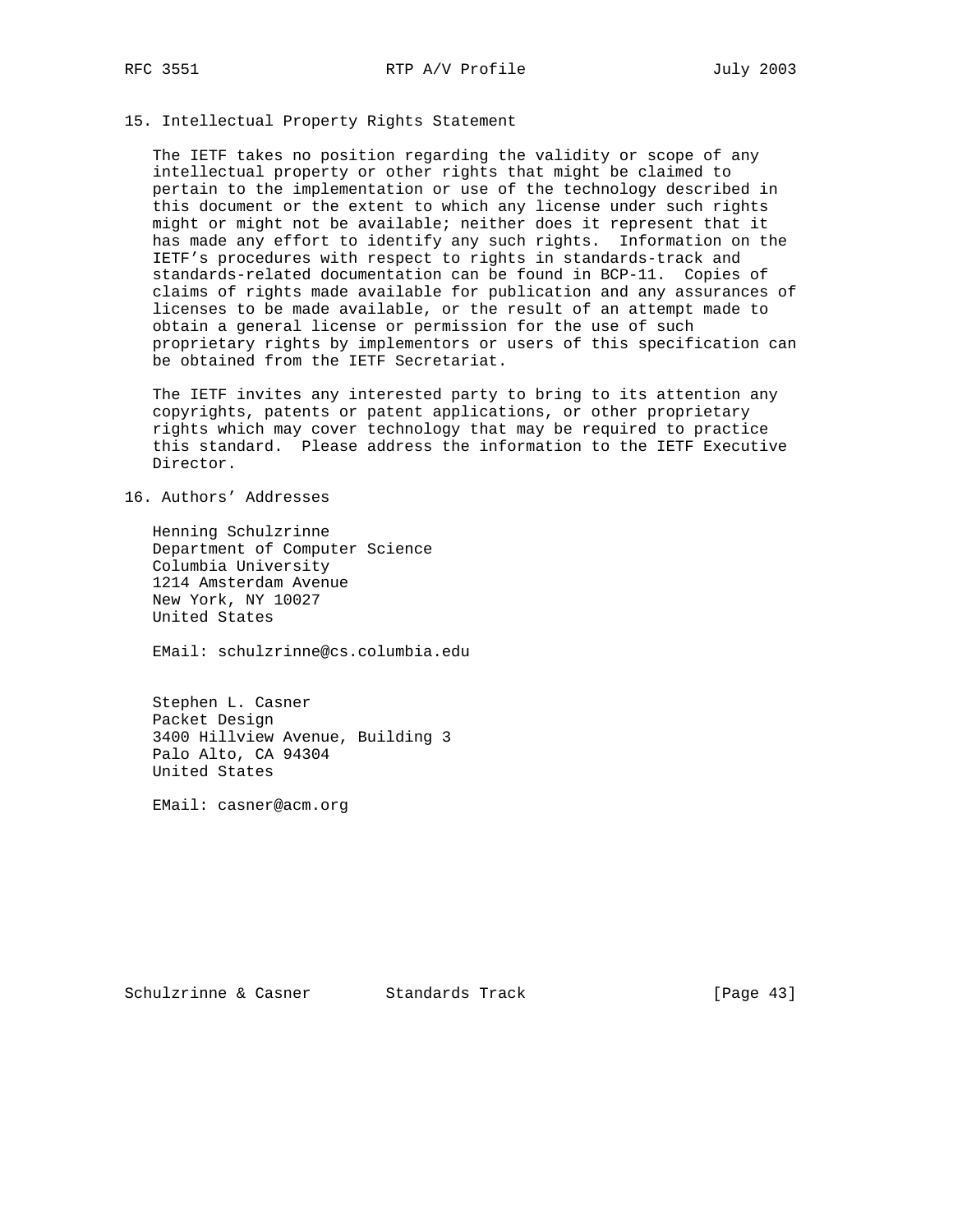### 15. Intellectual Property Rights Statement

 The IETF takes no position regarding the validity or scope of any intellectual property or other rights that might be claimed to pertain to the implementation or use of the technology described in this document or the extent to which any license under such rights might or might not be available; neither does it represent that it has made any effort to identify any such rights. Information on the IETF's procedures with respect to rights in standards-track and standards-related documentation can be found in BCP-11. Copies of claims of rights made available for publication and any assurances of licenses to be made available, or the result of an attempt made to obtain a general license or permission for the use of such proprietary rights by implementors or users of this specification can be obtained from the IETF Secretariat.

 The IETF invites any interested party to bring to its attention any copyrights, patents or patent applications, or other proprietary rights which may cover technology that may be required to practice this standard. Please address the information to the IETF Executive Director.

# 16. Authors' Addresses

 Henning Schulzrinne Department of Computer Science Columbia University 1214 Amsterdam Avenue New York, NY 10027 United States

EMail: schulzrinne@cs.columbia.edu

 Stephen L. Casner Packet Design 3400 Hillview Avenue, Building 3 Palo Alto, CA 94304 United States

EMail: casner@acm.org